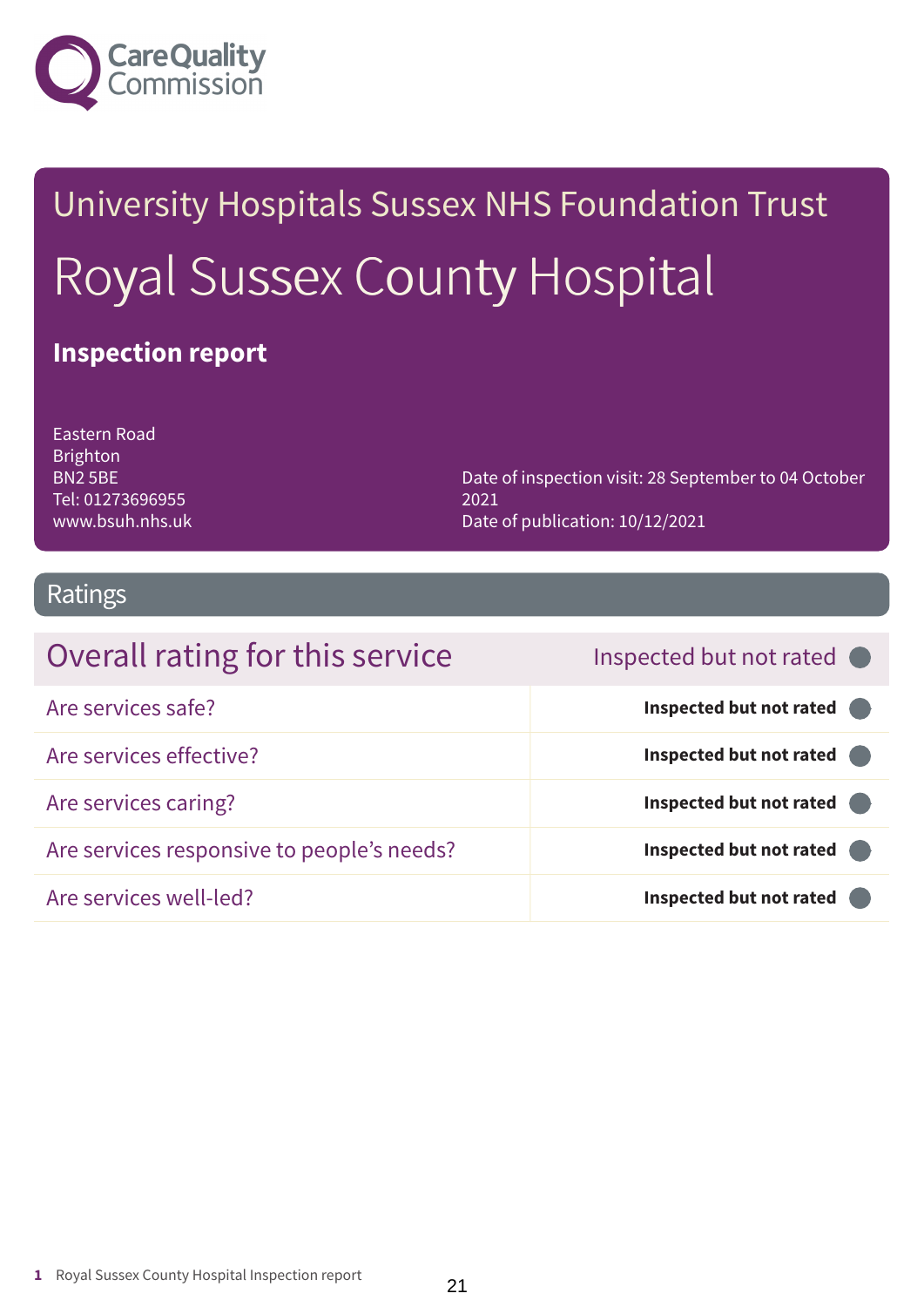

# University Hospitals Sussex NHS Foundation Trust Royal Sussex County Hospital

### **Inspection report**

Eastern Road Brighton BN2 5BE Tel: 01273696955 www.bsuh.nhs.uk

Date of inspection visit: 28 September to 04 October 2021 Date of publication: 10/12/2021

### Ratings

| Overall rating for this service            | Inspected but not rated |
|--------------------------------------------|-------------------------|
| Are services safe?                         | Inspected but not rated |
| Are services effective?                    | Inspected but not rated |
| Are services caring?                       | Inspected but not rated |
| Are services responsive to people's needs? | Inspected but not rated |
| Are services well-led?                     | Inspected but not rated |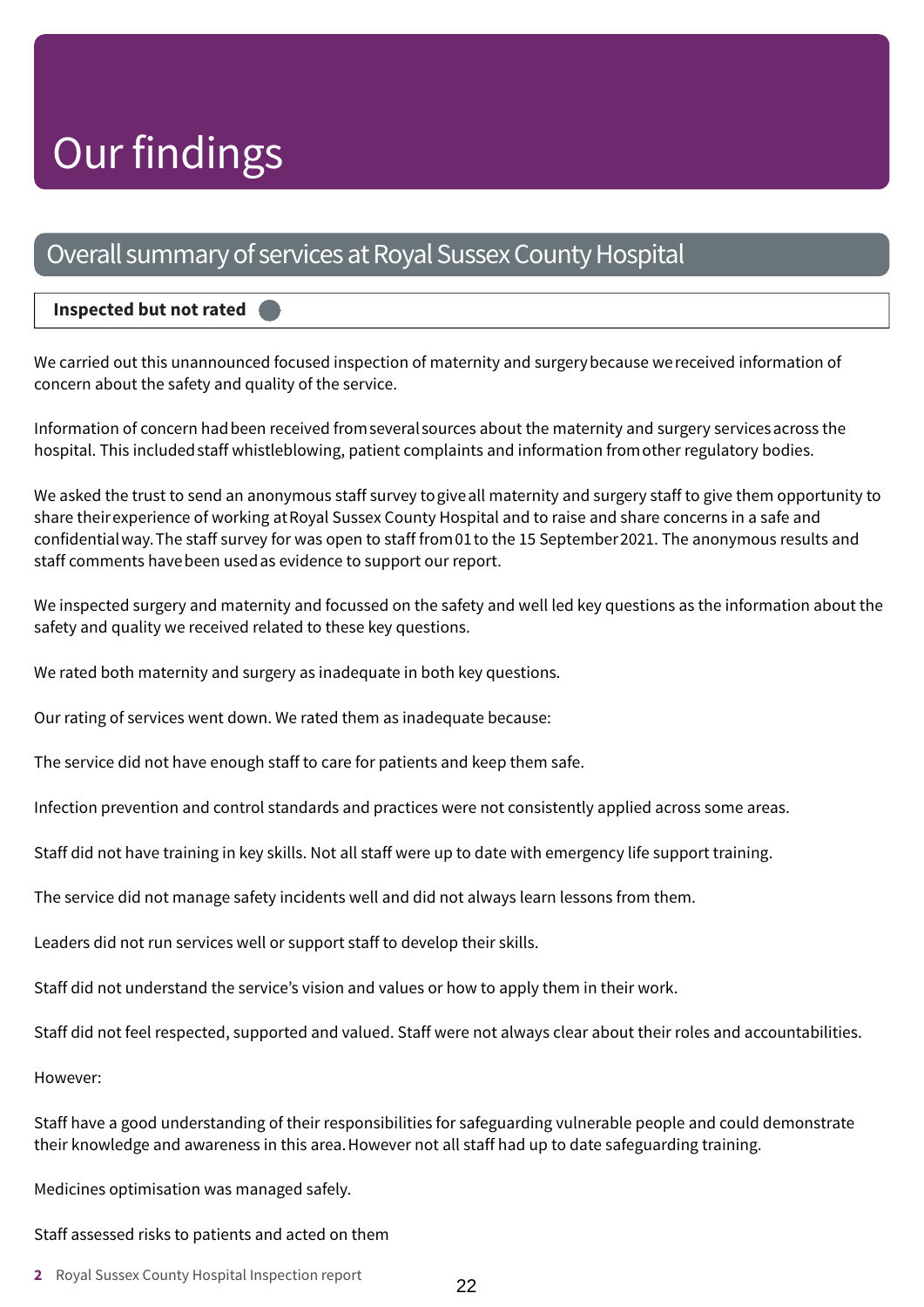## Our findings

### Overall summary of services at Royal Sussex County Hospital

### **Inspected but not rated –––**

We carried out this unannounced focused inspection of maternity and surgerybecause wereceived information of concern about the safety and quality of the service.

Information of concern hadbeen received fromseveralsources about the maternity and surgery servicesacross the hospital. This included staff whistleblowing, patient complaints and information from other regulatory bodies.

We asked the trust to send an anonymous staff survey togiveall maternity and surgery staff to give them opportunity to share theirexperience of working atRoyal Sussex County Hospital and to raise and share concerns in a safe and confidentialway.The staff survey for was open to staff from01to the 15 September2021. The anonymous results and staff comments havebeen usedas evidence to support our report.

We inspected surgery and maternity and focussed on the safety and well led key questions as the information about the safety and quality we received related to these key questions.

We rated both maternity and surgery as inadequate in both key questions.

Our rating of services went down. We rated them as inadequate because:

The service did not have enough staff to care for patients and keep them safe.

Infection prevention and control standards and practices were not consistently applied across some areas.

Staff did not have training in key skills. Not all staff were up to date with emergency life support training.

The service did not manage safety incidents well and did not always learn lessons from them.

Leaders did not run services well or support staff to develop their skills.

Staff did not understand the service's vision and values or how to apply them in their work.

Staff did not feel respected, supported and valued. Staff were not always clear about their roles and accountabilities.

However:

Staff have a good understanding of their responsibilities for safeguarding vulnerable people and could demonstrate their knowledge and awareness in this area.However not all staff had up to date safeguarding training.

Medicines optimisation was managed safely.

#### Staff assessed risks to patients and acted on them

**2** Royal Sussex County Hospital Inspection report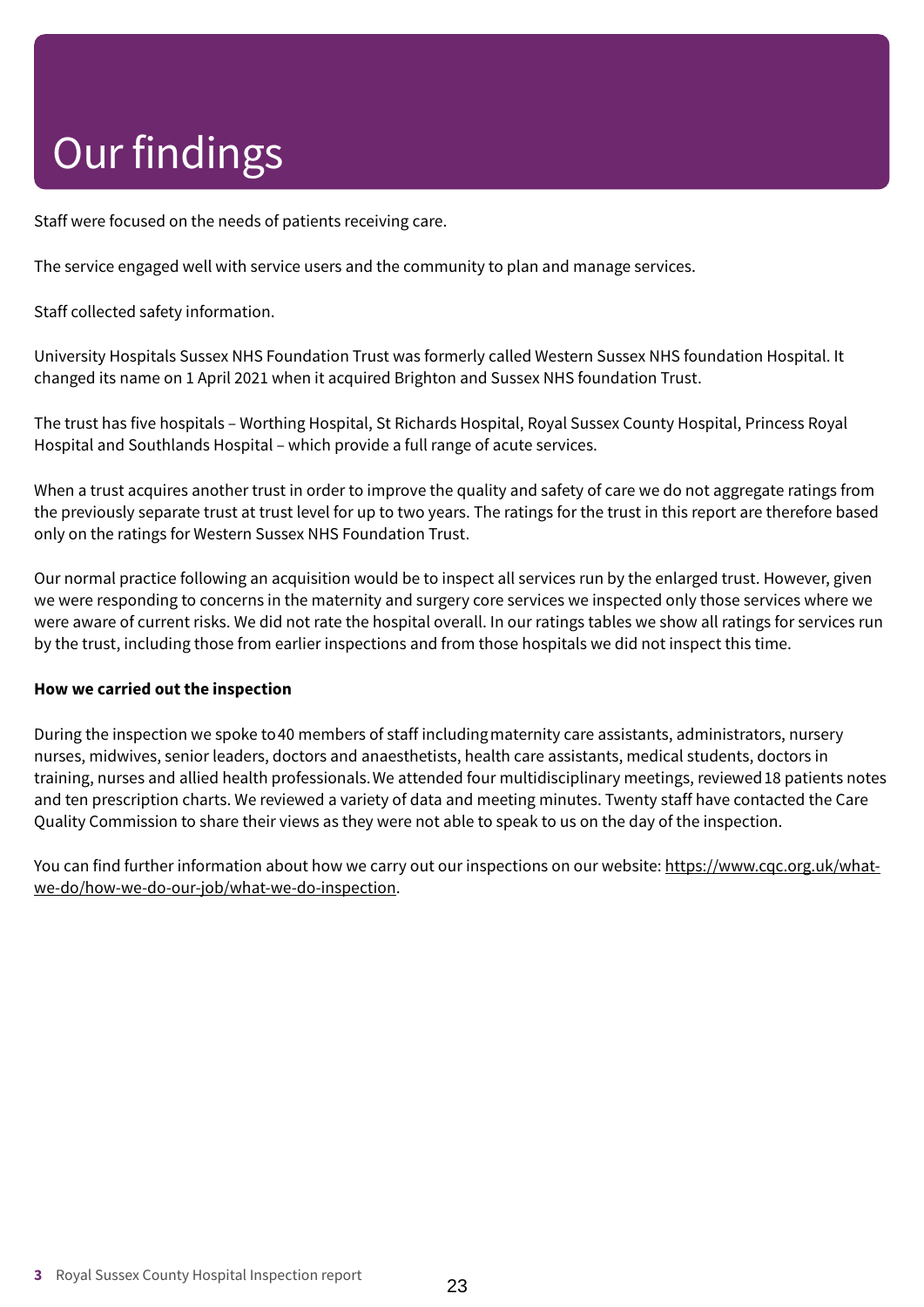# Our findings

Staff were focused on the needs of patients receiving care.

The service engaged well with service users and the community to plan and manage services.

Staff collected safety information.

University Hospitals Sussex NHS Foundation Trust was formerly called Western Sussex NHS foundation Hospital. It changed its name on 1 April 2021 when it acquired Brighton and Sussex NHS foundation Trust.

The trust has five hospitals – Worthing Hospital, St Richards Hospital, Royal Sussex County Hospital, Princess Royal Hospital and Southlands Hospital – which provide a full range of acute services.

When a trust acquires another trust in order to improve the quality and safety of care we do not aggregate ratings from the previously separate trust at trust level for up to two years. The ratings for the trust in this report are therefore based only on the ratings for Western Sussex NHS Foundation Trust.

Our normal practice following an acquisition would be to inspect all services run by the enlarged trust. However, given we were responding to concerns in the maternity and surgery core services we inspected only those services where we were aware of current risks. We did not rate the hospital overall. In our ratings tables we show all ratings for services run by the trust, including those from earlier inspections and from those hospitals we did not inspect this time.

### **How we carried out the inspection**

During the inspection we spoke to40 members of staff includingmaternity care assistants, administrators, nursery nurses, midwives, senior leaders, doctors and anaesthetists, health care assistants, medical students, doctors in training, nurses and allied health professionals.We attended four multidisciplinary meetings, reviewed18 patients notes and ten prescription charts. We reviewed a variety of data and meeting minutes. Twenty staff have contacted the Care Quality Commission to share their views as they were not able to speak to us on the day of the inspection.

You can find further information about how we carry out our inspections on our website: https://www.cqc.org.uk/whatwe-do/how-we-do-our-job/what-we-do-inspection.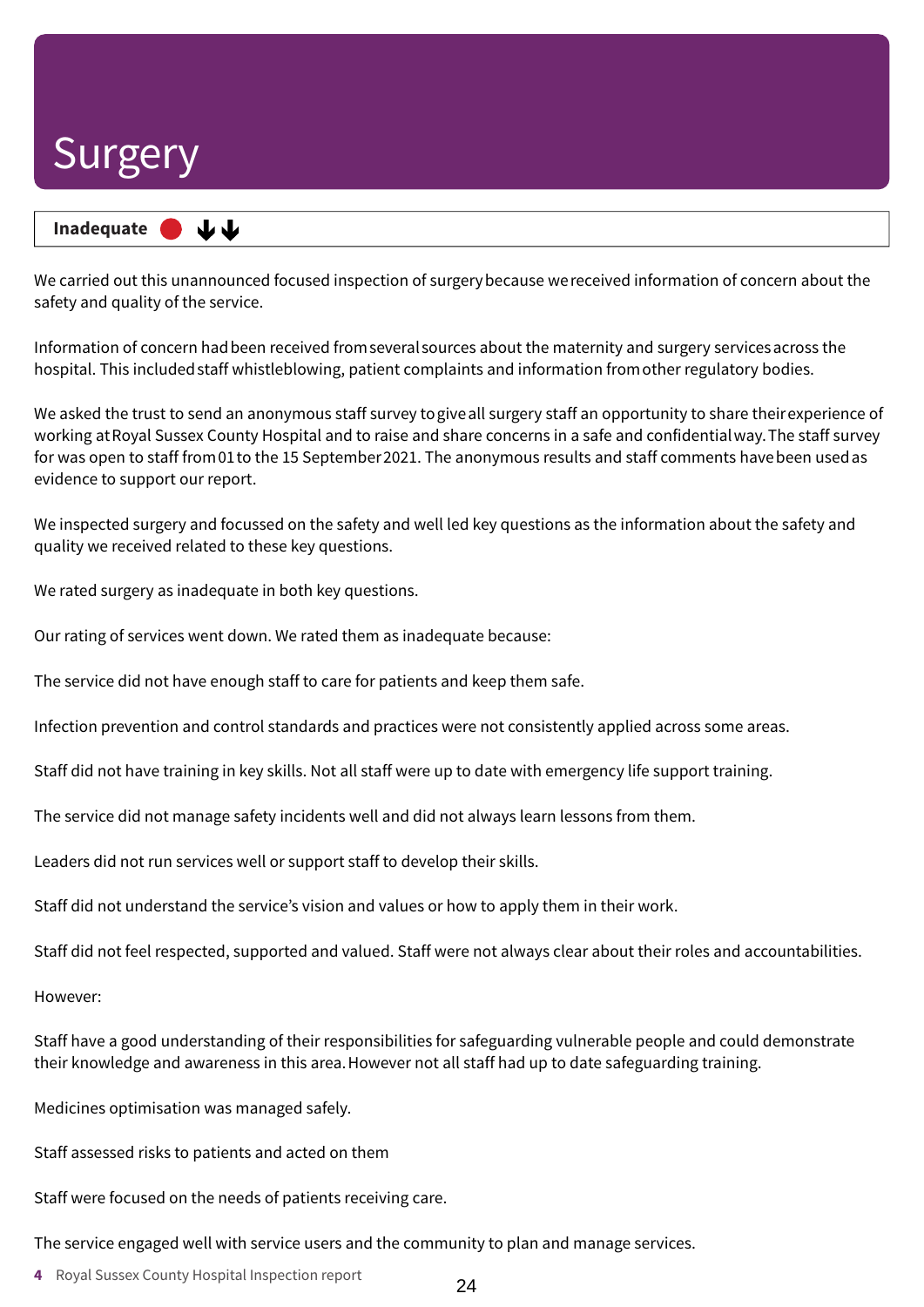**Inadequate –––** 山山

We carried out this unannounced focused inspection of surgerybecause wereceived information of concern about the safety and quality of the service.

Information of concern hadbeen received fromseveralsources about the maternity and surgery servicesacross the hospital. This included staff whistleblowing, patient complaints and information from other regulatory bodies.

We asked the trust to send an anonymous staff survey togiveall surgery staff an opportunity to share theirexperience of working atRoyal Sussex County Hospital and to raise and share concerns in a safe and confidentialway.The staff survey for was open to staff from01to the 15 September2021. The anonymous results and staff comments havebeen usedas evidence to support our report.

We inspected surgery and focussed on the safety and well led key questions as the information about the safety and quality we received related to these key questions.

We rated surgery as inadequate in both key questions.

Our rating of services went down. We rated them as inadequate because:

The service did not have enough staff to care for patients and keep them safe.

Infection prevention and control standards and practices were not consistently applied across some areas.

Staff did not have training in key skills. Not all staff were up to date with emergency life support training.

The service did not manage safety incidents well and did not always learn lessons from them.

Leaders did not run services well or support staff to develop their skills.

Staff did not understand the service's vision and values or how to apply them in their work.

Staff did not feel respected, supported and valued. Staff were not always clear about their roles and accountabilities.

However:

Staff have a good understanding of their responsibilities for safeguarding vulnerable people and could demonstrate their knowledge and awareness in this area.However not all staff had up to date safeguarding training.

Medicines optimisation was managed safely.

Staff assessed risks to patients and acted on them

Staff were focused on the needs of patients receiving care.

The service engaged well with service users and the community to plan and manage services.

**4** Royal Sussex County Hospital Inspection report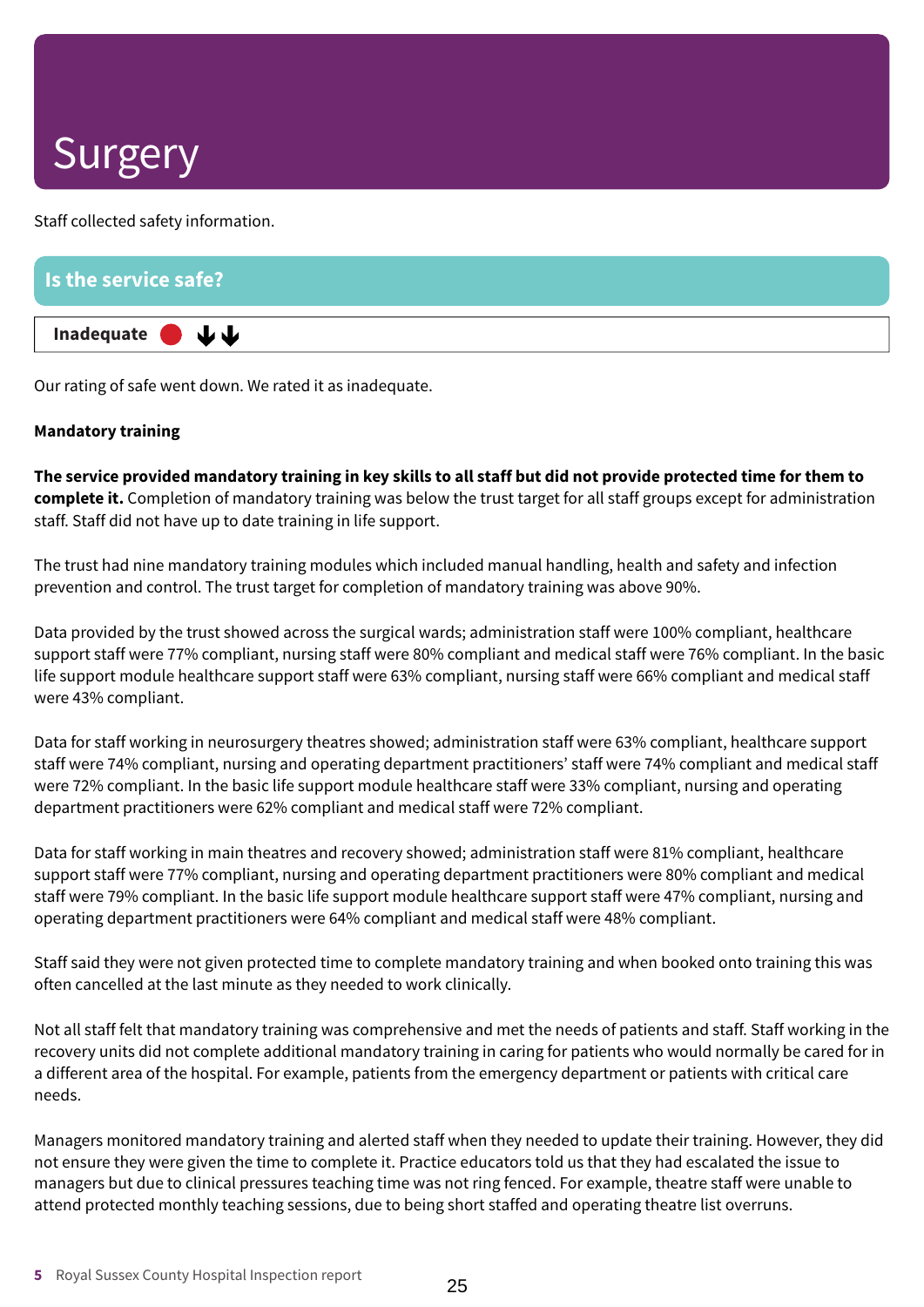Staff collected safety information.

| Is the service safe?           |  |  |
|--------------------------------|--|--|
| Inadequate $\bigcup$ $\bigcup$ |  |  |

Our rating of safe went down. We rated it as inadequate.

### **Mandatory training**

The service provided mandatory training in key skills to all staff but did not provide protected time for them to **complete it.** Completion of mandatory training was below the trust target for all staff groups except for administration staff. Staff did not have up to date training in life support.

The trust had nine mandatory training modules which included manual handling, health and safety and infection prevention and control. The trust target for completion of mandatory training was above 90%.

Data provided by the trust showed across the surgical wards; administration staff were 100% compliant, healthcare support staff were 77% compliant, nursing staff were 80% compliant and medical staff were 76% compliant. In the basic life support module healthcare support staff were 63% compliant, nursing staff were 66% compliant and medical staff were 43% compliant.

Data for staff working in neurosurgery theatres showed; administration staff were 63% compliant, healthcare support staff were 74% compliant, nursing and operating department practitioners' staff were 74% compliant and medical staff were 72% compliant. In the basic life support module healthcare staff were 33% compliant, nursing and operating department practitioners were 62% compliant and medical staff were 72% compliant.

Data for staff working in main theatres and recovery showed; administration staff were 81% compliant, healthcare support staff were 77% compliant, nursing and operating department practitioners were 80% compliant and medical staff were 79% compliant. In the basic life support module healthcare support staff were 47% compliant, nursing and operating department practitioners were 64% compliant and medical staff were 48% compliant.

Staff said they were not given protected time to complete mandatory training and when booked onto training this was often cancelled at the last minute as they needed to work clinically.

Not all staff felt that mandatory training was comprehensive and met the needs of patients and staff. Staff working in the recovery units did not complete additional mandatory training in caring for patients who would normally be cared for in a different area of the hospital. For example, patients from the emergency department or patients with critical care needs.

Managers monitored mandatory training and alerted staff when they needed to update their training. However, they did not ensure they were given the time to complete it. Practice educators told us that they had escalated the issue to managers but due to clinical pressures teaching time was not ring fenced. For example, theatre staff were unable to attend protected monthly teaching sessions, due to being short staffed and operating theatre list overruns.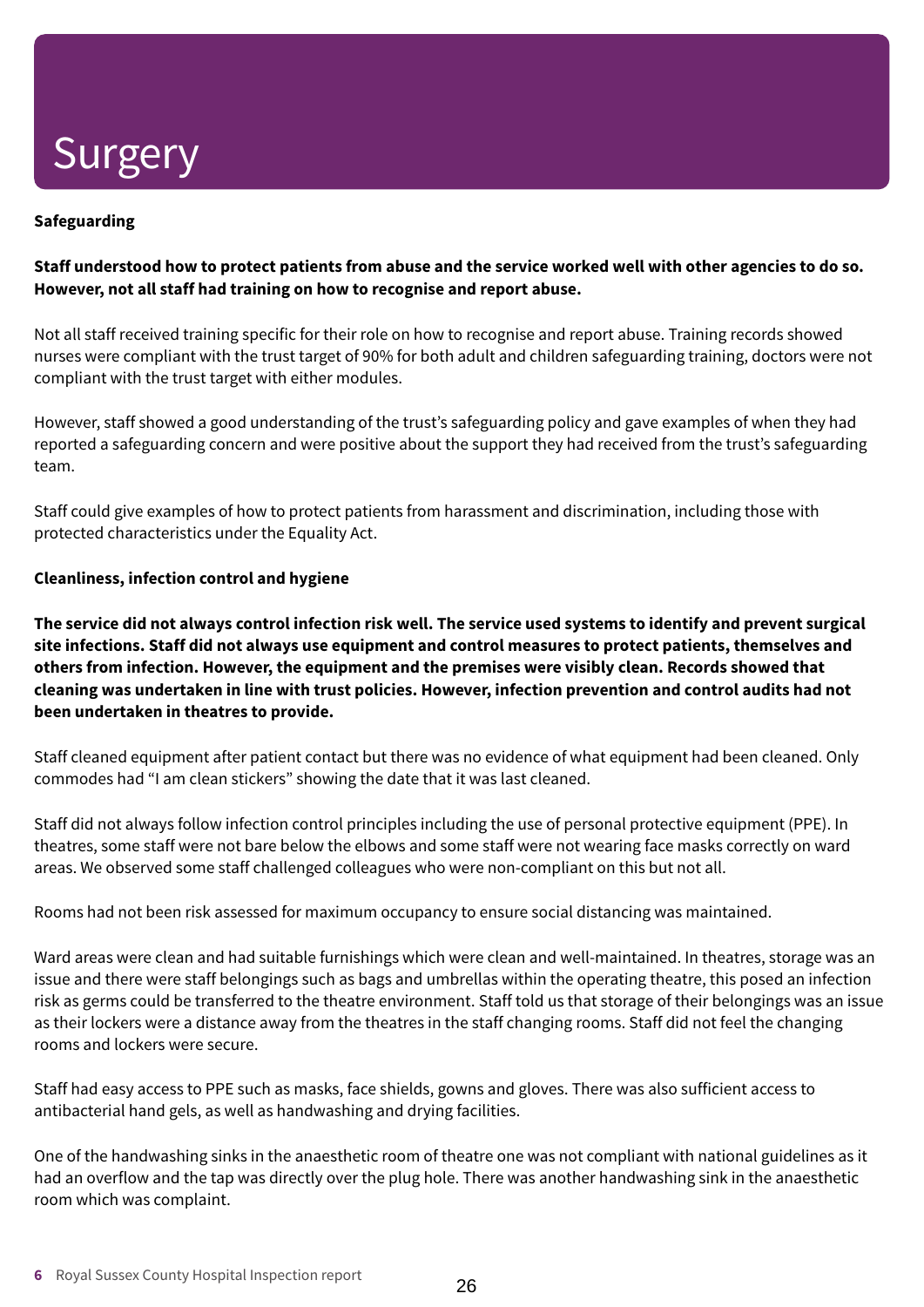### **Safeguarding**

### Staff understood how to protect patients from abuse and the service worked well with other agencies to do so. **However, not all staff had training on how to recognise and report abuse.**

Not all staff received training specific for their role on how to recognise and report abuse. Training records showed nurses were compliant with the trust target of 90% for both adult and children safeguarding training, doctors were not compliant with the trust target with either modules.

However, staff showed a good understanding of the trust's safeguarding policy and gave examples of when they had reported a safeguarding concern and were positive about the support they had received from the trust's safeguarding team.

Staff could give examples of how to protect patients from harassment and discrimination, including those with protected characteristics under the Equality Act.

### **Cleanliness, infection control and hygiene**

The service did not always control infection risk well. The service used systems to identify and prevent surgical **site infections. Staff did not always use equipment and control measures to protect patients, themselves and others from infection. However, the equipment and the premises were visibly clean. Records showed that cleaning was undertaken in line with trust policies. However, infection prevention and control audits had not been undertaken in theatres to provide.**

Staff cleaned equipment after patient contact but there was no evidence of what equipment had been cleaned. Only commodes had "I am clean stickers" showing the date that it was last cleaned.

Staff did not always follow infection control principles including the use of personal protective equipment (PPE). In theatres, some staff were not bare below the elbows and some staff were not wearing face masks correctly on ward areas. We observed some staff challenged colleagues who were non-compliant on this but not all.

Rooms had not been risk assessed for maximum occupancy to ensure social distancing was maintained.

Ward areas were clean and had suitable furnishings which were clean and well-maintained. In theatres, storage was an issue and there were staff belongings such as bags and umbrellas within the operating theatre, this posed an infection risk as germs could be transferred to the theatre environment. Staff told us that storage of their belongings was an issue as their lockers were a distance away from the theatres in the staff changing rooms. Staff did not feel the changing rooms and lockers were secure.

Staff had easy access to PPE such as masks, face shields, gowns and gloves. There was also sufficient access to antibacterial hand gels, as well as handwashing and drying facilities.

One of the handwashing sinks in the anaesthetic room of theatre one was not compliant with national guidelines as it had an overflow and the tap was directly over the plug hole. There was another handwashing sink in the anaesthetic room which was complaint.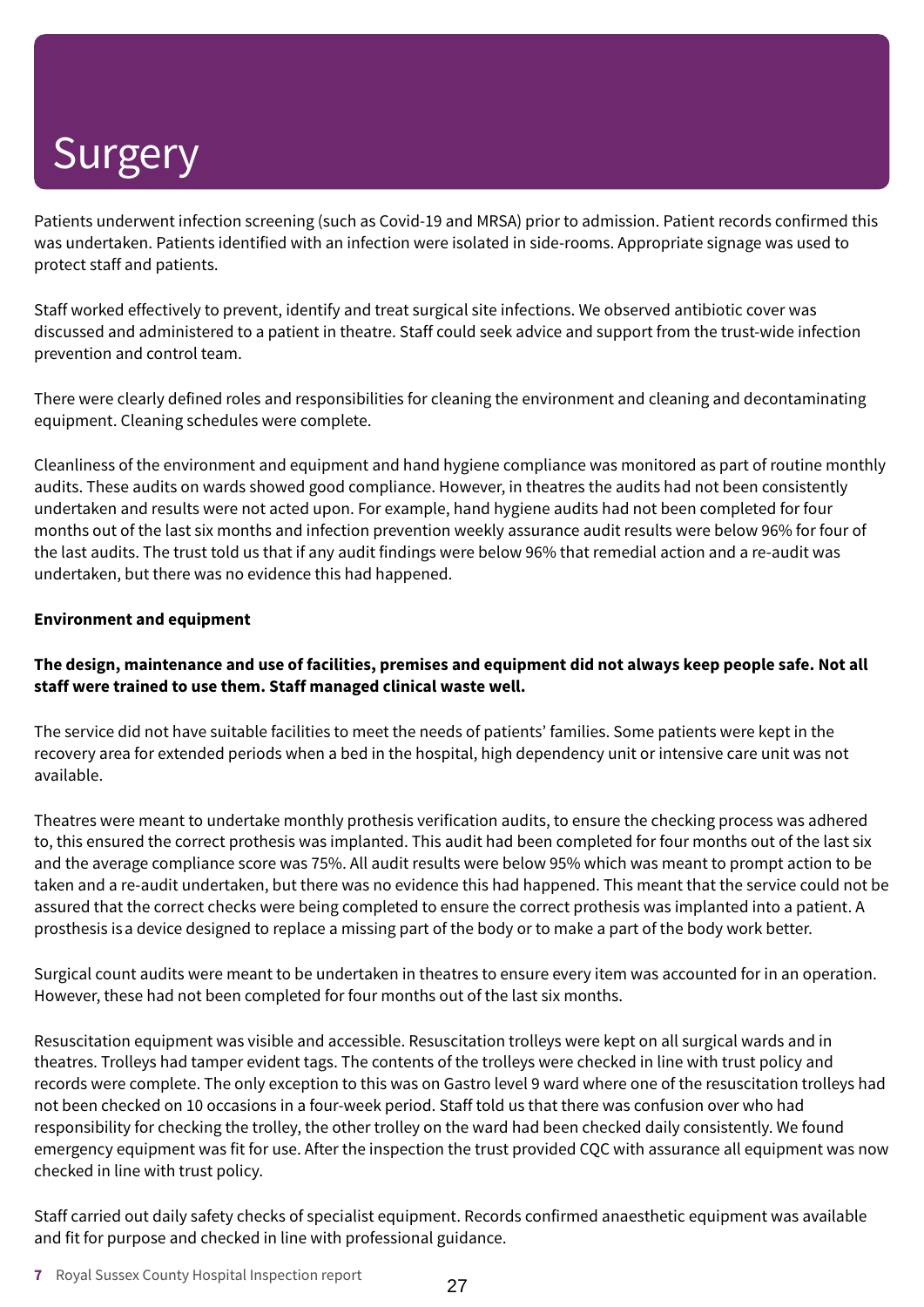Patients underwent infection screening (such as Covid-19 and MRSA) prior to admission. Patient records confirmed this was undertaken. Patients identified with an infection were isolated in side-rooms. Appropriate signage was used to protect staff and patients.

Staff worked effectively to prevent, identify and treat surgical site infections. We observed antibiotic cover was discussed and administered to a patient in theatre. Staff could seek advice and support from the trust-wide infection prevention and control team.

There were clearly defined roles and responsibilities for cleaning the environment and cleaning and decontaminating equipment. Cleaning schedules were complete.

Cleanliness of the environment and equipment and hand hygiene compliance was monitored as part of routine monthly audits. These audits on wards showed good compliance. However, in theatres the audits had not been consistently undertaken and results were not acted upon. For example, hand hygiene audits had not been completed for four months out of the last six months and infection prevention weekly assurance audit results were below 96% for four of the last audits. The trust told us that if any audit findings were below 96% that remedial action and a re-audit was undertaken, but there was no evidence this had happened.

#### **Environment and equipment**

### The design, maintenance and use of facilities, premises and equipment did not always keep people safe. Not all **staff were trained to use them. Staff managed clinical waste well.**

The service did not have suitable facilities to meet the needs of patients' families. Some patients were kept in the recovery area for extended periods when a bed in the hospital, high dependency unit or intensive care unit was not available.

Theatres were meant to undertake monthly prothesis verification audits, to ensure the checking process was adhered to, this ensured the correct prothesis was implanted. This audit had been completed for four months out of the last six and the average compliance score was 75%. All audit results were below 95% which was meant to prompt action to be taken and a re-audit undertaken, but there was no evidence this had happened. This meant that the service could not be assured that the correct checks were being completed to ensure the correct prothesis was implanted into a patient. A prosthesis isa device designed to replace a missing part of the body or to make a part of the body work better.

Surgical count audits were meant to be undertaken in theatres to ensure every item was accounted for in an operation. However, these had not been completed for four months out of the last six months.

Resuscitation equipment was visible and accessible. Resuscitation trolleys were kept on all surgical wards and in theatres. Trolleys had tamper evident tags. The contents of the trolleys were checked in line with trust policy and records were complete. The only exception to this was on Gastro level 9 ward where one of the resuscitation trolleys had not been checked on 10 occasions in a four-week period. Staff told us that there was confusion over who had responsibility for checking the trolley, the other trolley on the ward had been checked daily consistently. We found emergency equipment was fit for use. After the inspection the trust provided CQC with assurance all equipment was now checked in line with trust policy.

Staff carried out daily safety checks of specialist equipment. Records confirmed anaesthetic equipment was available and fit for purpose and checked in line with professional guidance.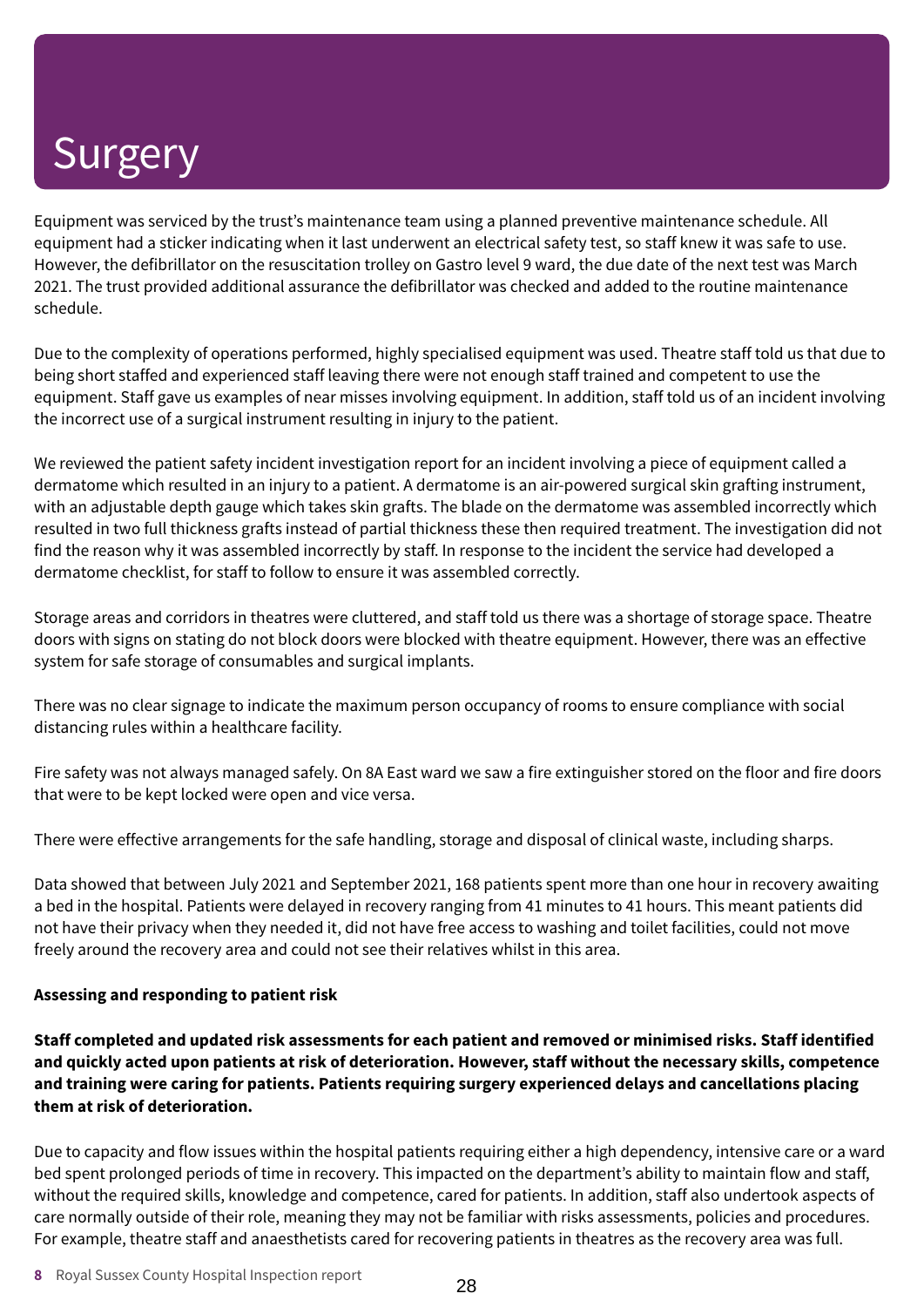Equipment was serviced by the trust's maintenance team using a planned preventive maintenance schedule. All equipment had a sticker indicating when it last underwent an electrical safety test, so staff knew it was safe to use. However, the defibrillator on the resuscitation trolley on Gastro level 9 ward, the due date of the next test was March 2021. The trust provided additional assurance the defibrillator was checked and added to the routine maintenance schedule.

Due to the complexity of operations performed, highly specialised equipment was used. Theatre staff told us that due to being short staffed and experienced staff leaving there were not enough staff trained and competent to use the equipment. Staff gave us examples of near misses involving equipment. In addition, staff told us of an incident involving the incorrect use of a surgical instrument resulting in injury to the patient.

We reviewed the patient safety incident investigation report for an incident involving a piece of equipment called a dermatome which resulted in an injury to a patient. A dermatome is an air-powered surgical skin grafting instrument, with an adjustable depth gauge which takes skin grafts. The blade on the dermatome was assembled incorrectly which resulted in two full thickness grafts instead of partial thickness these then required treatment. The investigation did not find the reason why it was assembled incorrectly by staff. In response to the incident the service had developed a dermatome checklist, for staff to follow to ensure it was assembled correctly.

Storage areas and corridors in theatres were cluttered, and staff told us there was a shortage of storage space. Theatre doors with signs on stating do not block doors were blocked with theatre equipment. However, there was an effective system for safe storage of consumables and surgical implants.

There was no clear signage to indicate the maximum person occupancy of rooms to ensure compliance with social distancing rules within a healthcare facility.

Fire safety was not always managed safely. On 8A East ward we saw a fire extinguisher stored on the floor and fire doors that were to be kept locked were open and vice versa.

There were effective arrangements for the safe handling, storage and disposal of clinical waste, including sharps.

Data showed that between July 2021 and September 2021, 168 patients spent more than one hour in recovery awaiting a bed in the hospital. Patients were delayed in recovery ranging from 41 minutes to 41 hours. This meant patients did not have their privacy when they needed it, did not have free access to washing and toilet facilities, could not move freely around the recovery area and could not see their relatives whilst in this area.

### **Assessing and responding to patient risk**

**Staff completed and updated risk assessments for each patient and removed or minimised risks. Staff identified** and quickly acted upon patients at risk of deterioration. However, staff without the necessary skills, competence **and training were caring for patients. Patients requiring surgery experienced delays and cancellations placing them at risk of deterioration.**

Due to capacity and flow issues within the hospital patients requiring either a high dependency, intensive care or a ward bed spent prolonged periods of time in recovery. This impacted on the department's ability to maintain flow and staff, without the required skills, knowledge and competence, cared for patients. In addition, staff also undertook aspects of care normally outside of their role, meaning they may not be familiar with risks assessments, policies and procedures. For example, theatre staff and anaesthetists cared for recovering patients in theatres as the recovery area was full.

**8** Royal Sussex County Hospital Inspection report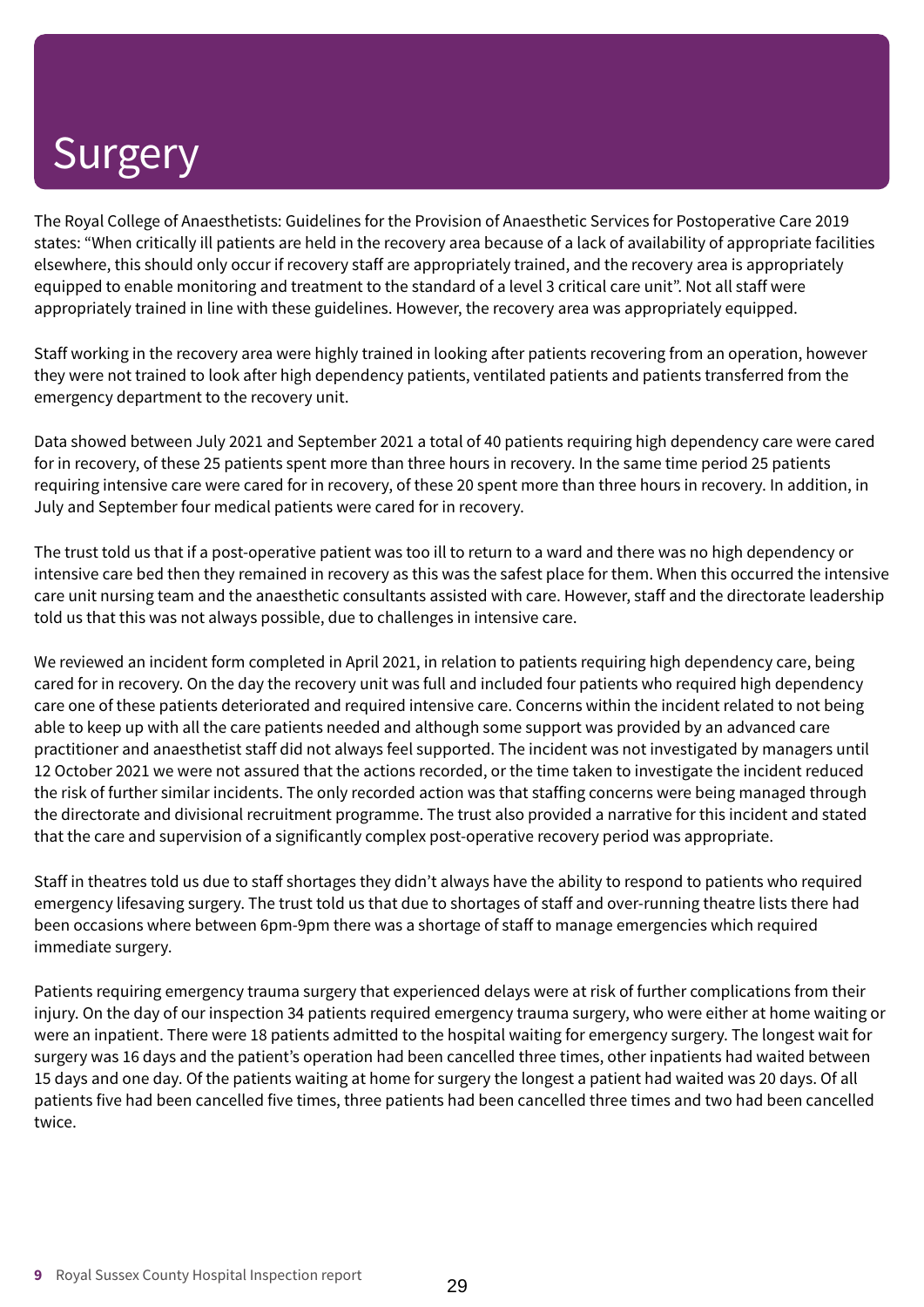The Royal College of Anaesthetists: Guidelines for the Provision of Anaesthetic Services for Postoperative Care 2019 states: "When critically ill patients are held in the recovery area because of a lack of availability of appropriate facilities elsewhere, this should only occur if recovery staff are appropriately trained, and the recovery area is appropriately equipped to enable monitoring and treatment to the standard of a level 3 critical care unit". Not all staff were appropriately trained in line with these guidelines. However, the recovery area was appropriately equipped.

Staff working in the recovery area were highly trained in looking after patients recovering from an operation, however they were not trained to look after high dependency patients, ventilated patients and patients transferred from the emergency department to the recovery unit.

Data showed between July 2021 and September 2021 a total of 40 patients requiring high dependency care were cared for in recovery, of these 25 patients spent more than three hours in recovery. In the same time period 25 patients requiring intensive care were cared for in recovery, of these 20 spent more than three hours in recovery. In addition, in July and September four medical patients were cared for in recovery.

The trust told us that if a post-operative patient was too ill to return to a ward and there was no high dependency or intensive care bed then they remained in recovery as this was the safest place for them. When this occurred the intensive care unit nursing team and the anaesthetic consultants assisted with care. However, staff and the directorate leadership told us that this was not always possible, due to challenges in intensive care.

We reviewed an incident form completed in April 2021, in relation to patients requiring high dependency care, being cared for in recovery. On the day the recovery unit was full and included four patients who required high dependency care one of these patients deteriorated and required intensive care. Concerns within the incident related to not being able to keep up with all the care patients needed and although some support was provided by an advanced care practitioner and anaesthetist staff did not always feel supported. The incident was not investigated by managers until 12 October 2021 we were not assured that the actions recorded, or the time taken to investigate the incident reduced the risk of further similar incidents. The only recorded action was that staffing concerns were being managed through the directorate and divisional recruitment programme. The trust also provided a narrative for this incident and stated that the care and supervision of a significantly complex post-operative recovery period was appropriate.

Staff in theatres told us due to staff shortages they didn't always have the ability to respond to patients who required emergency lifesaving surgery. The trust told us that due to shortages of staff and over-running theatre lists there had been occasions where between 6pm-9pm there was a shortage of staff to manage emergencies which required immediate surgery.

Patients requiring emergency trauma surgery that experienced delays were at risk of further complications from their injury. On the day of our inspection 34 patients required emergency trauma surgery, who were either at home waiting or were an inpatient. There were 18 patients admitted to the hospital waiting for emergency surgery. The longest wait for surgery was 16 days and the patient's operation had been cancelled three times, other inpatients had waited between 15 days and one day. Of the patients waiting at home for surgery the longest a patient had waited was 20 days. Of all patients five had been cancelled five times, three patients had been cancelled three times and two had been cancelled twice.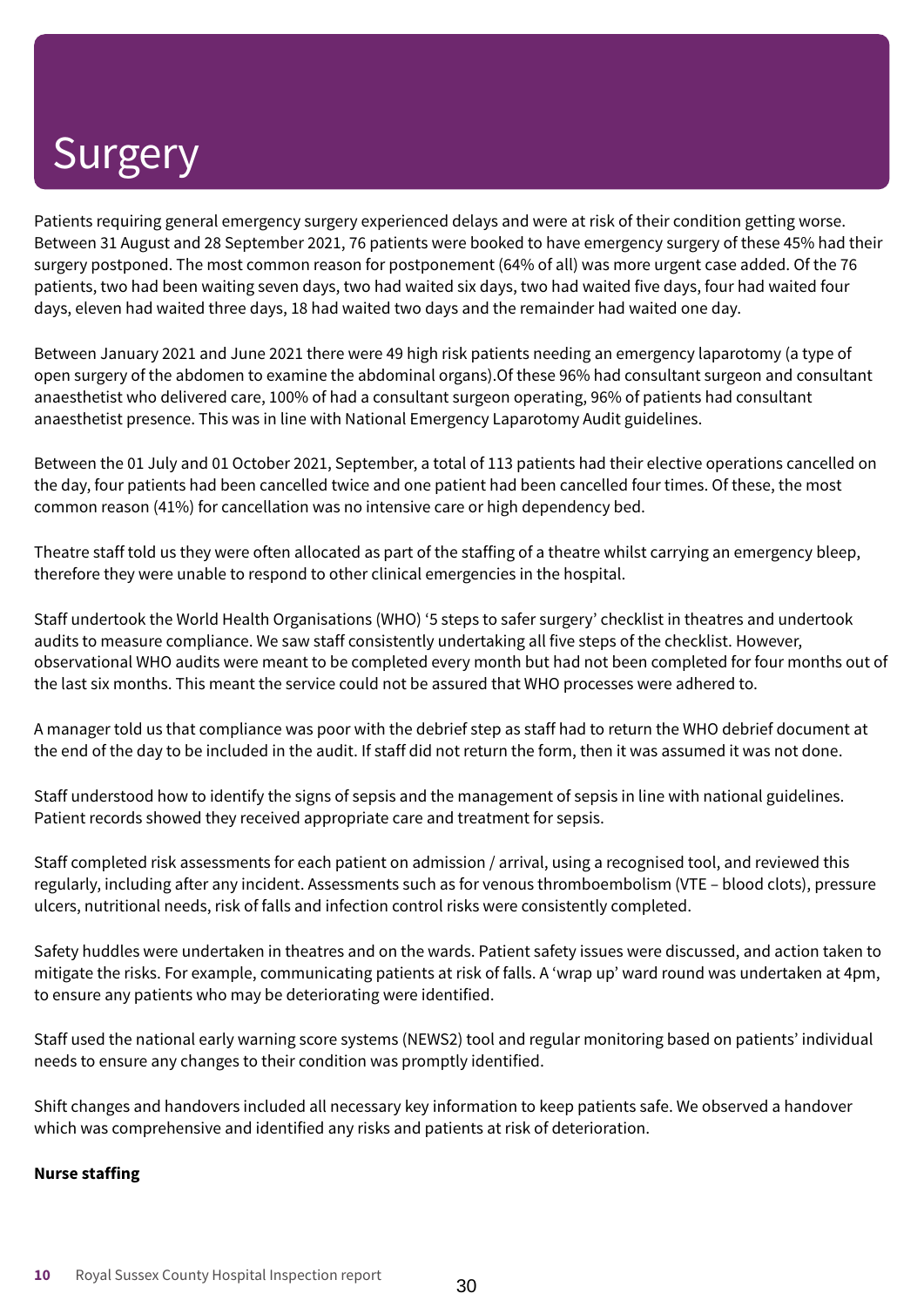Patients requiring general emergency surgery experienced delays and were at risk of their condition getting worse. Between 31 August and 28 September 2021, 76 patients were booked to have emergency surgery of these 45% had their surgery postponed. The most common reason for postponement (64% of all) was more urgent case added. Of the 76 patients, two had been waiting seven days, two had waited six days, two had waited five days, four had waited four days, eleven had waited three days, 18 had waited two days and the remainder had waited one day.

Between January 2021 and June 2021 there were 49 high risk patients needing an emergency laparotomy (a type of open surgery of the abdomen to examine the abdominal organs).Of these 96% had consultant surgeon and consultant anaesthetist who delivered care, 100% of had a consultant surgeon operating, 96% of patients had consultant anaesthetist presence. This was in line with National Emergency Laparotomy Audit guidelines.

Between the 01 July and 01 October 2021, September, a total of 113 patients had their elective operations cancelled on the day, four patients had been cancelled twice and one patient had been cancelled four times. Of these, the most common reason (41%) for cancellation was no intensive care or high dependency bed.

Theatre staff told us they were often allocated as part of the staffing of a theatre whilst carrying an emergency bleep, therefore they were unable to respond to other clinical emergencies in the hospital.

Staff undertook the World Health Organisations (WHO) '5 steps to safer surgery' checklist in theatres and undertook audits to measure compliance. We saw staff consistently undertaking all five steps of the checklist. However, observational WHO audits were meant to be completed every month but had not been completed for four months out of the last six months. This meant the service could not be assured that WHO processes were adhered to.

A manager told us that compliance was poor with the debrief step as staff had to return the WHO debrief document at the end of the day to be included in the audit. If staff did not return the form, then it was assumed it was not done.

Staff understood how to identify the signs of sepsis and the management of sepsis in line with national guidelines. Patient records showed they received appropriate care and treatment for sepsis.

Staff completed risk assessments for each patient on admission / arrival, using a recognised tool, and reviewed this regularly, including after any incident. Assessments such as for venous thromboembolism (VTE – blood clots), pressure ulcers, nutritional needs, risk of falls and infection control risks were consistently completed.

Safety huddles were undertaken in theatres and on the wards. Patient safety issues were discussed, and action taken to mitigate the risks. For example, communicating patients at risk of falls. A 'wrap up' ward round was undertaken at 4pm, to ensure any patients who may be deteriorating were identified.

Staff used the national early warning score systems (NEWS2) tool and regular monitoring based on patients' individual needs to ensure any changes to their condition was promptly identified.

Shift changes and handovers included all necessary key information to keep patients safe. We observed a handover which was comprehensive and identified any risks and patients at risk of deterioration.

### **Nurse staffing**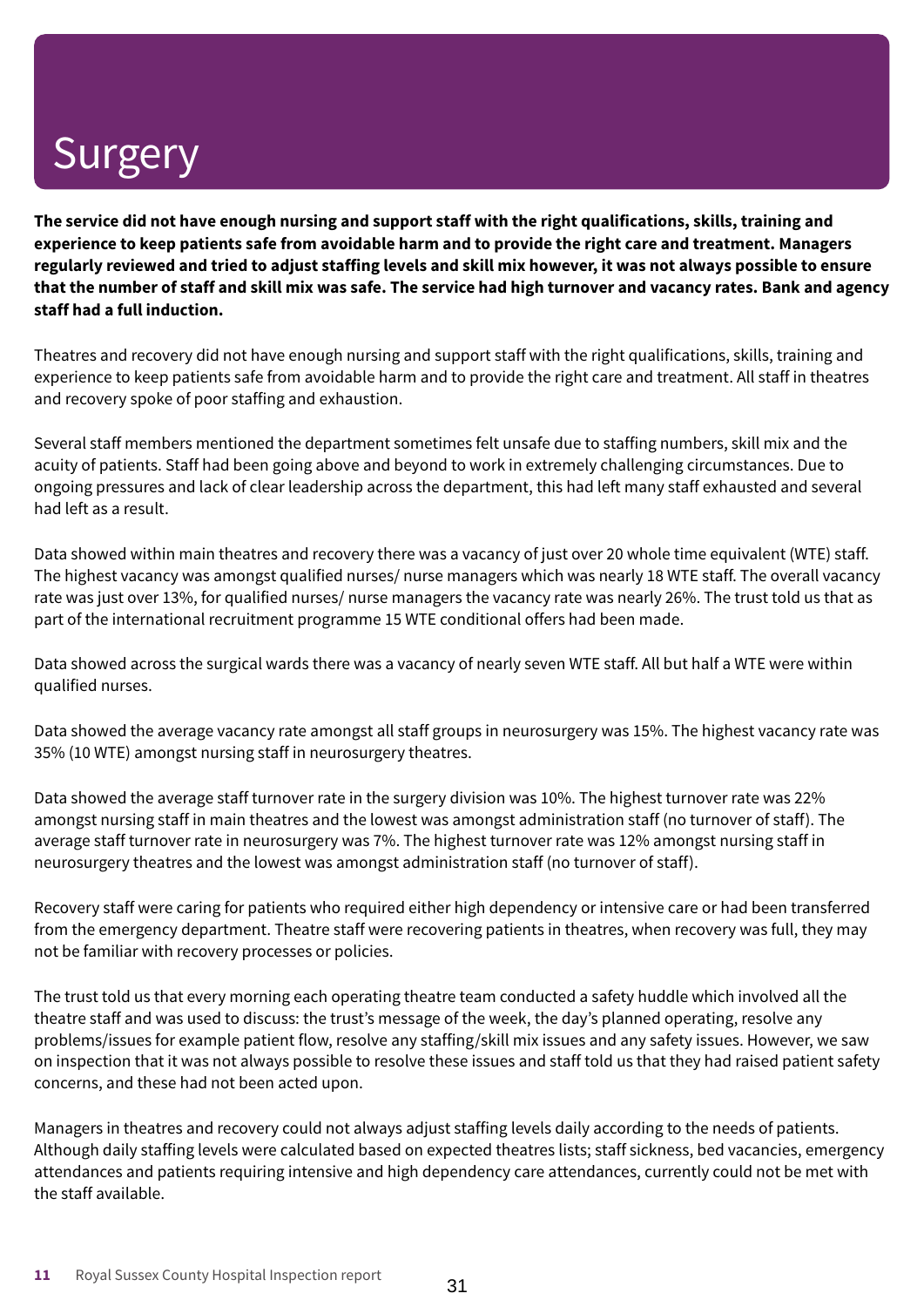The service did not have enough nursing and support staff with the right qualifications, skills, training and experience to keep patients safe from avoidable harm and to provide the right care and treatment. Managers regularly reviewed and tried to adiust staffing levels and skill mix however, it was not always possible to ensure that the number of staff and skill mix was safe. The service had high turnover and vacancy rates. Bank and agency **staff had a full induction.**

Theatres and recovery did not have enough nursing and support staff with the right qualifications, skills, training and experience to keep patients safe from avoidable harm and to provide the right care and treatment. All staff in theatres and recovery spoke of poor staffing and exhaustion.

Several staff members mentioned the department sometimes felt unsafe due to staffing numbers, skill mix and the acuity of patients. Staff had been going above and beyond to work in extremely challenging circumstances. Due to ongoing pressures and lack of clear leadership across the department, this had left many staff exhausted and several had left as a result.

Data showed within main theatres and recovery there was a vacancy of just over 20 whole time equivalent (WTE) staff. The highest vacancy was amongst qualified nurses/ nurse managers which was nearly 18 WTE staff. The overall vacancy rate was just over 13%, for qualified nurses/ nurse managers the vacancy rate was nearly 26%. The trust told us that as part of the international recruitment programme 15 WTE conditional offers had been made.

Data showed across the surgical wards there was a vacancy of nearly seven WTE staff. All but half a WTE were within qualified nurses.

Data showed the average vacancy rate amongst all staff groups in neurosurgery was 15%. The highest vacancy rate was 35% (10 WTE) amongst nursing staff in neurosurgery theatres.

Data showed the average staff turnover rate in the surgery division was 10%. The highest turnover rate was 22% amongst nursing staff in main theatres and the lowest was amongst administration staff (no turnover of staff). The average staff turnover rate in neurosurgery was 7%. The highest turnover rate was 12% amongst nursing staff in neurosurgery theatres and the lowest was amongst administration staff (no turnover of staff).

Recovery staff were caring for patients who required either high dependency or intensive care or had been transferred from the emergency department. Theatre staff were recovering patients in theatres, when recovery was full, they may not be familiar with recovery processes or policies.

The trust told us that every morning each operating theatre team conducted a safety huddle which involved all the theatre staff and was used to discuss: the trust's message of the week, the day's planned operating, resolve any problems/issues for example patient flow, resolve any staffing/skill mix issues and any safety issues. However, we saw on inspection that it was not always possible to resolve these issues and staff told us that they had raised patient safety concerns, and these had not been acted upon.

Managers in theatres and recovery could not always adjust staffing levels daily according to the needs of patients. Although daily staffing levels were calculated based on expected theatres lists; staff sickness, bed vacancies, emergency attendances and patients requiring intensive and high dependency care attendances, currently could not be met with the staff available.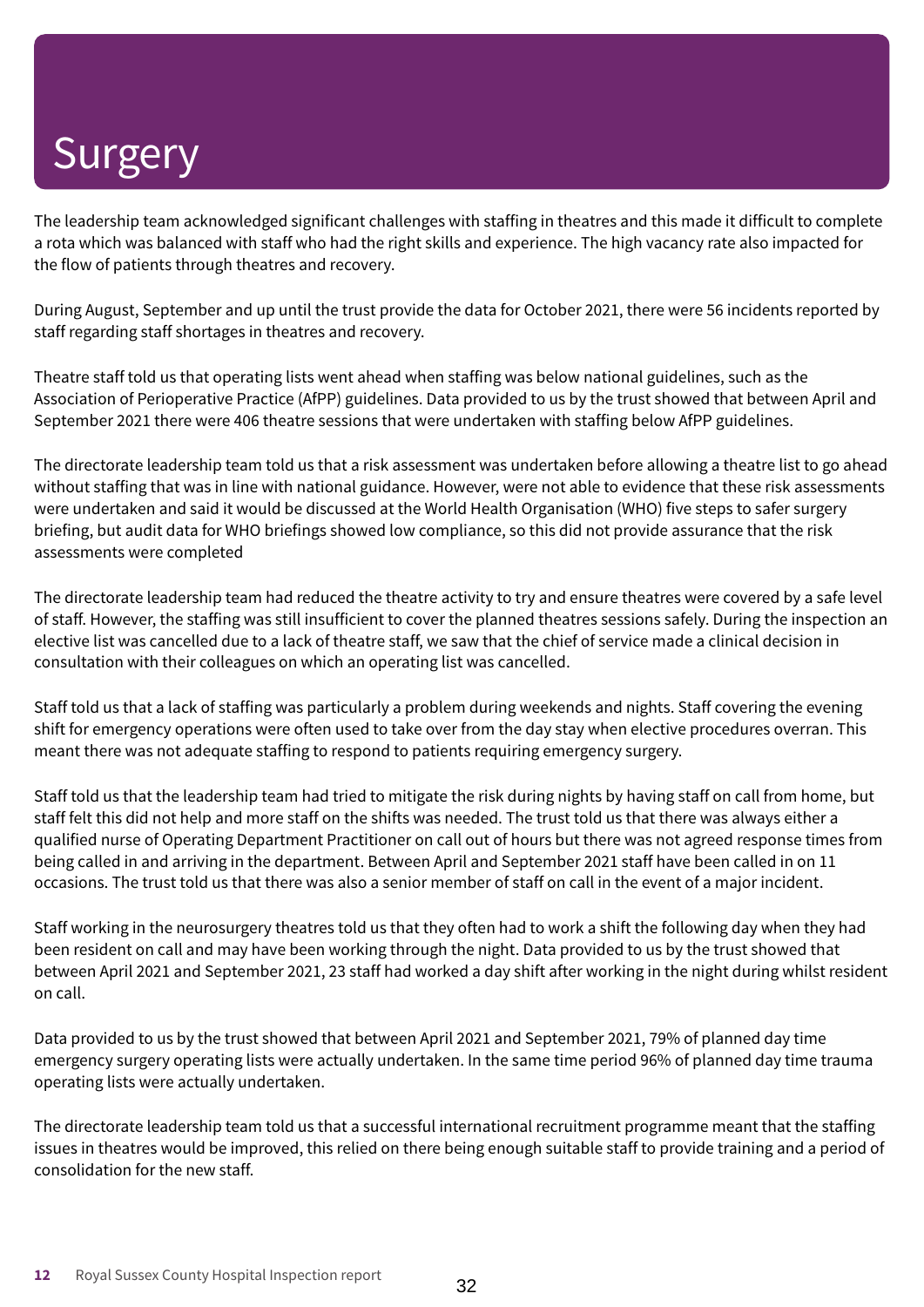The leadership team acknowledged significant challenges with staffing in theatres and this made it difficult to complete a rota which was balanced with staff who had the right skills and experience. The high vacancy rate also impacted for the flow of patients through theatres and recovery.

During August, September and up until the trust provide the data for October 2021, there were 56 incidents reported by staff regarding staff shortages in theatres and recovery.

Theatre staff told us that operating lists went ahead when staffing was below national guidelines, such as the Association of Perioperative Practice (AfPP) guidelines. Data provided to us by the trust showed that between April and September 2021 there were 406 theatre sessions that were undertaken with staffing below AfPP guidelines.

The directorate leadership team told us that a risk assessment was undertaken before allowing a theatre list to go ahead without staffing that was in line with national guidance. However, were not able to evidence that these risk assessments were undertaken and said it would be discussed at the World Health Organisation (WHO) five steps to safer surgery briefing, but audit data for WHO briefings showed low compliance, so this did not provide assurance that the risk assessments were completed

The directorate leadership team had reduced the theatre activity to try and ensure theatres were covered by a safe level of staff. However, the staffing was still insufficient to cover the planned theatres sessions safely. During the inspection an elective list was cancelled due to a lack of theatre staff, we saw that the chief of service made a clinical decision in consultation with their colleagues on which an operating list was cancelled.

Staff told us that a lack of staffing was particularly a problem during weekends and nights. Staff covering the evening shift for emergency operations were often used to take over from the day stay when elective procedures overran. This meant there was not adequate staffing to respond to patients requiring emergency surgery.

Staff told us that the leadership team had tried to mitigate the risk during nights by having staff on call from home, but staff felt this did not help and more staff on the shifts was needed. The trust told us that there was always either a qualified nurse of Operating Department Practitioner on call out of hours but there was not agreed response times from being called in and arriving in the department. Between April and September 2021 staff have been called in on 11 occasions. The trust told us that there was also a senior member of staff on call in the event of a major incident.

Staff working in the neurosurgery theatres told us that they often had to work a shift the following day when they had been resident on call and may have been working through the night. Data provided to us by the trust showed that between April 2021 and September 2021, 23 staff had worked a day shift after working in the night during whilst resident on call.

Data provided to us by the trust showed that between April 2021 and September 2021, 79% of planned day time emergency surgery operating lists were actually undertaken. In the same time period 96% of planned day time trauma operating lists were actually undertaken.

The directorate leadership team told us that a successful international recruitment programme meant that the staffing issues in theatres would be improved, this relied on there being enough suitable staff to provide training and a period of consolidation for the new staff.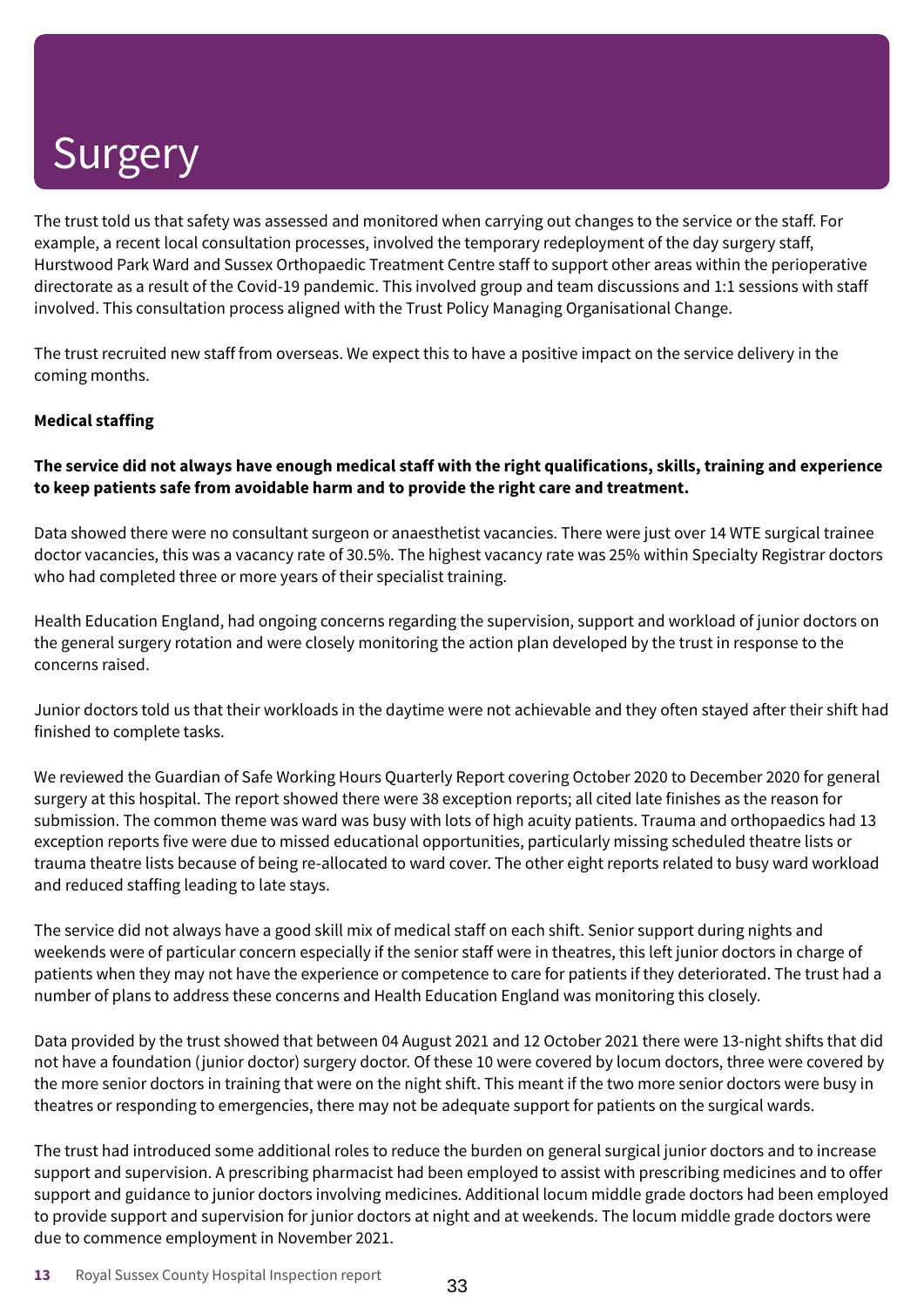The trust told us that safety was assessed and monitored when carrying out changes to the service or the staff. For example, a recent local consultation processes, involved the temporary redeployment of the day surgery staff, Hurstwood Park Ward and Sussex Orthopaedic Treatment Centre staff to support other areas within the perioperative directorate as a result of the Covid-19 pandemic. This involved group and team discussions and 1:1 sessions with staff involved. This consultation process aligned with the Trust Policy Managing Organisational Change.

The trust recruited new staff from overseas. We expect this to have a positive impact on the service delivery in the coming months.

### **Medical staffing**

### The service did not always have enough medical staff with the right qualifications, skills, training and experience **to keep patients safe from avoidable harm and to provide the right care and treatment.**

Data showed there were no consultant surgeon or anaesthetist vacancies. There were just over 14 WTE surgical trainee doctor vacancies, this was a vacancy rate of 30.5%. The highest vacancy rate was 25% within Specialty Registrar doctors who had completed three or more years of their specialist training.

Health Education England, had ongoing concerns regarding the supervision, support and workload of junior doctors on the general surgery rotation and were closely monitoring the action plan developed by the trust in response to the concerns raised.

Junior doctors told us that their workloads in the daytime were not achievable and they often stayed after their shift had finished to complete tasks.

We reviewed the Guardian of Safe Working Hours Quarterly Report covering October 2020 to December 2020 for general surgery at this hospital. The report showed there were 38 exception reports; all cited late finishes as the reason for submission. The common theme was ward was busy with lots of high acuity patients. Trauma and orthopaedics had 13 exception reports five were due to missed educational opportunities, particularly missing scheduled theatre lists or trauma theatre lists because of being re-allocated to ward cover. The other eight reports related to busy ward workload and reduced staffing leading to late stays.

The service did not always have a good skill mix of medical staff on each shift. Senior support during nights and weekends were of particular concern especially if the senior staff were in theatres, this left junior doctors in charge of patients when they may not have the experience or competence to care for patients if they deteriorated. The trust had a number of plans to address these concerns and Health Education England was monitoring this closely.

Data provided by the trust showed that between 04 August 2021 and 12 October 2021 there were 13-night shifts that did not have a foundation (junior doctor) surgery doctor. Of these 10 were covered by locum doctors, three were covered by the more senior doctors in training that were on the night shift. This meant if the two more senior doctors were busy in theatres or responding to emergencies, there may not be adequate support for patients on the surgical wards.

The trust had introduced some additional roles to reduce the burden on general surgical junior doctors and to increase support and supervision. A prescribing pharmacist had been employed to assist with prescribing medicines and to offer support and guidance to junior doctors involving medicines. Additional locum middle grade doctors had been employed to provide support and supervision for junior doctors at night and at weekends. The locum middle grade doctors were due to commence employment in November 2021.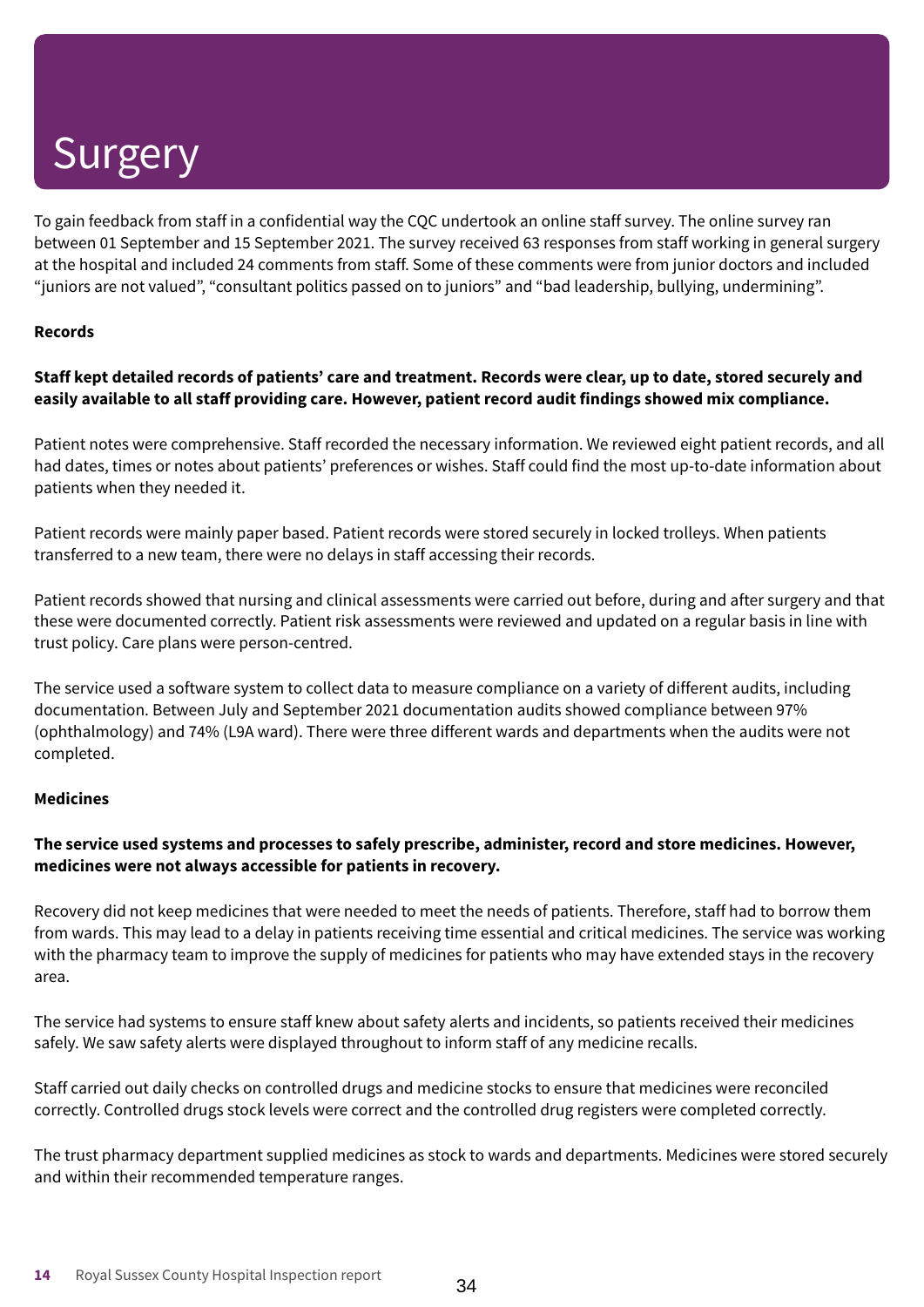To gain feedback from staff in a confidential way the CQC undertook an online staff survey. The online survey ran between 01 September and 15 September 2021. The survey received 63 responses from staff working in general surgery at the hospital and included 24 comments from staff. Some of these comments were from junior doctors and included "juniors are not valued", "consultant politics passed on to juniors" and "bad leadership, bullying, undermining".

### **Records**

### Staff kept detailed records of patients' care and treatment. Records were clear, up to date, stored securely and **easily available to all staff providing care. However, patient record audit findings showed mix compliance.**

Patient notes were comprehensive. Staff recorded the necessary information. We reviewed eight patient records, and all had dates, times or notes about patients' preferences or wishes. Staff could find the most up-to-date information about patients when they needed it.

Patient records were mainly paper based. Patient records were stored securely in locked trolleys. When patients transferred to a new team, there were no delays in staff accessing their records.

Patient records showed that nursing and clinical assessments were carried out before, during and after surgery and that these were documented correctly. Patient risk assessments were reviewed and updated on a regular basis in line with trust policy. Care plans were person-centred.

The service used a software system to collect data to measure compliance on a variety of different audits, including documentation. Between July and September 2021 documentation audits showed compliance between 97% (ophthalmology) and 74% (L9A ward). There were three different wards and departments when the audits were not completed.

### **Medicines**

### **The service used systems and processes to safely prescribe, administer, record and store medicines. However, medicines were not always accessible for patients in recovery.**

Recovery did not keep medicines that were needed to meet the needs of patients. Therefore, staff had to borrow them from wards. This may lead to a delay in patients receiving time essential and critical medicines. The service was working with the pharmacy team to improve the supply of medicines for patients who may have extended stays in the recovery area.

The service had systems to ensure staff knew about safety alerts and incidents, so patients received their medicines safely. We saw safety alerts were displayed throughout to inform staff of any medicine recalls.

Staff carried out daily checks on controlled drugs and medicine stocks to ensure that medicines were reconciled correctly. Controlled drugs stock levels were correct and the controlled drug registers were completed correctly.

The trust pharmacy department supplied medicines as stock to wards and departments. Medicines were stored securely and within their recommended temperature ranges.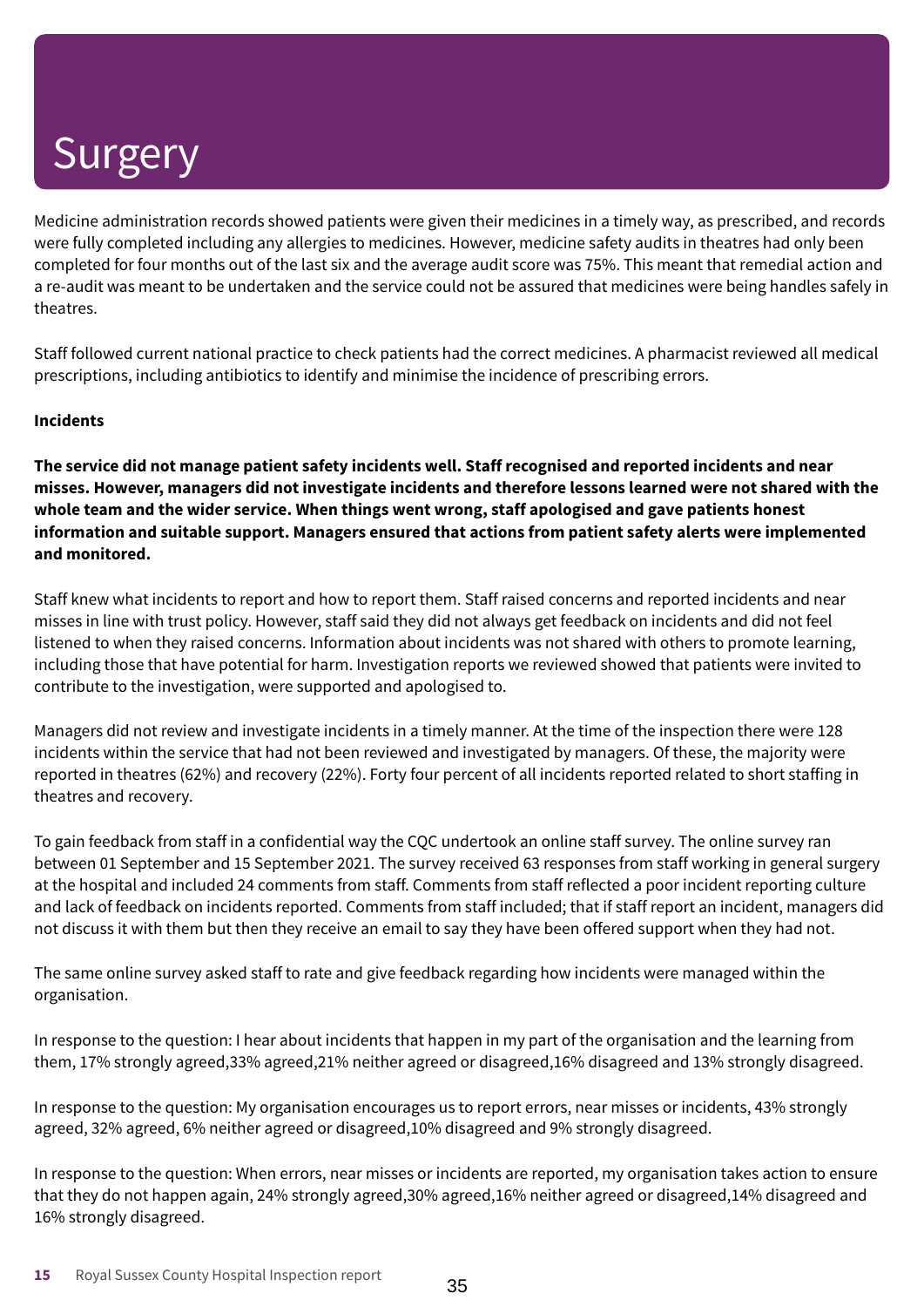Medicine administration records showed patients were given their medicines in a timely way, as prescribed, and records were fully completed including any allergies to medicines. However, medicine safety audits in theatres had only been completed for four months out of the last six and the average audit score was 75%. This meant that remedial action and a re-audit was meant to be undertaken and the service could not be assured that medicines were being handles safely in theatres.

Staff followed current national practice to check patients had the correct medicines. A pharmacist reviewed all medical prescriptions, including antibiotics to identify and minimise the incidence of prescribing errors.

### **Incidents**

**The service did not manage patient safety incidents well. Staff recognised and reported incidents and near misses. However, managers did not investigate incidents and therefore lessons learned were not shared with the whole team and the wider service. When things went wrong, staff apologised and gave patients honest information and suitable support. Managers ensured that actions from patient safety alerts were implemented and monitored.**

Staff knew what incidents to report and how to report them. Staff raised concerns and reported incidents and near misses in line with trust policy. However, staff said they did not always get feedback on incidents and did not feel listened to when they raised concerns. Information about incidents was not shared with others to promote learning, including those that have potential for harm. Investigation reports we reviewed showed that patients were invited to contribute to the investigation, were supported and apologised to.

Managers did not review and investigate incidents in a timely manner. At the time of the inspection there were 128 incidents within the service that had not been reviewed and investigated by managers. Of these, the majority were reported in theatres (62%) and recovery (22%). Forty four percent of all incidents reported related to short staffing in theatres and recovery.

To gain feedback from staff in a confidential way the CQC undertook an online staff survey. The online survey ran between 01 September and 15 September 2021. The survey received 63 responses from staff working in general surgery at the hospital and included 24 comments from staff. Comments from staff reflected a poor incident reporting culture and lack of feedback on incidents reported. Comments from staff included; that if staff report an incident, managers did not discuss it with them but then they receive an email to say they have been offered support when they had not.

The same online survey asked staff to rate and give feedback regarding how incidents were managed within the organisation.

In response to the question: I hear about incidents that happen in my part of the organisation and the learning from them, 17% strongly agreed,33% agreed,21% neither agreed or disagreed,16% disagreed and 13% strongly disagreed.

In response to the question: My organisation encourages us to report errors, near misses or incidents, 43% strongly agreed, 32% agreed, 6% neither agreed or disagreed,10% disagreed and 9% strongly disagreed.

In response to the question: When errors, near misses or incidents are reported, my organisation takes action to ensure that they do not happen again, 24% strongly agreed,30% agreed,16% neither agreed or disagreed,14% disagreed and 16% strongly disagreed.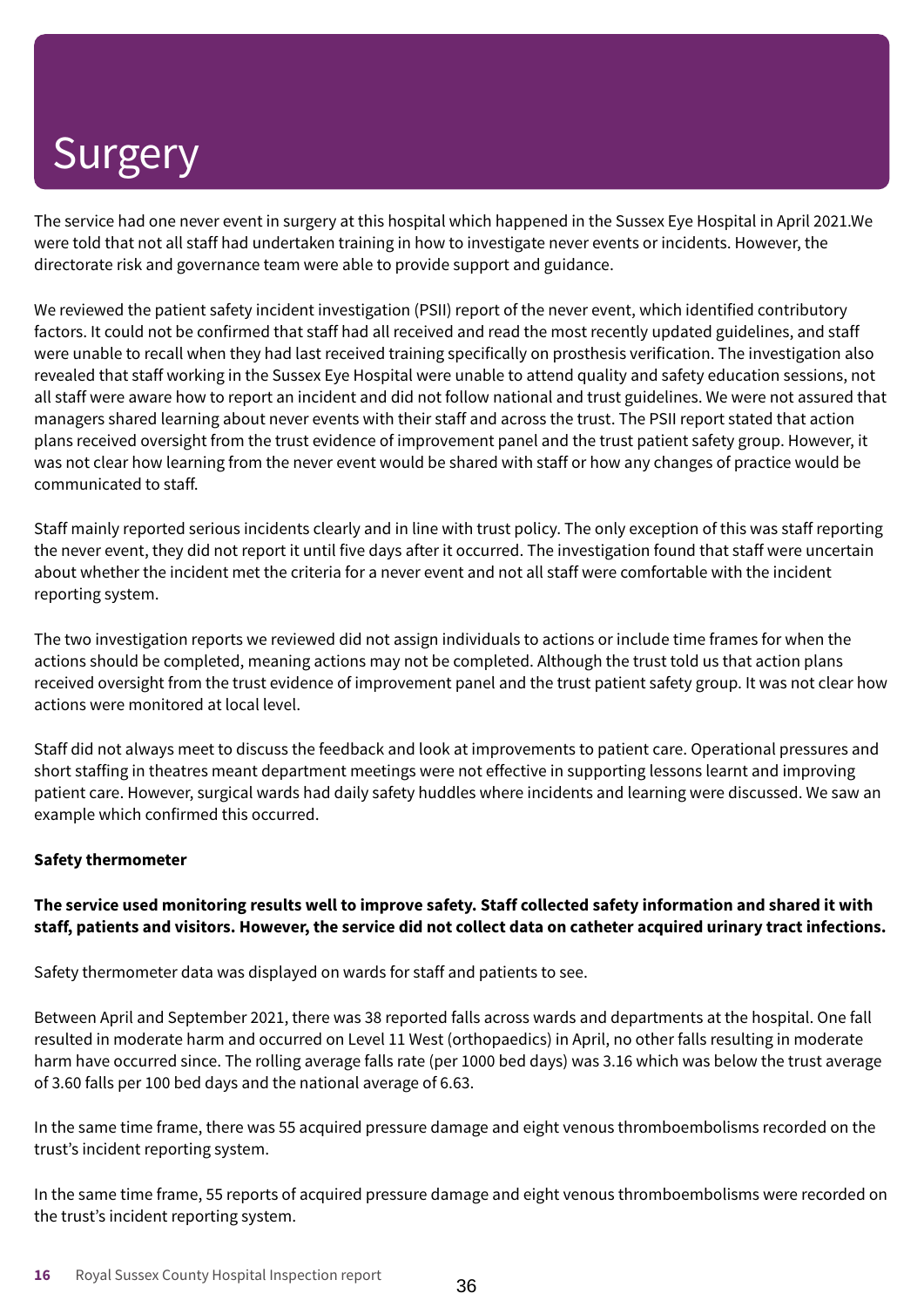The service had one never event in surgery at this hospital which happened in the Sussex Eye Hospital in April 2021.We were told that not all staff had undertaken training in how to investigate never events or incidents. However, the directorate risk and governance team were able to provide support and guidance.

We reviewed the patient safety incident investigation (PSII) report of the never event, which identified contributory factors. It could not be confirmed that staff had all received and read the most recently updated guidelines, and staff were unable to recall when they had last received training specifically on prosthesis verification. The investigation also revealed that staff working in the Sussex Eye Hospital were unable to attend quality and safety education sessions, not all staff were aware how to report an incident and did not follow national and trust guidelines. We were not assured that managers shared learning about never events with their staff and across the trust. The PSII report stated that action plans received oversight from the trust evidence of improvement panel and the trust patient safety group. However, it was not clear how learning from the never event would be shared with staff or how any changes of practice would be communicated to staff.

Staff mainly reported serious incidents clearly and in line with trust policy. The only exception of this was staff reporting the never event, they did not report it until five days after it occurred. The investigation found that staff were uncertain about whether the incident met the criteria for a never event and not all staff were comfortable with the incident reporting system.

The two investigation reports we reviewed did not assign individuals to actions or include time frames for when the actions should be completed, meaning actions may not be completed. Although the trust told us that action plans received oversight from the trust evidence of improvement panel and the trust patient safety group. It was not clear how actions were monitored at local level.

Staff did not always meet to discuss the feedback and look at improvements to patient care. Operational pressures and short staffing in theatres meant department meetings were not effective in supporting lessons learnt and improving patient care. However, surgical wards had daily safety huddles where incidents and learning were discussed. We saw an example which confirmed this occurred.

### **Safety thermometer**

### The service used monitoring results well to improve safety. Staff collected safety information and shared it with staff, patients and visitors. However, the service did not collect data on catheter acquired urinary tract infections.

Safety thermometer data was displayed on wards for staff and patients to see.

Between April and September 2021, there was 38 reported falls across wards and departments at the hospital. One fall resulted in moderate harm and occurred on Level 11 West (orthopaedics) in April, no other falls resulting in moderate harm have occurred since. The rolling average falls rate (per 1000 bed days) was 3.16 which was below the trust average of 3.60 falls per 100 bed days and the national average of 6.63.

In the same time frame, there was 55 acquired pressure damage and eight venous thromboembolisms recorded on the trust's incident reporting system.

In the same time frame, 55 reports of acquired pressure damage and eight venous thromboembolisms were recorded on the trust's incident reporting system.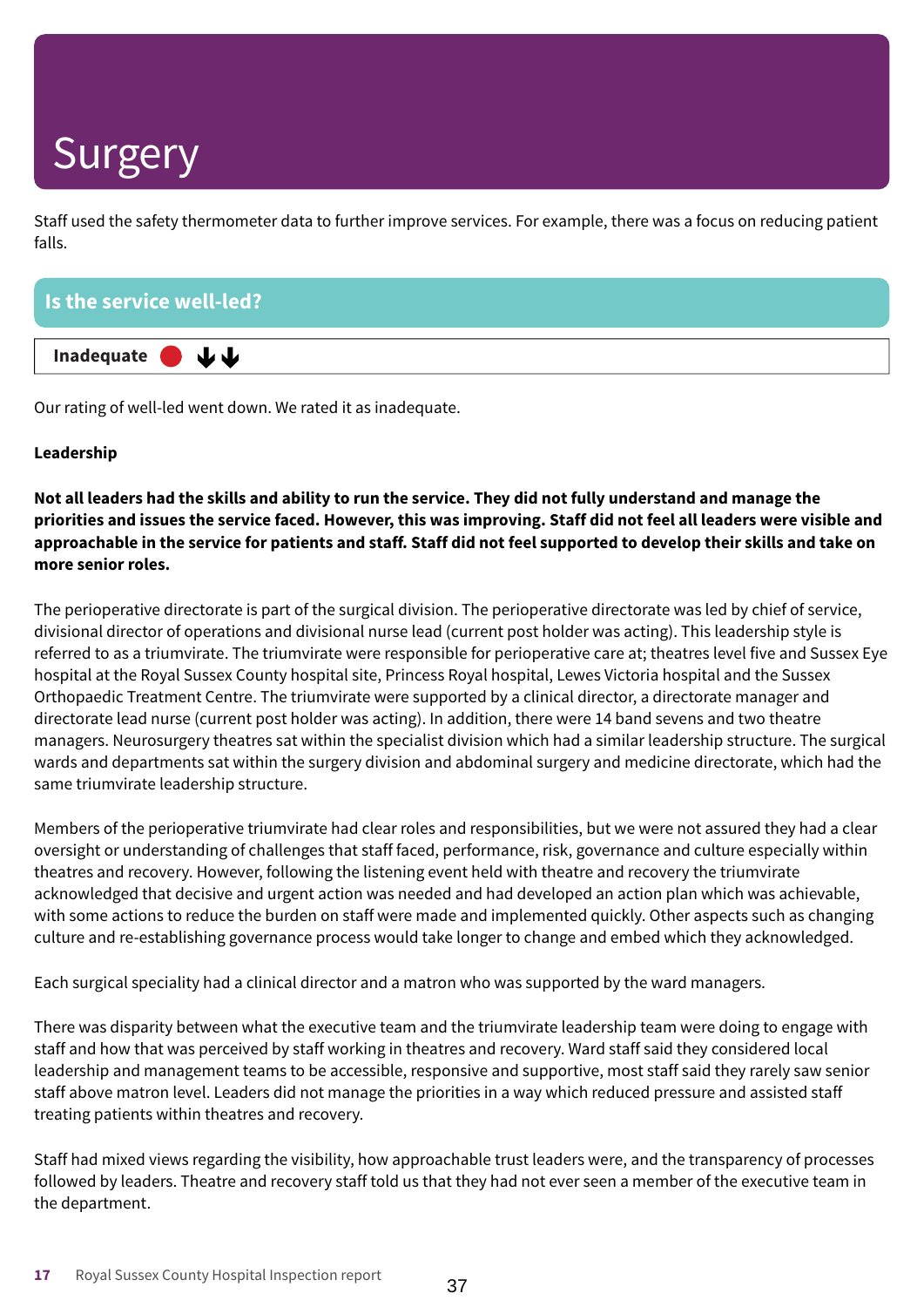Staff used the safety thermometer data to further improve services. For example, there was a focus on reducing patient falls.

| Is the service well-led? |  |
|--------------------------|--|
| Inadequate $\bigcup$     |  |

Our rating of well-led went down. We rated it as inadequate.

### **Leadership**

Not all leaders had the skills and ability to run the service. They did not fully understand and manage the priorities and issues the service faced. However, this was improving. Staff did not feel all leaders were visible and approachable in the service for patients and staff. Staff did not feel supported to develop their skills and take on **more senior roles.**

The perioperative directorate is part of the surgical division. The perioperative directorate was led by chief of service, divisional director of operations and divisional nurse lead (current post holder was acting). This leadership style is referred to as a triumvirate. The triumvirate were responsible for perioperative care at; theatres level five and Sussex Eye hospital at the Royal Sussex County hospital site, Princess Royal hospital, Lewes Victoria hospital and the Sussex Orthopaedic Treatment Centre. The triumvirate were supported by a clinical director, a directorate manager and directorate lead nurse (current post holder was acting). In addition, there were 14 band sevens and two theatre managers. Neurosurgery theatres sat within the specialist division which had a similar leadership structure. The surgical wards and departments sat within the surgery division and abdominal surgery and medicine directorate, which had the same triumvirate leadership structure.

Members of the perioperative triumvirate had clear roles and responsibilities, but we were not assured they had a clear oversight or understanding of challenges that staff faced, performance, risk, governance and culture especially within theatres and recovery. However, following the listening event held with theatre and recovery the triumvirate acknowledged that decisive and urgent action was needed and had developed an action plan which was achievable, with some actions to reduce the burden on staff were made and implemented quickly. Other aspects such as changing culture and re-establishing governance process would take longer to change and embed which they acknowledged.

Each surgical speciality had a clinical director and a matron who was supported by the ward managers.

There was disparity between what the executive team and the triumvirate leadership team were doing to engage with staff and how that was perceived by staff working in theatres and recovery. Ward staff said they considered local leadership and management teams to be accessible, responsive and supportive, most staff said they rarely saw senior staff above matron level. Leaders did not manage the priorities in a way which reduced pressure and assisted staff treating patients within theatres and recovery.

Staff had mixed views regarding the visibility, how approachable trust leaders were, and the transparency of processes followed by leaders. Theatre and recovery staff told us that they had not ever seen a member of the executive team in the department.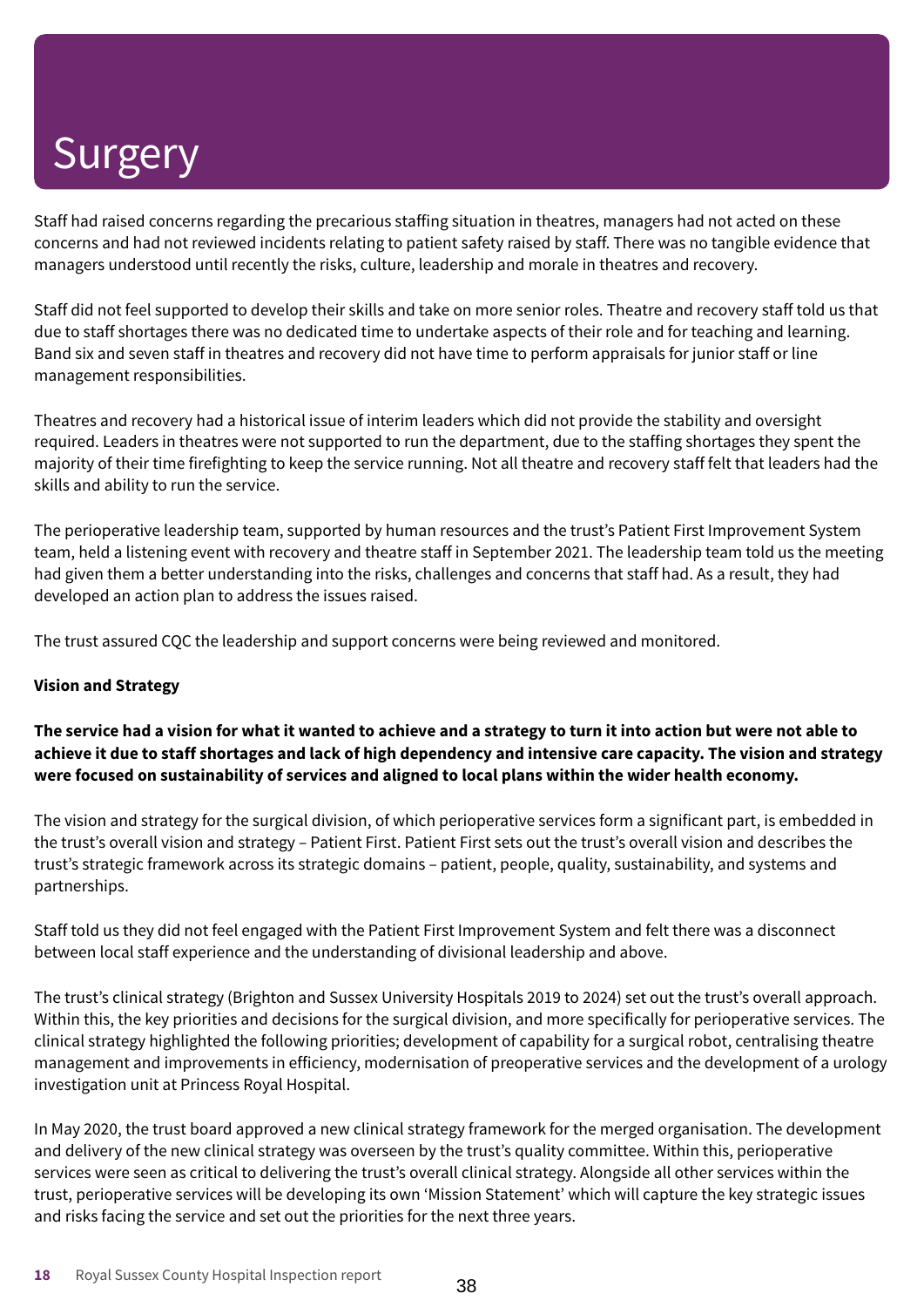Staff had raised concerns regarding the precarious staffing situation in theatres, managers had not acted on these concerns and had not reviewed incidents relating to patient safety raised by staff. There was no tangible evidence that managers understood until recently the risks, culture, leadership and morale in theatres and recovery.

Staff did not feel supported to develop their skills and take on more senior roles. Theatre and recovery staff told us that due to staff shortages there was no dedicated time to undertake aspects of their role and for teaching and learning. Band six and seven staff in theatres and recovery did not have time to perform appraisals for junior staff or line management responsibilities.

Theatres and recovery had a historical issue of interim leaders which did not provide the stability and oversight required. Leaders in theatres were not supported to run the department, due to the staffing shortages they spent the majority of their time firefighting to keep the service running. Not all theatre and recovery staff felt that leaders had the skills and ability to run the service.

The perioperative leadership team, supported by human resources and the trust's Patient First Improvement System team, held a listening event with recovery and theatre staff in September 2021. The leadership team told us the meeting had given them a better understanding into the risks, challenges and concerns that staff had. As a result, they had developed an action plan to address the issues raised.

The trust assured CQC the leadership and support concerns were being reviewed and monitored.

### **Vision and Strategy**

The service had a vision for what it wanted to achieve and a strategy to turn it into action but were not able to achieve it due to staff shortages and lack of high dependency and intensive care capacity. The vision and strategy **were focused on sustainability of services and aligned to local plans within the wider health economy.**

The vision and strategy for the surgical division, of which perioperative services form a significant part, is embedded in the trust's overall vision and strategy – Patient First. Patient First sets out the trust's overall vision and describes the trust's strategic framework across its strategic domains – patient, people, quality, sustainability, and systems and partnerships.

Staff told us they did not feel engaged with the Patient First Improvement System and felt there was a disconnect between local staff experience and the understanding of divisional leadership and above.

The trust's clinical strategy (Brighton and Sussex University Hospitals 2019 to 2024) set out the trust's overall approach. Within this, the key priorities and decisions for the surgical division, and more specifically for perioperative services. The clinical strategy highlighted the following priorities; development of capability for a surgical robot, centralising theatre management and improvements in efficiency, modernisation of preoperative services and the development of a urology investigation unit at Princess Royal Hospital.

In May 2020, the trust board approved a new clinical strategy framework for the merged organisation. The development and delivery of the new clinical strategy was overseen by the trust's quality committee. Within this, perioperative services were seen as critical to delivering the trust's overall clinical strategy. Alongside all other services within the trust, perioperative services will be developing its own 'Mission Statement' which will capture the key strategic issues and risks facing the service and set out the priorities for the next three years.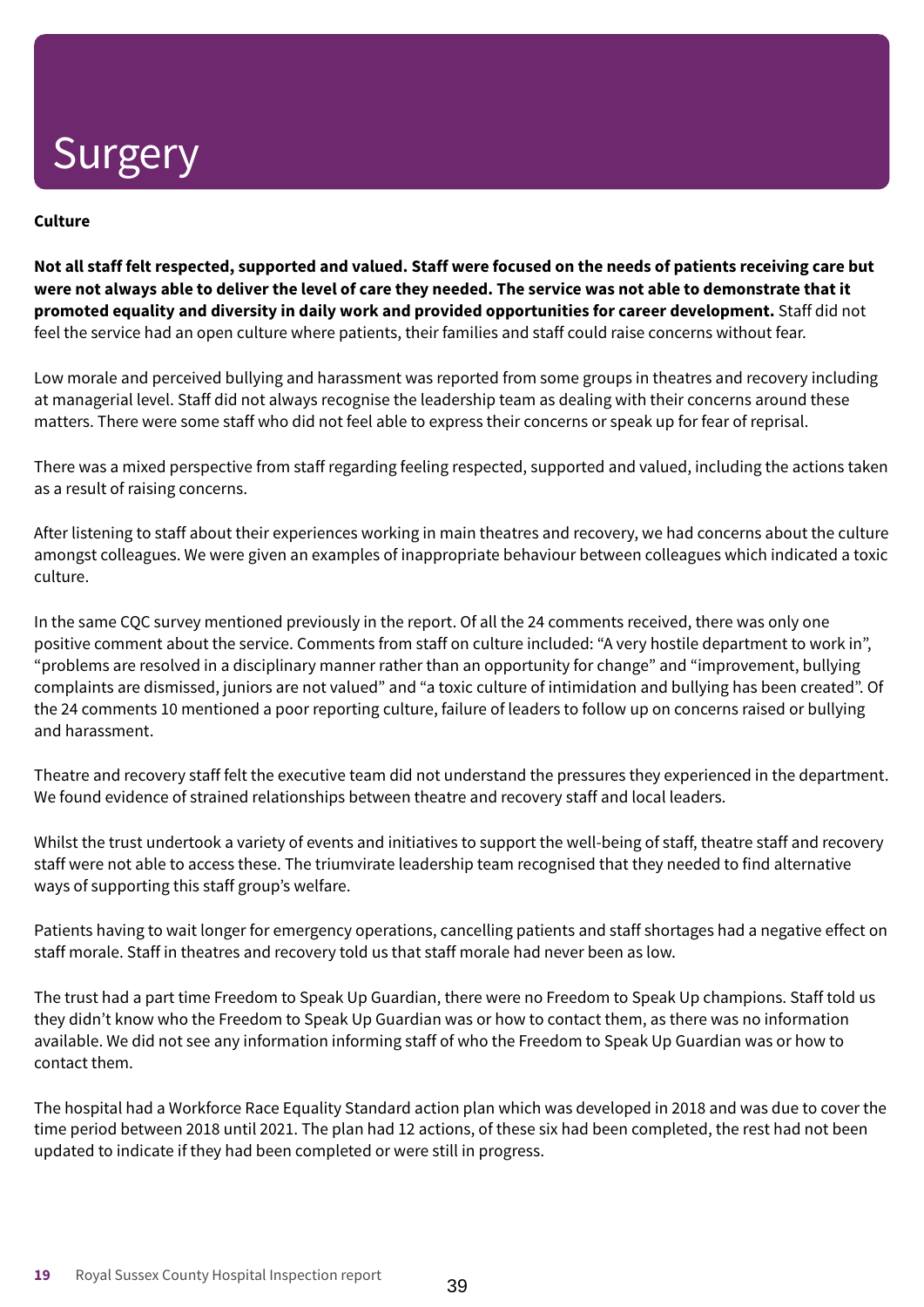### **Culture**

Not all staff felt respected, supported and valued. Staff were focused on the needs of patients receiving care but were not always able to deliver the level of care they needed. The service was not able to demonstrate that it **promoted equality and diversity in daily work and provided opportunities for career development.** Staff did not feel the service had an open culture where patients, their families and staff could raise concerns without fear.

Low morale and perceived bullying and harassment was reported from some groups in theatres and recovery including at managerial level. Staff did not always recognise the leadership team as dealing with their concerns around these matters. There were some staff who did not feel able to express their concerns or speak up for fear of reprisal.

There was a mixed perspective from staff regarding feeling respected, supported and valued, including the actions taken as a result of raising concerns.

After listening to staff about their experiences working in main theatres and recovery, we had concerns about the culture amongst colleagues. We were given an examples of inappropriate behaviour between colleagues which indicated a toxic culture.

In the same CQC survey mentioned previously in the report. Of all the 24 comments received, there was only one positive comment about the service. Comments from staff on culture included: "A very hostile department to work in", "problems are resolved in a disciplinary manner rather than an opportunity for change" and "improvement, bullying complaints are dismissed, juniors are not valued" and "a toxic culture of intimidation and bullying has been created". Of the 24 comments 10 mentioned a poor reporting culture, failure of leaders to follow up on concerns raised or bullying and harassment.

Theatre and recovery staff felt the executive team did not understand the pressures they experienced in the department. We found evidence of strained relationships between theatre and recovery staff and local leaders.

Whilst the trust undertook a variety of events and initiatives to support the well-being of staff, theatre staff and recovery staff were not able to access these. The triumvirate leadership team recognised that they needed to find alternative ways of supporting this staff group's welfare.

Patients having to wait longer for emergency operations, cancelling patients and staff shortages had a negative effect on staff morale. Staff in theatres and recovery told us that staff morale had never been as low.

The trust had a part time Freedom to Speak Up Guardian, there were no Freedom to Speak Up champions. Staff told us they didn't know who the Freedom to Speak Up Guardian was or how to contact them, as there was no information available. We did not see any information informing staff of who the Freedom to Speak Up Guardian was or how to contact them.

The hospital had a Workforce Race Equality Standard action plan which was developed in 2018 and was due to cover the time period between 2018 until 2021. The plan had 12 actions, of these six had been completed, the rest had not been updated to indicate if they had been completed or were still in progress.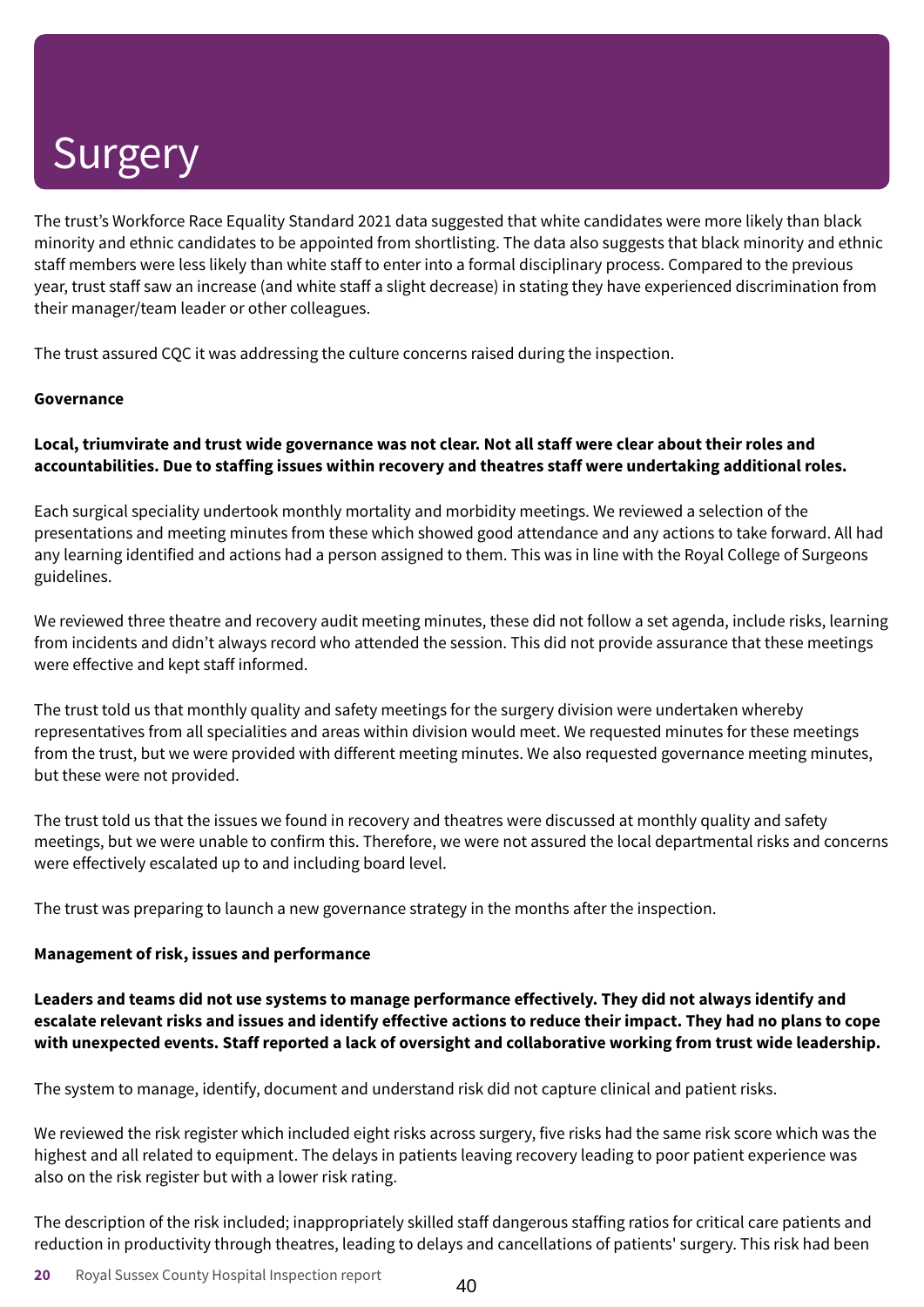The trust's Workforce Race Equality Standard 2021 data suggested that white candidates were more likely than black minority and ethnic candidates to be appointed from shortlisting. The data also suggests that black minority and ethnic staff members were less likely than white staff to enter into a formal disciplinary process. Compared to the previous year, trust staff saw an increase (and white staff a slight decrease) in stating they have experienced discrimination from their manager/team leader or other colleagues.

The trust assured CQC it was addressing the culture concerns raised during the inspection.

#### **Governance**

### Local, triumvirate and trust wide governance was not clear. Not all staff were clear about their roles and **accountabilities. Due to staffing issues within recovery and theatres staff were undertaking additional roles.**

Each surgical speciality undertook monthly mortality and morbidity meetings. We reviewed a selection of the presentations and meeting minutes from these which showed good attendance and any actions to take forward. All had any learning identified and actions had a person assigned to them. This was in line with the Royal College of Surgeons guidelines.

We reviewed three theatre and recovery audit meeting minutes, these did not follow a set agenda, include risks, learning from incidents and didn't always record who attended the session. This did not provide assurance that these meetings were effective and kept staff informed.

The trust told us that monthly quality and safety meetings for the surgery division were undertaken whereby representatives from all specialities and areas within division would meet. We requested minutes for these meetings from the trust, but we were provided with different meeting minutes. We also requested governance meeting minutes, but these were not provided.

The trust told us that the issues we found in recovery and theatres were discussed at monthly quality and safety meetings, but we were unable to confirm this. Therefore, we were not assured the local departmental risks and concerns were effectively escalated up to and including board level.

The trust was preparing to launch a new governance strategy in the months after the inspection.

### **Management of risk, issues and performance**

**Leaders and teams did not use systems to manage performance effectively. They did not always identify and** escalate relevant risks and issues and identify effective actions to reduce their impact. They had no plans to cope **with unexpected events. Staff reported a lack of oversight and collaborative working from trust wide leadership.**

The system to manage, identify, document and understand risk did not capture clinical and patient risks.

We reviewed the risk register which included eight risks across surgery, five risks had the same risk score which was the highest and all related to equipment. The delays in patients leaving recovery leading to poor patient experience was also on the risk register but with a lower risk rating.

The description of the risk included; inappropriately skilled staff dangerous staffing ratios for critical care patients and reduction in productivity through theatres, leading to delays and cancellations of patients' surgery. This risk had been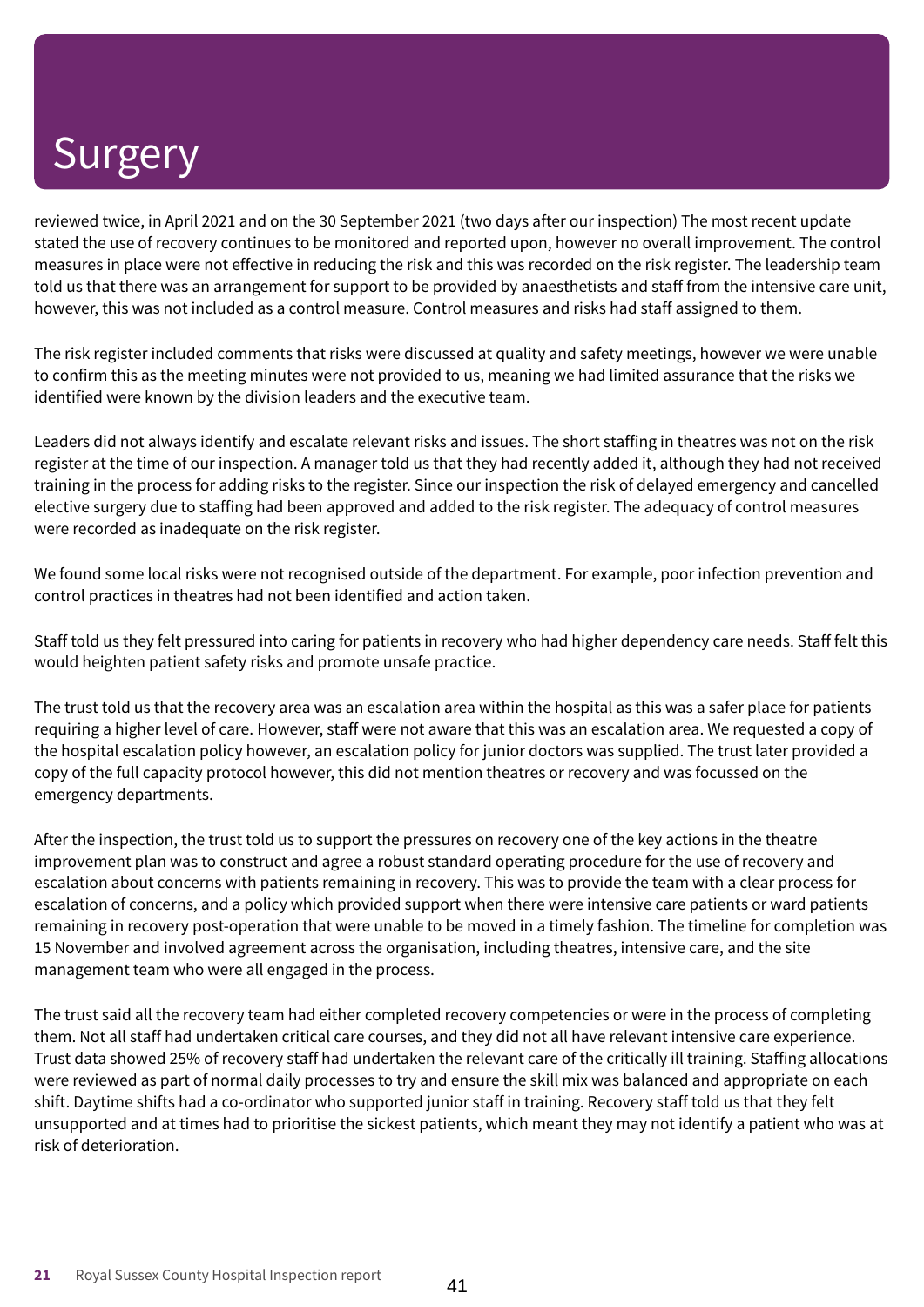reviewed twice, in April 2021 and on the 30 September 2021 (two days after our inspection) The most recent update stated the use of recovery continues to be monitored and reported upon, however no overall improvement. The control measures in place were not effective in reducing the risk and this was recorded on the risk register. The leadership team told us that there was an arrangement for support to be provided by anaesthetists and staff from the intensive care unit, however, this was not included as a control measure. Control measures and risks had staff assigned to them.

The risk register included comments that risks were discussed at quality and safety meetings, however we were unable to confirm this as the meeting minutes were not provided to us, meaning we had limited assurance that the risks we identified were known by the division leaders and the executive team.

Leaders did not always identify and escalate relevant risks and issues. The short staffing in theatres was not on the risk register at the time of our inspection. A manager told us that they had recently added it, although they had not received training in the process for adding risks to the register. Since our inspection the risk of delayed emergency and cancelled elective surgery due to staffing had been approved and added to the risk register. The adequacy of control measures were recorded as inadequate on the risk register.

We found some local risks were not recognised outside of the department. For example, poor infection prevention and control practices in theatres had not been identified and action taken.

Staff told us they felt pressured into caring for patients in recovery who had higher dependency care needs. Staff felt this would heighten patient safety risks and promote unsafe practice.

The trust told us that the recovery area was an escalation area within the hospital as this was a safer place for patients requiring a higher level of care. However, staff were not aware that this was an escalation area. We requested a copy of the hospital escalation policy however, an escalation policy for junior doctors was supplied. The trust later provided a copy of the full capacity protocol however, this did not mention theatres or recovery and was focussed on the emergency departments.

After the inspection, the trust told us to support the pressures on recovery one of the key actions in the theatre improvement plan was to construct and agree a robust standard operating procedure for the use of recovery and escalation about concerns with patients remaining in recovery. This was to provide the team with a clear process for escalation of concerns, and a policy which provided support when there were intensive care patients or ward patients remaining in recovery post-operation that were unable to be moved in a timely fashion. The timeline for completion was 15 November and involved agreement across the organisation, including theatres, intensive care, and the site management team who were all engaged in the process.

The trust said all the recovery team had either completed recovery competencies or were in the process of completing them. Not all staff had undertaken critical care courses, and they did not all have relevant intensive care experience. Trust data showed 25% of recovery staff had undertaken the relevant care of the critically ill training. Staffing allocations were reviewed as part of normal daily processes to try and ensure the skill mix was balanced and appropriate on each shift. Daytime shifts had a co-ordinator who supported junior staff in training. Recovery staff told us that they felt unsupported and at times had to prioritise the sickest patients, which meant they may not identify a patient who was at risk of deterioration.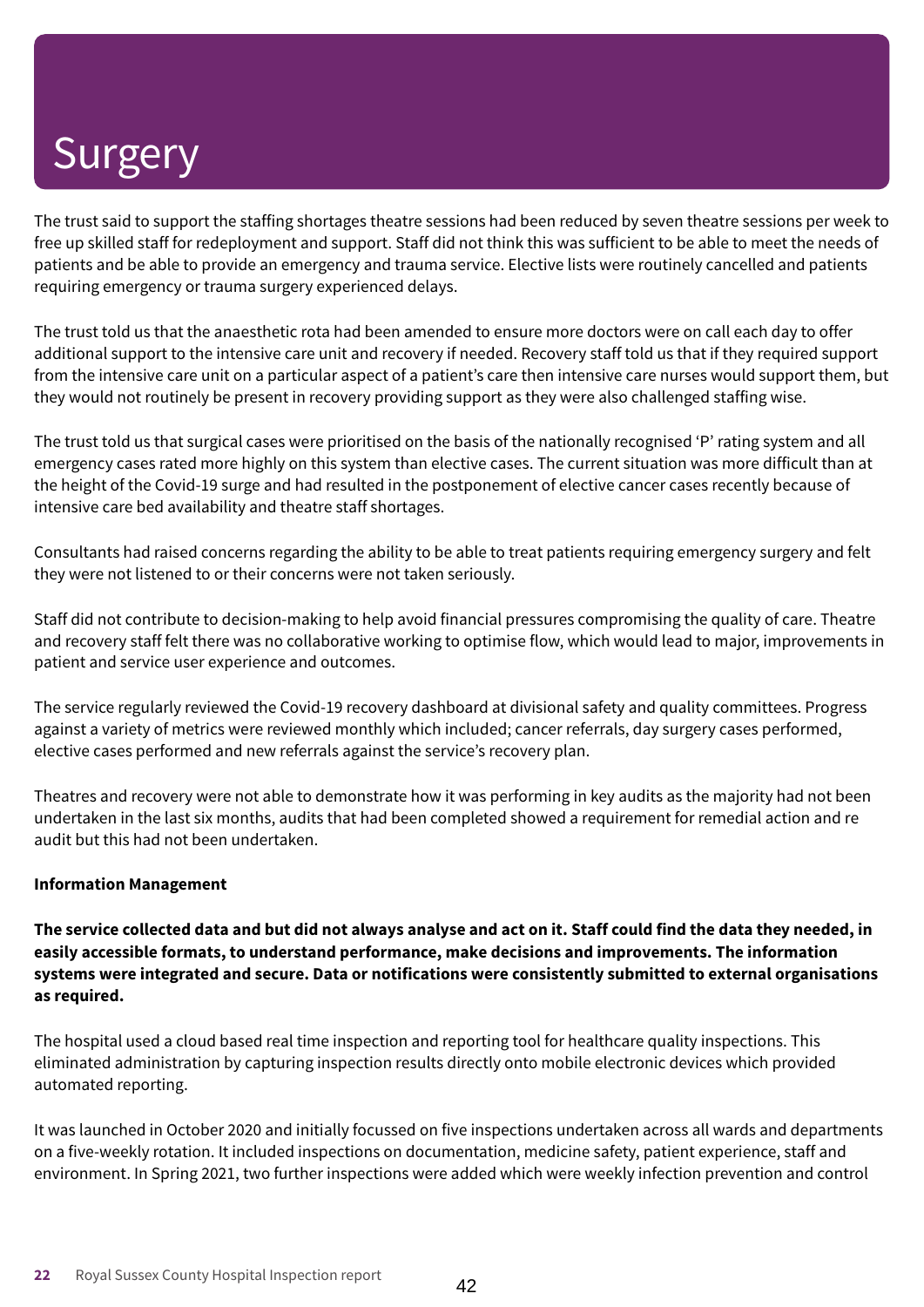The trust said to support the staffing shortages theatre sessions had been reduced by seven theatre sessions per week to free up skilled staff for redeployment and support. Staff did not think this was sufficient to be able to meet the needs of patients and be able to provide an emergency and trauma service. Elective lists were routinely cancelled and patients requiring emergency or trauma surgery experienced delays.

The trust told us that the anaesthetic rota had been amended to ensure more doctors were on call each day to offer additional support to the intensive care unit and recovery if needed. Recovery staff told us that if they required support from the intensive care unit on a particular aspect of a patient's care then intensive care nurses would support them, but they would not routinely be present in recovery providing support as they were also challenged staffing wise.

The trust told us that surgical cases were prioritised on the basis of the nationally recognised 'P' rating system and all emergency cases rated more highly on this system than elective cases. The current situation was more difficult than at the height of the Covid-19 surge and had resulted in the postponement of elective cancer cases recently because of intensive care bed availability and theatre staff shortages.

Consultants had raised concerns regarding the ability to be able to treat patients requiring emergency surgery and felt they were not listened to or their concerns were not taken seriously.

Staff did not contribute to decision-making to help avoid financial pressures compromising the quality of care. Theatre and recovery staff felt there was no collaborative working to optimise flow, which would lead to major, improvements in patient and service user experience and outcomes.

The service regularly reviewed the Covid-19 recovery dashboard at divisional safety and quality committees. Progress against a variety of metrics were reviewed monthly which included; cancer referrals, day surgery cases performed, elective cases performed and new referrals against the service's recovery plan.

Theatres and recovery were not able to demonstrate how it was performing in key audits as the majority had not been undertaken in the last six months, audits that had been completed showed a requirement for remedial action and re audit but this had not been undertaken.

### **Information Management**

The service collected data and but did not always analyse and act on it. Staff could find the data they needed, in **easily accessible formats, to understand performance, make decisions and improvements. The information systems were integrated and secure. Data or notifications were consistently submitted to external organisations as required.**

The hospital used a cloud based real time inspection and reporting tool for healthcare quality inspections. This eliminated administration by capturing inspection results directly onto mobile electronic devices which provided automated reporting.

It was launched in October 2020 and initially focussed on five inspections undertaken across all wards and departments on a five-weekly rotation. It included inspections on documentation, medicine safety, patient experience, staff and environment. In Spring 2021, two further inspections were added which were weekly infection prevention and control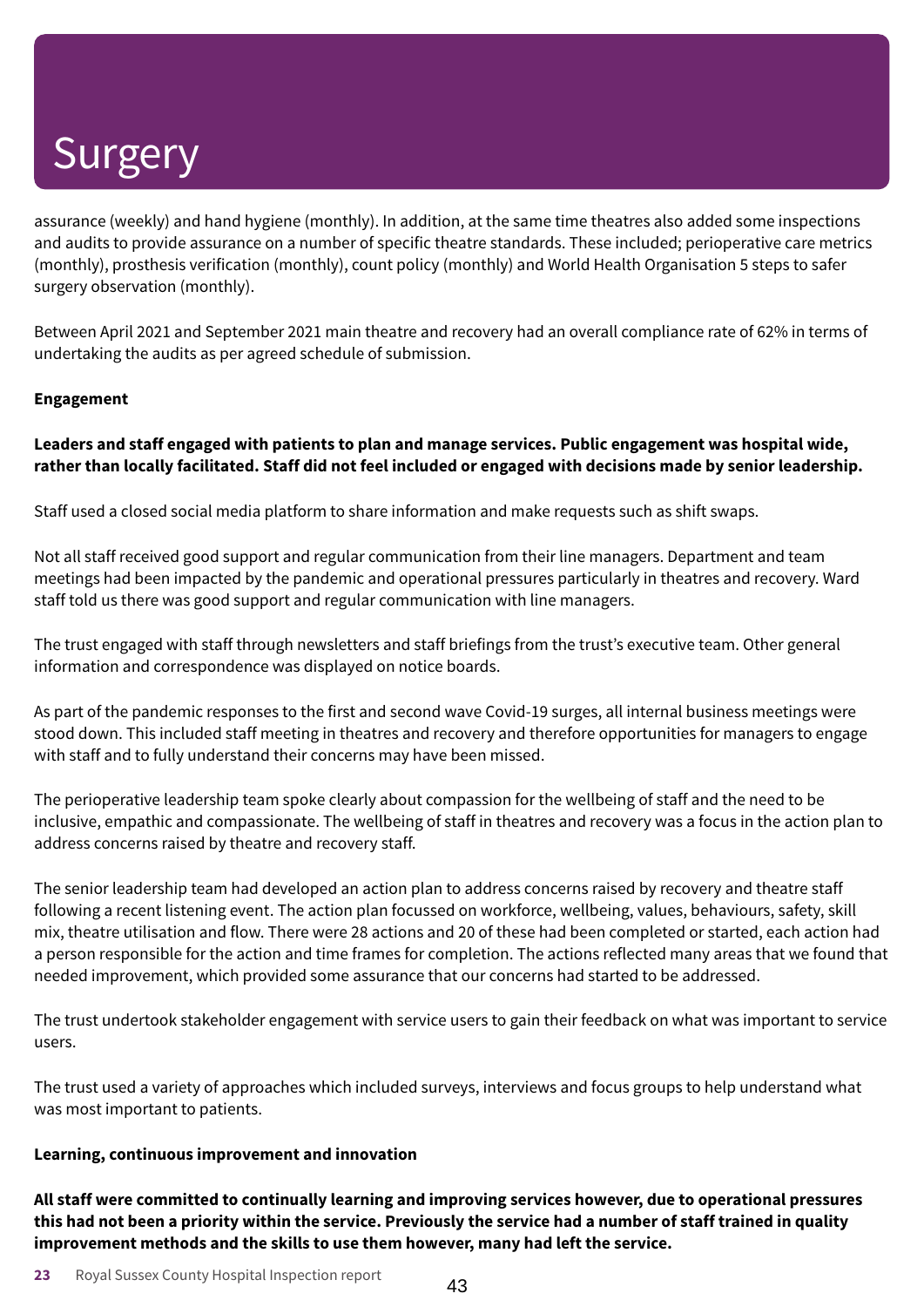assurance (weekly) and hand hygiene (monthly). In addition, at the same time theatres also added some inspections and audits to provide assurance on a number of specific theatre standards. These included; perioperative care metrics (monthly), prosthesis verification (monthly), count policy (monthly) and World Health Organisation 5 steps to safer surgery observation (monthly).

Between April 2021 and September 2021 main theatre and recovery had an overall compliance rate of 62% in terms of undertaking the audits as per agreed schedule of submission.

### **Engagement**

### **Leaders and staff engaged with patients to plan and manage services. Public engagement was hospital wide,** rather than locally facilitated. Staff did not feel included or engaged with decisions made by senior leadership.

Staff used a closed social media platform to share information and make requests such as shift swaps.

Not all staff received good support and regular communication from their line managers. Department and team meetings had been impacted by the pandemic and operational pressures particularly in theatres and recovery. Ward staff told us there was good support and regular communication with line managers.

The trust engaged with staff through newsletters and staff briefings from the trust's executive team. Other general information and correspondence was displayed on notice boards.

As part of the pandemic responses to the first and second wave Covid-19 surges, all internal business meetings were stood down. This included staff meeting in theatres and recovery and therefore opportunities for managers to engage with staff and to fully understand their concerns may have been missed.

The perioperative leadership team spoke clearly about compassion for the wellbeing of staff and the need to be inclusive, empathic and compassionate. The wellbeing of staff in theatres and recovery was a focus in the action plan to address concerns raised by theatre and recovery staff.

The senior leadership team had developed an action plan to address concerns raised by recovery and theatre staff following a recent listening event. The action plan focussed on workforce, wellbeing, values, behaviours, safety, skill mix, theatre utilisation and flow. There were 28 actions and 20 of these had been completed or started, each action had a person responsible for the action and time frames for completion. The actions reflected many areas that we found that needed improvement, which provided some assurance that our concerns had started to be addressed.

The trust undertook stakeholder engagement with service users to gain their feedback on what was important to service users.

The trust used a variety of approaches which included surveys, interviews and focus groups to help understand what was most important to patients.

#### **Learning, continuous improvement and innovation**

**All staff were committed to continually learning and improving services however, due to operational pressures** this had not been a priority within the service. Previously the service had a number of staff trained in quality **improvement methods and the skills to use them however, many had left the service.**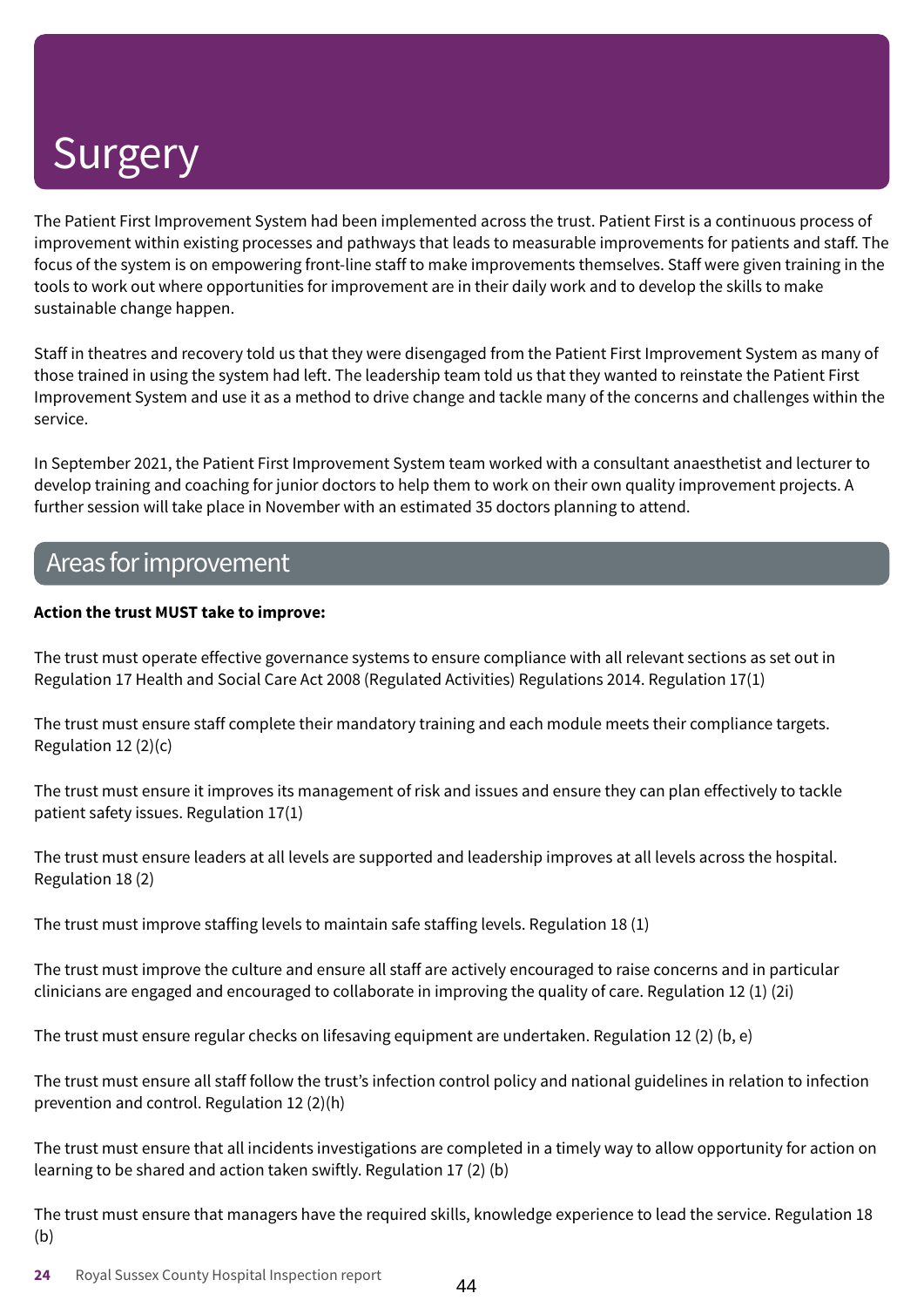The Patient First Improvement System had been implemented across the trust. Patient First is a continuous process of improvement within existing processes and pathways that leads to measurable improvements for patients and staff. The focus of the system is on empowering front-line staff to make improvements themselves. Staff were given training in the tools to work out where opportunities for improvement are in their daily work and to develop the skills to make sustainable change happen.

Staff in theatres and recovery told us that they were disengaged from the Patient First Improvement System as many of those trained in using the system had left. The leadership team told us that they wanted to reinstate the Patient First Improvement System and use it as a method to drive change and tackle many of the concerns and challenges within the service.

In September 2021, the Patient First Improvement System team worked with a consultant anaesthetist and lecturer to develop training and coaching for junior doctors to help them to work on their own quality improvement projects. A further session will take place in November with an estimated 35 doctors planning to attend.

### Areas forimprovement

### **Action the trust MUST take to improve:**

The trust must operate effective governance systems to ensure compliance with all relevant sections as set out in Regulation 17 Health and Social Care Act 2008 (Regulated Activities) Regulations 2014. Regulation 17(1)

The trust must ensure staff complete their mandatory training and each module meets their compliance targets. Regulation 12 (2)(c)

The trust must ensure it improves its management of risk and issues and ensure they can plan effectively to tackle patient safety issues. Regulation 17(1)

The trust must ensure leaders at all levels are supported and leadership improves at all levels across the hospital. Regulation 18 (2)

The trust must improve staffing levels to maintain safe staffing levels. Regulation 18 (1)

The trust must improve the culture and ensure all staff are actively encouraged to raise concerns and in particular clinicians are engaged and encouraged to collaborate in improving the quality of care. Regulation 12 (1) (2i)

The trust must ensure regular checks on lifesaving equipment are undertaken. Regulation 12 (2) (b, e)

The trust must ensure all staff follow the trust's infection control policy and national guidelines in relation to infection prevention and control. Regulation 12 (2)(h)

The trust must ensure that all incidents investigations are completed in a timely way to allow opportunity for action on learning to be shared and action taken swiftly. Regulation 17 (2) (b)

The trust must ensure that managers have the required skills, knowledge experience to lead the service. Regulation 18 (b)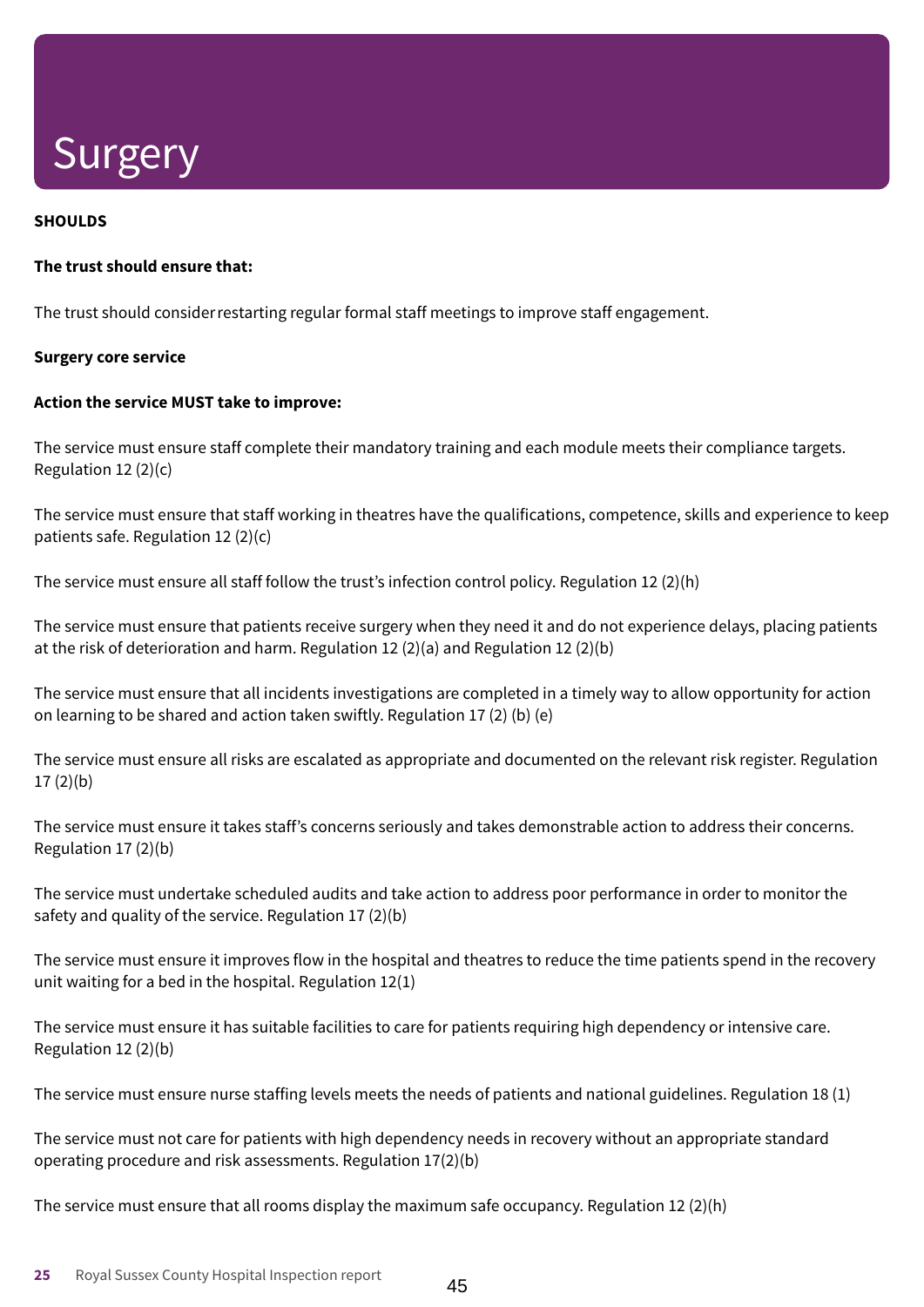### **SHOULDS**

#### **The trust should ensure that:**

The trust should considerrestarting regular formal staff meetings to improve staff engagement.

#### **Surgery core service**

#### **Action the service MUST take to improve:**

The service must ensure staff complete their mandatory training and each module meets their compliance targets. Regulation 12 (2)(c)

The service must ensure that staff working in theatres have the qualifications, competence, skills and experience to keep patients safe. Regulation 12 (2)(c)

The service must ensure all staff follow the trust's infection control policy. Regulation 12 (2)(h)

The service must ensure that patients receive surgery when they need it and do not experience delays, placing patients at the risk of deterioration and harm. Regulation 12 (2)(a) and Regulation 12 (2)(b)

The service must ensure that all incidents investigations are completed in a timely way to allow opportunity for action on learning to be shared and action taken swiftly. Regulation 17 (2) (b) (e)

The service must ensure all risks are escalated as appropriate and documented on the relevant risk register. Regulation 17 (2)(b)

The service must ensure it takes staff's concerns seriously and takes demonstrable action to address their concerns. Regulation 17 (2)(b)

The service must undertake scheduled audits and take action to address poor performance in order to monitor the safety and quality of the service. Regulation 17 (2)(b)

The service must ensure it improves flow in the hospital and theatres to reduce the time patients spend in the recovery unit waiting for a bed in the hospital. Regulation 12(1)

The service must ensure it has suitable facilities to care for patients requiring high dependency or intensive care. Regulation 12 (2)(b)

The service must ensure nurse staffing levels meets the needs of patients and national guidelines. Regulation 18 (1)

The service must not care for patients with high dependency needs in recovery without an appropriate standard operating procedure and risk assessments. Regulation 17(2)(b)

The service must ensure that all rooms display the maximum safe occupancy. Regulation 12  $(2)(h)$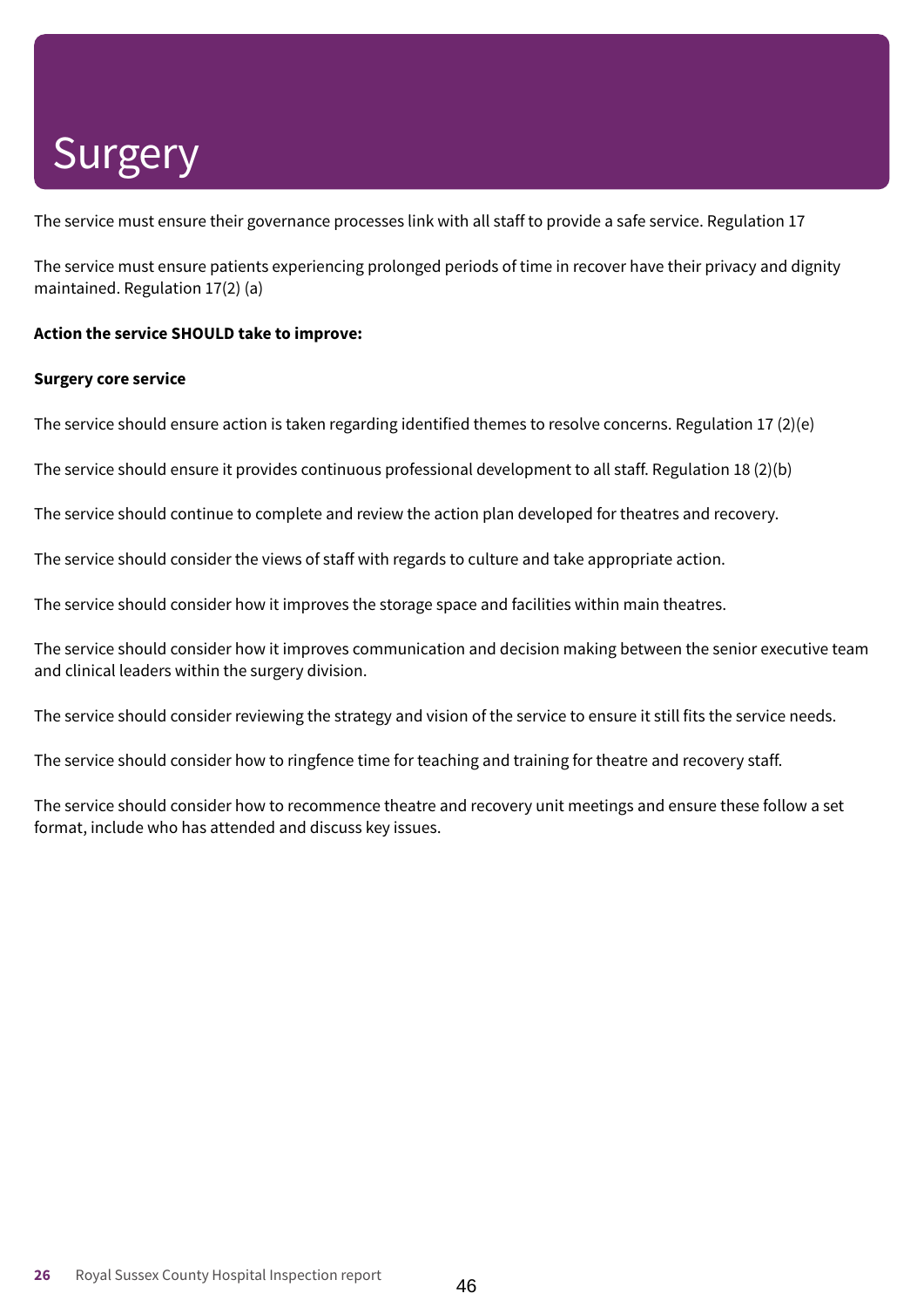The service must ensure their governance processes link with all staff to provide a safe service. Regulation 17

The service must ensure patients experiencing prolonged periods of time in recover have their privacy and dignity maintained. Regulation 17(2) (a)

#### **Action the service SHOULD take to improve:**

#### **Surgery core service**

The service should ensure action is taken regarding identified themes to resolve concerns. Regulation 17 (2)(e)

The service should ensure it provides continuous professional development to all staff. Regulation 18 (2)(b)

The service should continue to complete and review the action plan developed for theatres and recovery.

The service should consider the views of staff with regards to culture and take appropriate action.

The service should consider how it improves the storage space and facilities within main theatres.

The service should consider how it improves communication and decision making between the senior executive team and clinical leaders within the surgery division.

The service should consider reviewing the strategy and vision of the service to ensure it still fits the service needs.

The service should consider how to ringfence time for teaching and training for theatre and recovery staff.

The service should consider how to recommence theatre and recovery unit meetings and ensure these follow a set format, include who has attended and discuss key issues.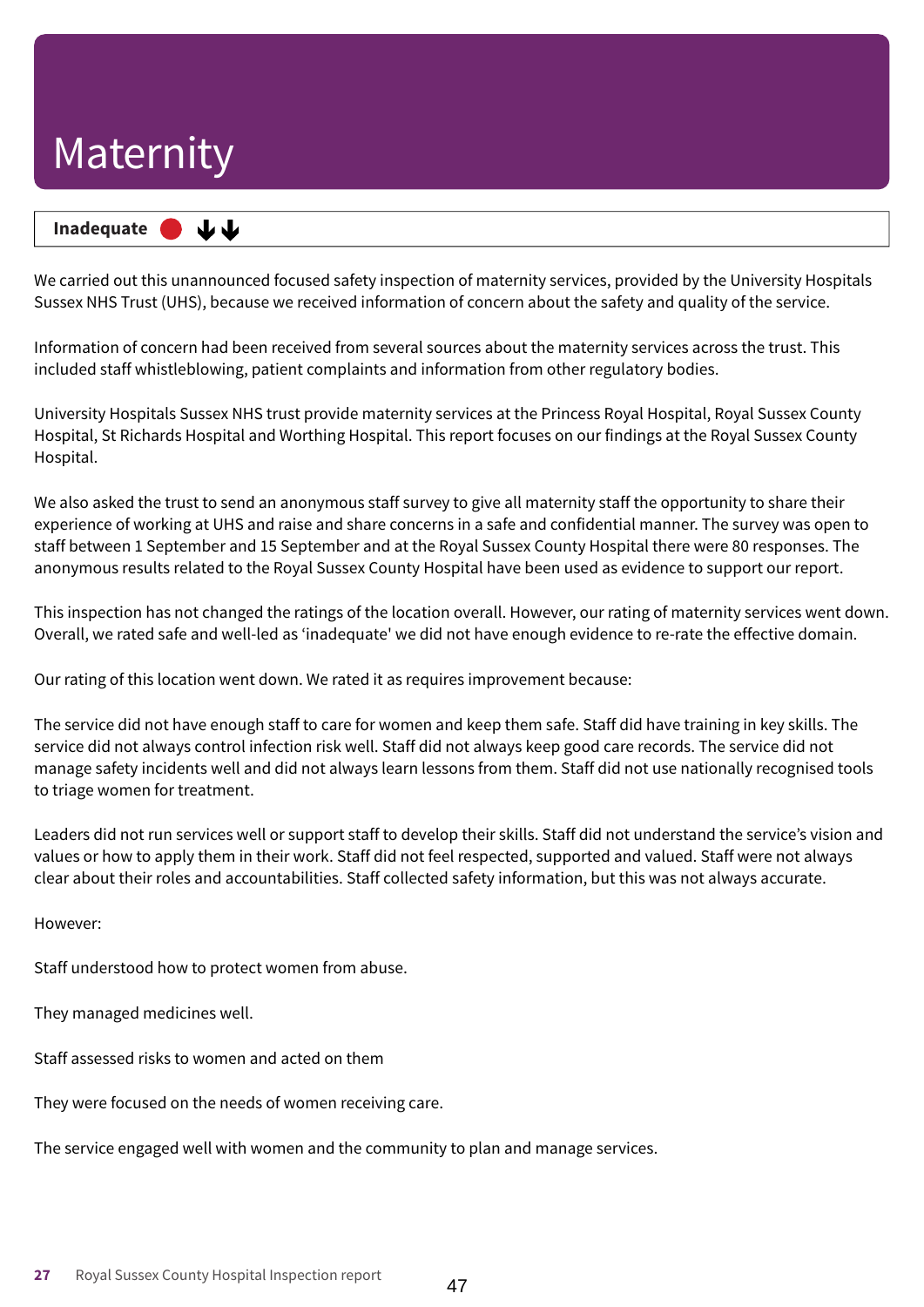### **Inadequate –––**

We carried out this unannounced focused safety inspection of maternity services, provided by the University Hospitals Sussex NHS Trust (UHS), because we received information of concern about the safety and quality of the service.

Information of concern had been received from several sources about the maternity services across the trust. This included staff whistleblowing, patient complaints and information from other regulatory bodies.

University Hospitals Sussex NHS trust provide maternity services at the Princess Royal Hospital, Royal Sussex County Hospital, St Richards Hospital and Worthing Hospital. This report focuses on our findings at the Royal Sussex County Hospital.

We also asked the trust to send an anonymous staff survey to give all maternity staff the opportunity to share their experience of working at UHS and raise and share concerns in a safe and confidential manner. The survey was open to staff between 1 September and 15 September and at the Royal Sussex County Hospital there were 80 responses. The anonymous results related to the Royal Sussex County Hospital have been used as evidence to support our report.

This inspection has not changed the ratings of the location overall. However, our rating of maternity services went down. Overall, we rated safe and well-led as 'inadequate' we did not have enough evidence to re-rate the effective domain.

Our rating of this location went down. We rated it as requires improvement because:

The service did not have enough staff to care for women and keep them safe. Staff did have training in key skills. The service did not always control infection risk well. Staff did not always keep good care records. The service did not manage safety incidents well and did not always learn lessons from them. Staff did not use nationally recognised tools to triage women for treatment.

Leaders did not run services well or support staff to develop their skills. Staff did not understand the service's vision and values or how to apply them in their work. Staff did not feel respected, supported and valued. Staff were not always clear about their roles and accountabilities. Staff collected safety information, but this was not always accurate.

However:

Staff understood how to protect women from abuse.

They managed medicines well.

Staff assessed risks to women and acted on them

They were focused on the needs of women receiving care.

The service engaged well with women and the community to plan and manage services.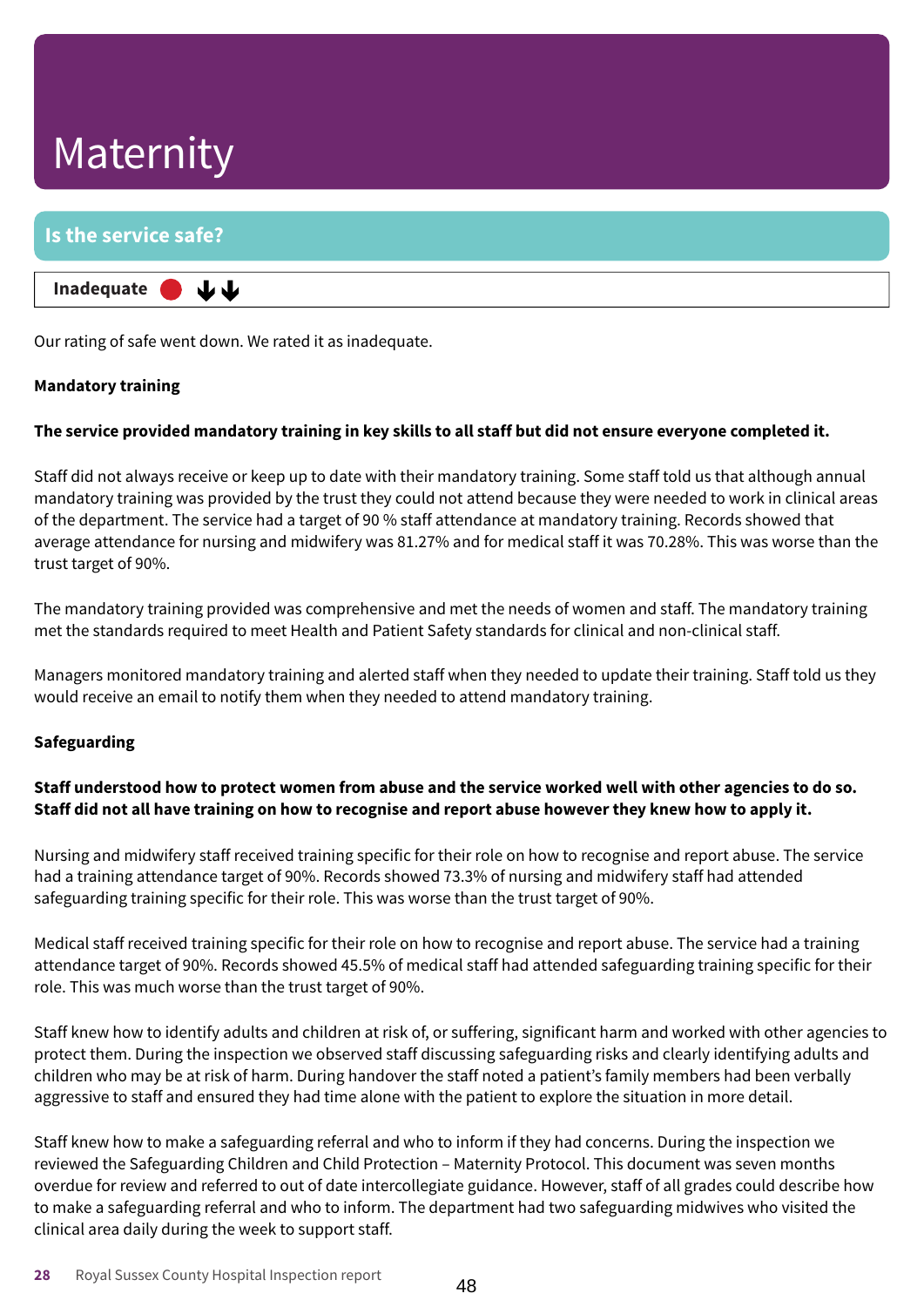### **Is the service safe? Inadequate –––** 山山

Our rating of safe went down. We rated it as inadequate.

### **Mandatory training**

### The service provided mandatory training in key skills to all staff but did not ensure everyone completed it.

Staff did not always receive or keep up to date with their mandatory training. Some staff told us that although annual mandatory training was provided by the trust they could not attend because they were needed to work in clinical areas of the department. The service had a target of 90 % staff attendance at mandatory training. Records showed that average attendance for nursing and midwifery was 81.27% and for medical staff it was 70.28%. This was worse than the trust target of 90%.

The mandatory training provided was comprehensive and met the needs of women and staff. The mandatory training met the standards required to meet Health and Patient Safety standards for clinical and non-clinical staff.

Managers monitored mandatory training and alerted staff when they needed to update their training. Staff told us they would receive an email to notify them when they needed to attend mandatory training.

### **Safeguarding**

### Staff understood how to protect women from abuse and the service worked well with other agencies to do so. Staff did not all have training on how to recognise and report abuse however they knew how to apply it.

Nursing and midwifery staff received training specific for their role on how to recognise and report abuse. The service had a training attendance target of 90%. Records showed 73.3% of nursing and midwifery staff had attended safeguarding training specific for their role. This was worse than the trust target of 90%.

Medical staff received training specific for their role on how to recognise and report abuse. The service had a training attendance target of 90%. Records showed 45.5% of medical staff had attended safeguarding training specific for their role. This was much worse than the trust target of 90%.

Staff knew how to identify adults and children at risk of, or suffering, significant harm and worked with other agencies to protect them. During the inspection we observed staff discussing safeguarding risks and clearly identifying adults and children who may be at risk of harm. During handover the staff noted a patient's family members had been verbally aggressive to staff and ensured they had time alone with the patient to explore the situation in more detail.

Staff knew how to make a safeguarding referral and who to inform if they had concerns. During the inspection we reviewed the Safeguarding Children and Child Protection – Maternity Protocol. This document was seven months overdue for review and referred to out of date intercollegiate guidance. However, staff of all grades could describe how to make a safeguarding referral and who to inform. The department had two safeguarding midwives who visited the clinical area daily during the week to support staff.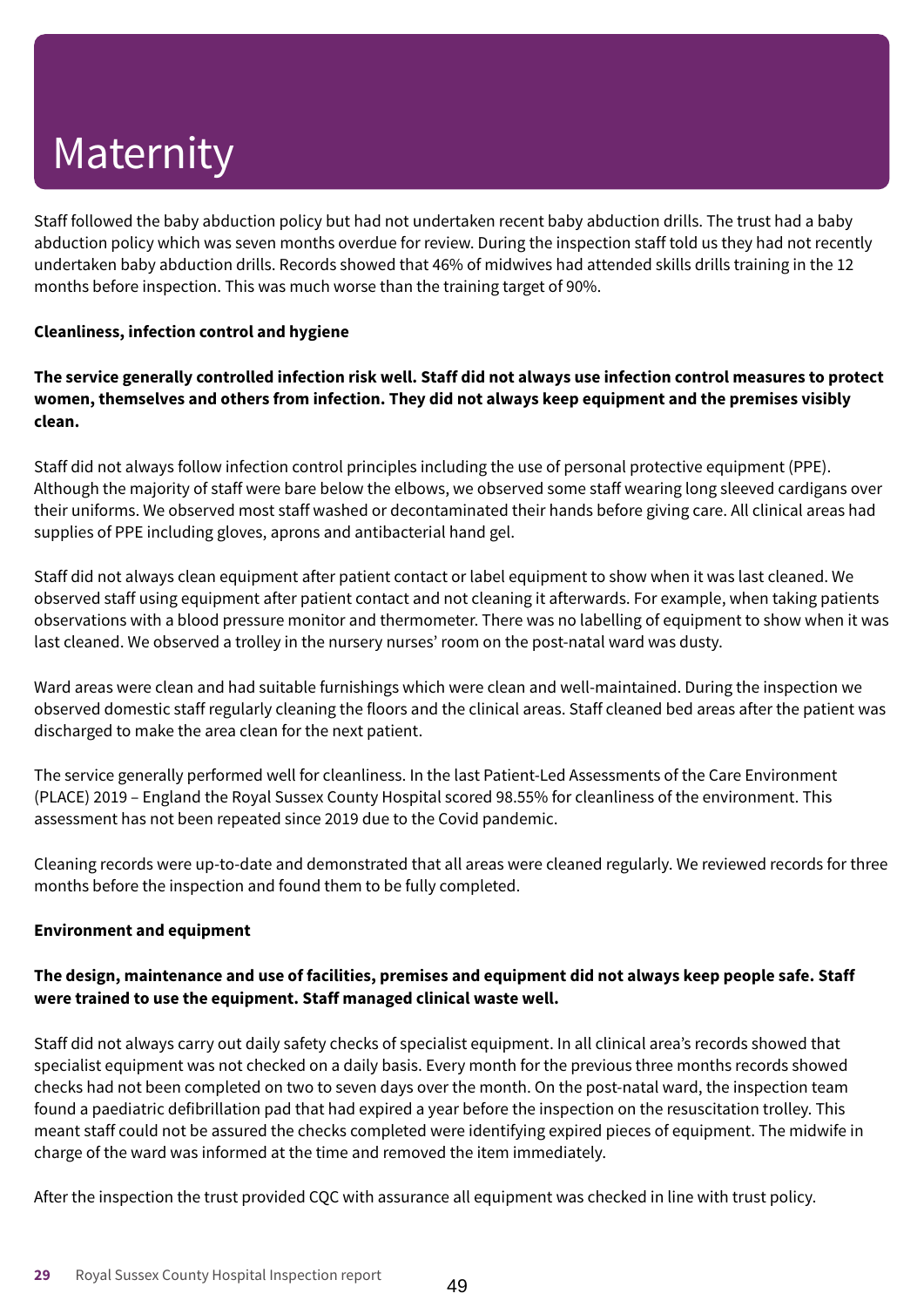Staff followed the baby abduction policy but had not undertaken recent baby abduction drills. The trust had a baby abduction policy which was seven months overdue for review. During the inspection staff told us they had not recently undertaken baby abduction drills. Records showed that 46% of midwives had attended skills drills training in the 12 months before inspection. This was much worse than the training target of 90%.

### **Cleanliness, infection control and hygiene**

The service generally controlled infection risk well. Staff did not always use infection control measures to protect **women, themselves and others from infection. They did not always keep equipment and the premises visibly clean.**

Staff did not always follow infection control principles including the use of personal protective equipment (PPE). Although the majority of staff were bare below the elbows, we observed some staff wearing long sleeved cardigans over their uniforms. We observed most staff washed or decontaminated their hands before giving care. All clinical areas had supplies of PPE including gloves, aprons and antibacterial hand gel.

Staff did not always clean equipment after patient contact or label equipment to show when it was last cleaned. We observed staff using equipment after patient contact and not cleaning it afterwards. For example, when taking patients observations with a blood pressure monitor and thermometer. There was no labelling of equipment to show when it was last cleaned. We observed a trolley in the nursery nurses' room on the post-natal ward was dusty.

Ward areas were clean and had suitable furnishings which were clean and well-maintained. During the inspection we observed domestic staff regularly cleaning the floors and the clinical areas. Staff cleaned bed areas after the patient was discharged to make the area clean for the next patient.

The service generally performed well for cleanliness. In the last Patient-Led Assessments of the Care Environment (PLACE) 2019 – England the Royal Sussex County Hospital scored 98.55% for cleanliness of the environment. This assessment has not been repeated since 2019 due to the Covid pandemic.

Cleaning records were up-to-date and demonstrated that all areas were cleaned regularly. We reviewed records for three months before the inspection and found them to be fully completed.

### **Environment and equipment**

### The design, maintenance and use of facilities, premises and equipment did not always keep people safe. Staff **were trained to use the equipment. Staff managed clinical waste well.**

Staff did not always carry out daily safety checks of specialist equipment. In all clinical area's records showed that specialist equipment was not checked on a daily basis. Every month for the previous three months records showed checks had not been completed on two to seven days over the month. On the post-natal ward, the inspection team found a paediatric defibrillation pad that had expired a year before the inspection on the resuscitation trolley. This meant staff could not be assured the checks completed were identifying expired pieces of equipment. The midwife in charge of the ward was informed at the time and removed the item immediately.

After the inspection the trust provided CQC with assurance all equipment was checked in line with trust policy.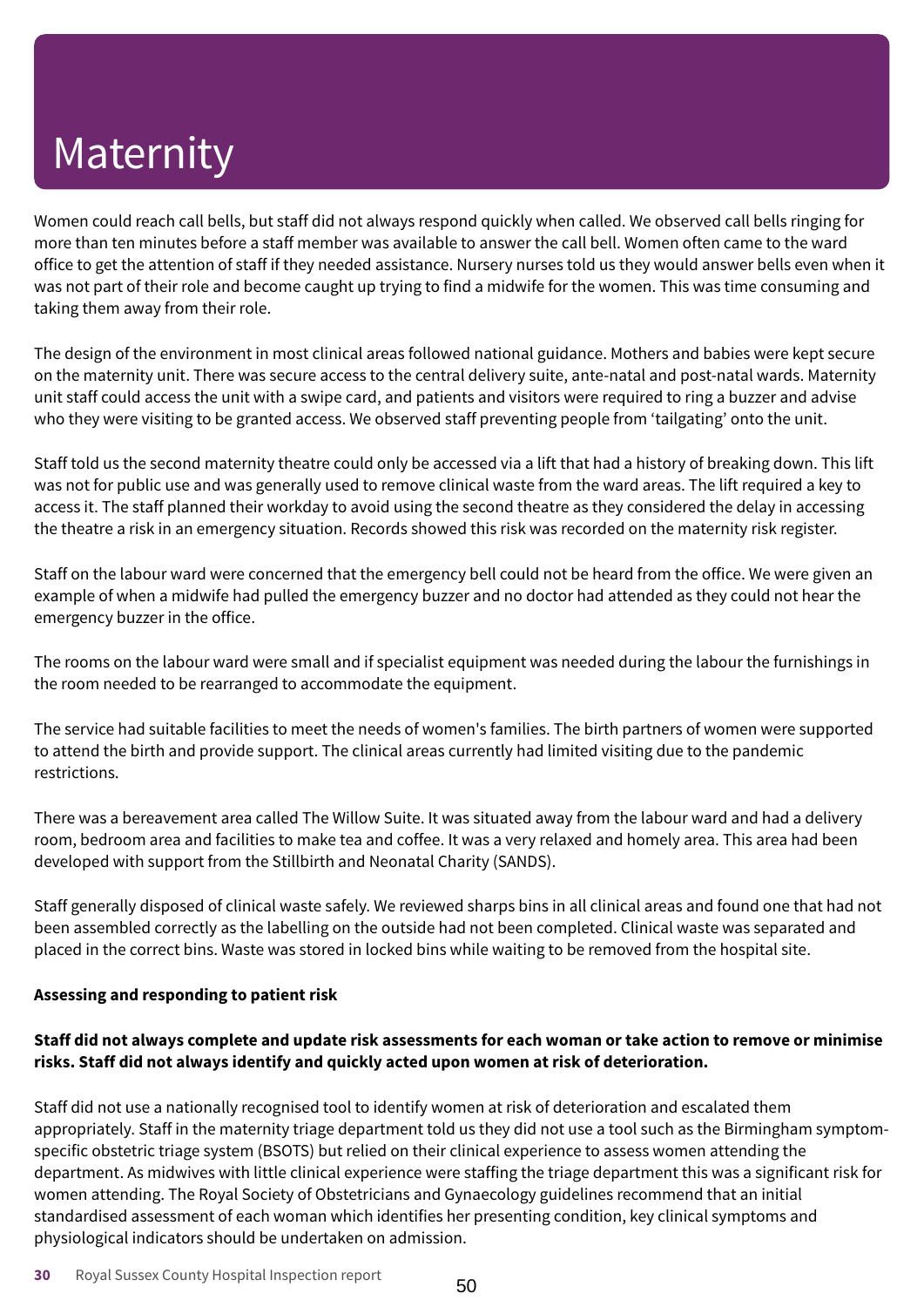Women could reach call bells, but staff did not always respond quickly when called. We observed call bells ringing for more than ten minutes before a staff member was available to answer the call bell. Women often came to the ward office to get the attention of staff if they needed assistance. Nursery nurses told us they would answer bells even when it was not part of their role and become caught up trying to find a midwife for the women. This was time consuming and taking them away from their role.

The design of the environment in most clinical areas followed national guidance. Mothers and babies were kept secure on the maternity unit. There was secure access to the central delivery suite, ante-natal and post-natal wards. Maternity unit staff could access the unit with a swipe card, and patients and visitors were required to ring a buzzer and advise who they were visiting to be granted access. We observed staff preventing people from 'tailgating' onto the unit.

Staff told us the second maternity theatre could only be accessed via a lift that had a history of breaking down. This lift was not for public use and was generally used to remove clinical waste from the ward areas. The lift required a key to access it. The staff planned their workday to avoid using the second theatre as they considered the delay in accessing the theatre a risk in an emergency situation. Records showed this risk was recorded on the maternity risk register.

Staff on the labour ward were concerned that the emergency bell could not be heard from the office. We were given an example of when a midwife had pulled the emergency buzzer and no doctor had attended as they could not hear the emergency buzzer in the office.

The rooms on the labour ward were small and if specialist equipment was needed during the labour the furnishings in the room needed to be rearranged to accommodate the equipment.

The service had suitable facilities to meet the needs of women's families. The birth partners of women were supported to attend the birth and provide support. The clinical areas currently had limited visiting due to the pandemic restrictions.

There was a bereavement area called The Willow Suite. It was situated away from the labour ward and had a delivery room, bedroom area and facilities to make tea and coffee. It was a very relaxed and homely area. This area had been developed with support from the Stillbirth and Neonatal Charity (SANDS).

Staff generally disposed of clinical waste safely. We reviewed sharps bins in all clinical areas and found one that had not been assembled correctly as the labelling on the outside had not been completed. Clinical waste was separated and placed in the correct bins. Waste was stored in locked bins while waiting to be removed from the hospital site.

### **Assessing and responding to patient risk**

### Staff did not always complete and update risk assessments for each woman or take action to remove or minimise **risks. Staff did not always identify and quickly acted upon women at risk of deterioration.**

Staff did not use a nationally recognised tool to identify women at risk of deterioration and escalated them appropriately. Staff in the maternity triage department told us they did not use a tool such as the Birmingham symptomspecific obstetric triage system (BSOTS) but relied on their clinical experience to assess women attending the department. As midwives with little clinical experience were staffing the triage department this was a significant risk for women attending. The Royal Society of Obstetricians and Gynaecology guidelines recommend that an initial standardised assessment of each woman which identifies her presenting condition, key clinical symptoms and physiological indicators should be undertaken on admission.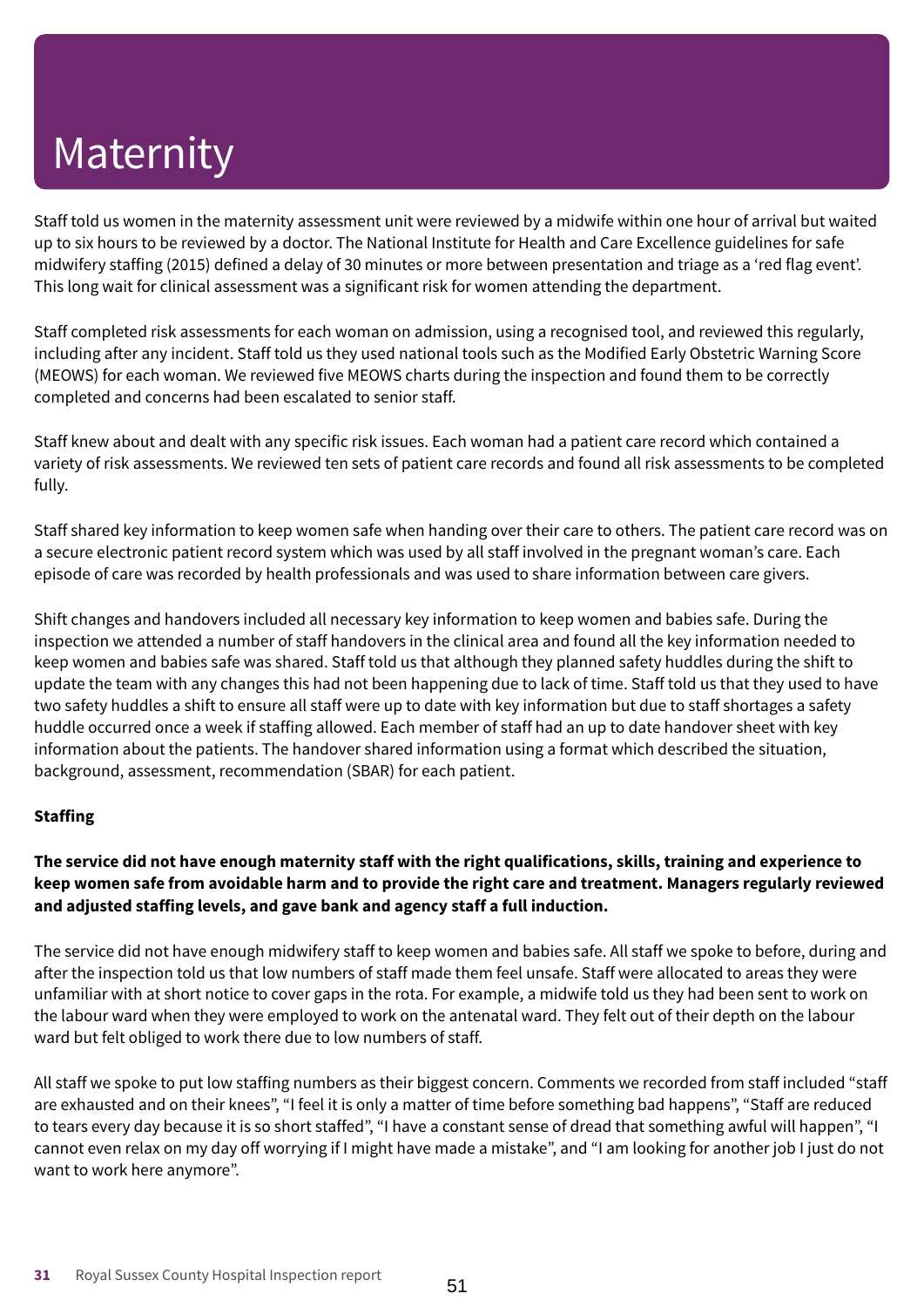Staff told us women in the maternity assessment unit were reviewed by a midwife within one hour of arrival but waited up to six hours to be reviewed by a doctor. The National Institute for Health and Care Excellence guidelines for safe midwifery staffing (2015) defined a delay of 30 minutes or more between presentation and triage as a 'red flag event'. This long wait for clinical assessment was a significant risk for women attending the department.

Staff completed risk assessments for each woman on admission, using a recognised tool, and reviewed this regularly, including after any incident. Staff told us they used national tools such as the Modified Early Obstetric Warning Score (MEOWS) for each woman. We reviewed five MEOWS charts during the inspection and found them to be correctly completed and concerns had been escalated to senior staff.

Staff knew about and dealt with any specific risk issues. Each woman had a patient care record which contained a variety of risk assessments. We reviewed ten sets of patient care records and found all risk assessments to be completed fully.

Staff shared key information to keep women safe when handing over their care to others. The patient care record was on a secure electronic patient record system which was used by all staff involved in the pregnant woman's care. Each episode of care was recorded by health professionals and was used to share information between care givers.

Shift changes and handovers included all necessary key information to keep women and babies safe. During the inspection we attended a number of staff handovers in the clinical area and found all the key information needed to keep women and babies safe was shared. Staff told us that although they planned safety huddles during the shift to update the team with any changes this had not been happening due to lack of time. Staff told us that they used to have two safety huddles a shift to ensure all staff were up to date with key information but due to staff shortages a safety huddle occurred once a week if staffing allowed. Each member of staff had an up to date handover sheet with key information about the patients. The handover shared information using a format which described the situation, background, assessment, recommendation (SBAR) for each patient.

### **Staffing**

### The service did not have enough maternity staff with the right qualifications, skills, training and experience to keep women safe from avoidable harm and to provide the right care and treatment. Managers regularly reviewed **and adjusted staffing levels, and gave bank and agency staff a full induction.**

The service did not have enough midwifery staff to keep women and babies safe. All staff we spoke to before, during and after the inspection told us that low numbers of staff made them feel unsafe. Staff were allocated to areas they were unfamiliar with at short notice to cover gaps in the rota. For example, a midwife told us they had been sent to work on the labour ward when they were employed to work on the antenatal ward. They felt out of their depth on the labour ward but felt obliged to work there due to low numbers of staff.

All staff we spoke to put low staffing numbers as their biggest concern. Comments we recorded from staff included "staff are exhausted and on their knees", "I feel it is only a matter of time before something bad happens", "Staff are reduced to tears every day because it is so short staffed", "I have a constant sense of dread that something awful will happen", "I cannot even relax on my day off worrying if I might have made a mistake", and "I am looking for another job I just do not want to work here anymore".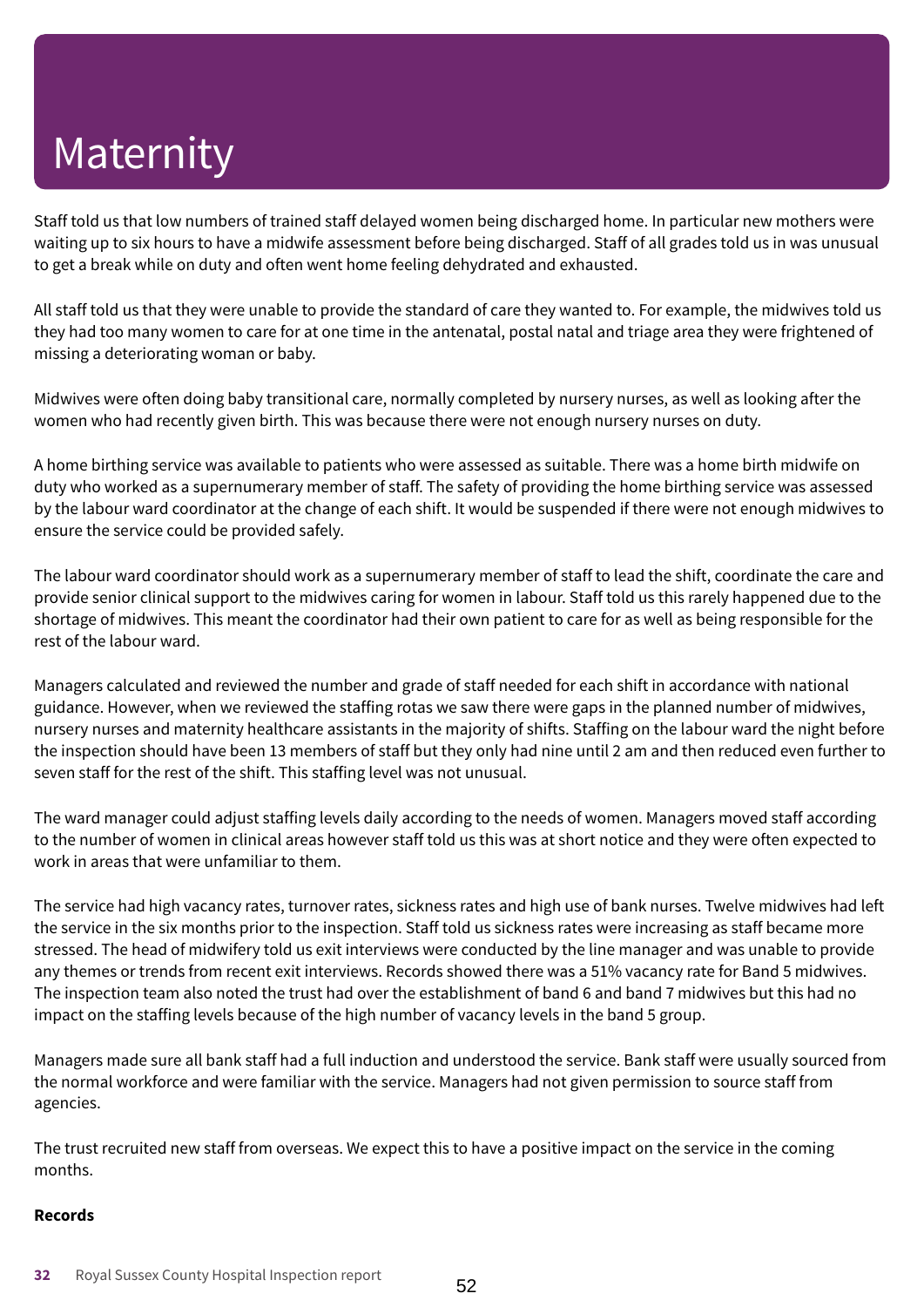Staff told us that low numbers of trained staff delayed women being discharged home. In particular new mothers were waiting up to six hours to have a midwife assessment before being discharged. Staff of all grades told us in was unusual to get a break while on duty and often went home feeling dehydrated and exhausted.

All staff told us that they were unable to provide the standard of care they wanted to. For example, the midwives told us they had too many women to care for at one time in the antenatal, postal natal and triage area they were frightened of missing a deteriorating woman or baby.

Midwives were often doing baby transitional care, normally completed by nursery nurses, as well as looking after the women who had recently given birth. This was because there were not enough nursery nurses on duty.

A home birthing service was available to patients who were assessed as suitable. There was a home birth midwife on duty who worked as a supernumerary member of staff. The safety of providing the home birthing service was assessed by the labour ward coordinator at the change of each shift. It would be suspended if there were not enough midwives to ensure the service could be provided safely.

The labour ward coordinator should work as a supernumerary member of staff to lead the shift, coordinate the care and provide senior clinical support to the midwives caring for women in labour. Staff told us this rarely happened due to the shortage of midwives. This meant the coordinator had their own patient to care for as well as being responsible for the rest of the labour ward.

Managers calculated and reviewed the number and grade of staff needed for each shift in accordance with national guidance. However, when we reviewed the staffing rotas we saw there were gaps in the planned number of midwives, nursery nurses and maternity healthcare assistants in the majority of shifts. Staffing on the labour ward the night before the inspection should have been 13 members of staff but they only had nine until 2 am and then reduced even further to seven staff for the rest of the shift. This staffing level was not unusual.

The ward manager could adjust staffing levels daily according to the needs of women. Managers moved staff according to the number of women in clinical areas however staff told us this was at short notice and they were often expected to work in areas that were unfamiliar to them.

The service had high vacancy rates, turnover rates, sickness rates and high use of bank nurses. Twelve midwives had left the service in the six months prior to the inspection. Staff told us sickness rates were increasing as staff became more stressed. The head of midwifery told us exit interviews were conducted by the line manager and was unable to provide any themes or trends from recent exit interviews. Records showed there was a 51% vacancy rate for Band 5 midwives. The inspection team also noted the trust had over the establishment of band 6 and band 7 midwives but this had no impact on the staffing levels because of the high number of vacancy levels in the band 5 group.

Managers made sure all bank staff had a full induction and understood the service. Bank staff were usually sourced from the normal workforce and were familiar with the service. Managers had not given permission to source staff from agencies.

The trust recruited new staff from overseas. We expect this to have a positive impact on the service in the coming months.

### **Records**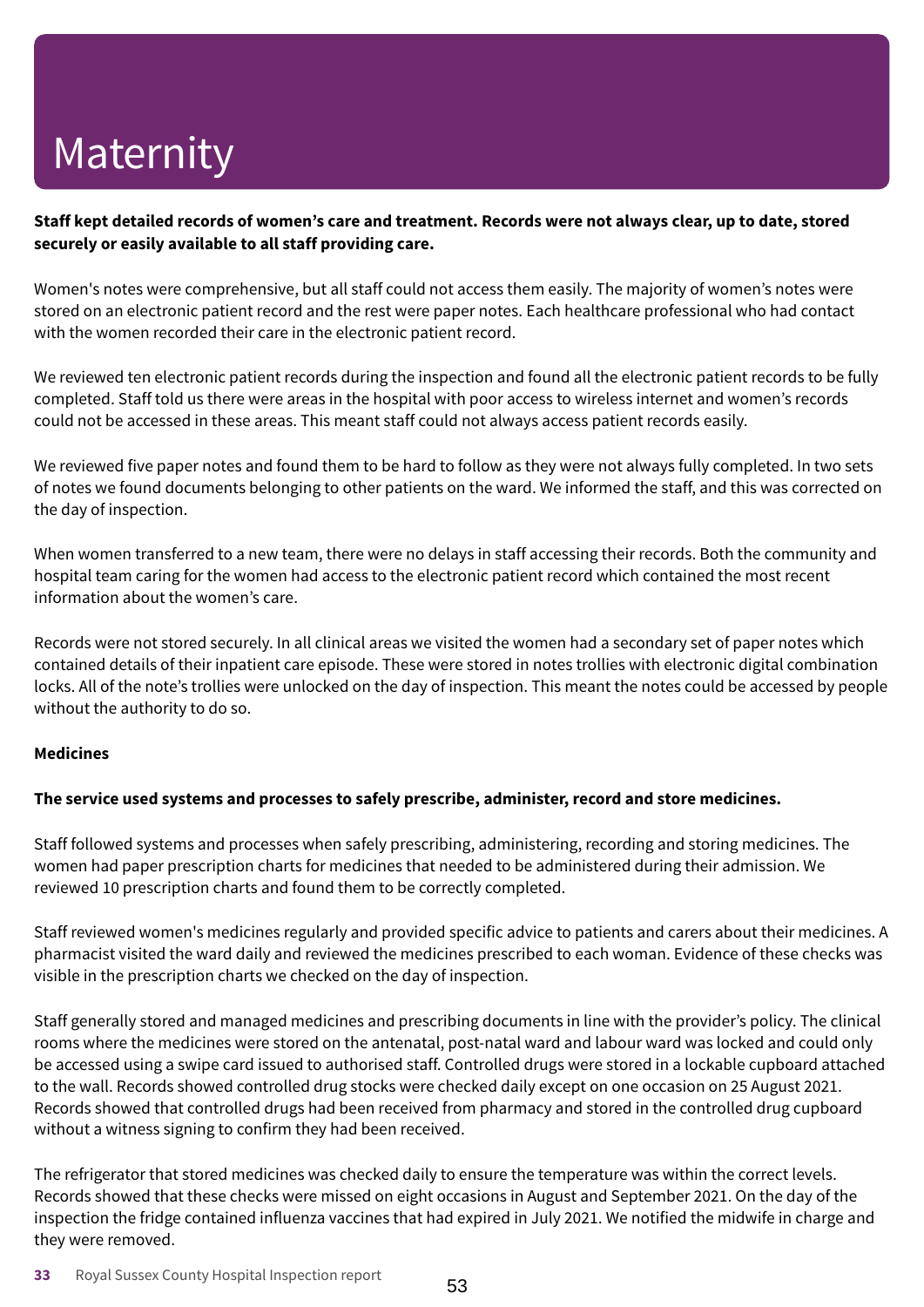### Staff kept detailed records of women's care and treatment. Records were not always clear, up to date, stored **securely or easily available to all staff providing care.**

Women's notes were comprehensive, but all staff could not access them easily. The majority of women's notes were stored on an electronic patient record and the rest were paper notes. Each healthcare professional who had contact with the women recorded their care in the electronic patient record.

We reviewed ten electronic patient records during the inspection and found all the electronic patient records to be fully completed. Staff told us there were areas in the hospital with poor access to wireless internet and women's records could not be accessed in these areas. This meant staff could not always access patient records easily.

We reviewed five paper notes and found them to be hard to follow as they were not always fully completed. In two sets of notes we found documents belonging to other patients on the ward. We informed the staff, and this was corrected on the day of inspection.

When women transferred to a new team, there were no delays in staff accessing their records. Both the community and hospital team caring for the women had access to the electronic patient record which contained the most recent information about the women's care.

Records were not stored securely. In all clinical areas we visited the women had a secondary set of paper notes which contained details of their inpatient care episode. These were stored in notes trollies with electronic digital combination locks. All of the note's trollies were unlocked on the day of inspection. This meant the notes could be accessed by people without the authority to do so.

### **Medicines**

### **The service used systems and processes to safely prescribe, administer, record and store medicines.**

Staff followed systems and processes when safely prescribing, administering, recording and storing medicines. The women had paper prescription charts for medicines that needed to be administered during their admission. We reviewed 10 prescription charts and found them to be correctly completed.

Staff reviewed women's medicines regularly and provided specific advice to patients and carers about their medicines. A pharmacist visited the ward daily and reviewed the medicines prescribed to each woman. Evidence of these checks was visible in the prescription charts we checked on the day of inspection.

Staff generally stored and managed medicines and prescribing documents in line with the provider's policy. The clinical rooms where the medicines were stored on the antenatal, post-natal ward and labour ward was locked and could only be accessed using a swipe card issued to authorised staff. Controlled drugs were stored in a lockable cupboard attached to the wall. Records showed controlled drug stocks were checked daily except on one occasion on 25 August 2021. Records showed that controlled drugs had been received from pharmacy and stored in the controlled drug cupboard without a witness signing to confirm they had been received.

The refrigerator that stored medicines was checked daily to ensure the temperature was within the correct levels. Records showed that these checks were missed on eight occasions in August and September 2021. On the day of the inspection the fridge contained influenza vaccines that had expired in July 2021. We notified the midwife in charge and they were removed.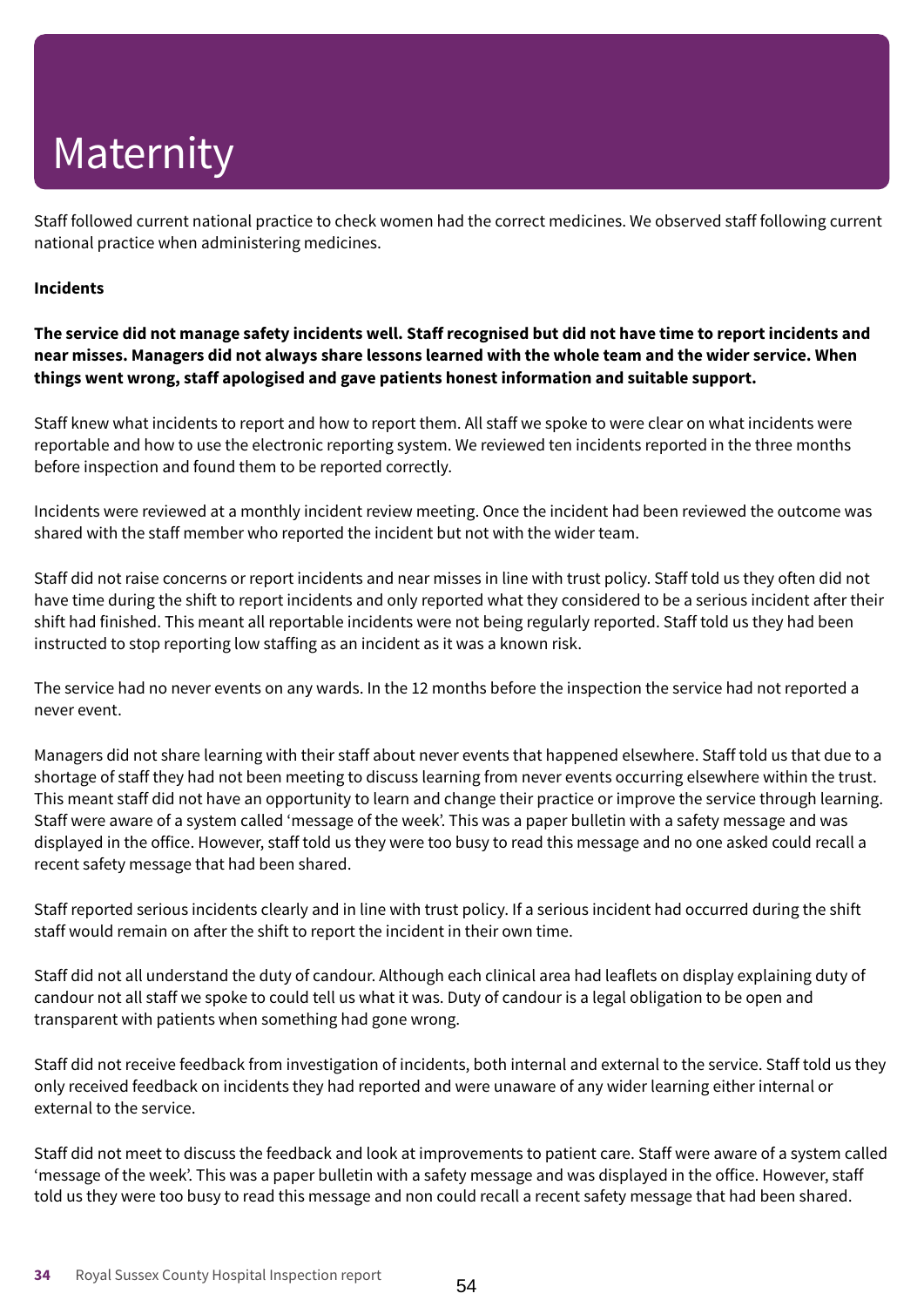Staff followed current national practice to check women had the correct medicines. We observed staff following current national practice when administering medicines.

### **Incidents**

The service did not manage safety incidents well. Staff recognised but did not have time to report incidents and near misses. Managers did not always share lessons learned with the whole team and the wider service. When **things went wrong, staff apologised and gave patients honest information and suitable support.**

Staff knew what incidents to report and how to report them. All staff we spoke to were clear on what incidents were reportable and how to use the electronic reporting system. We reviewed ten incidents reported in the three months before inspection and found them to be reported correctly.

Incidents were reviewed at a monthly incident review meeting. Once the incident had been reviewed the outcome was shared with the staff member who reported the incident but not with the wider team.

Staff did not raise concerns or report incidents and near misses in line with trust policy. Staff told us they often did not have time during the shift to report incidents and only reported what they considered to be a serious incident after their shift had finished. This meant all reportable incidents were not being regularly reported. Staff told us they had been instructed to stop reporting low staffing as an incident as it was a known risk.

The service had no never events on any wards. In the 12 months before the inspection the service had not reported a never event.

Managers did not share learning with their staff about never events that happened elsewhere. Staff told us that due to a shortage of staff they had not been meeting to discuss learning from never events occurring elsewhere within the trust. This meant staff did not have an opportunity to learn and change their practice or improve the service through learning. Staff were aware of a system called 'message of the week'. This was a paper bulletin with a safety message and was displayed in the office. However, staff told us they were too busy to read this message and no one asked could recall a recent safety message that had been shared.

Staff reported serious incidents clearly and in line with trust policy. If a serious incident had occurred during the shift staff would remain on after the shift to report the incident in their own time.

Staff did not all understand the duty of candour. Although each clinical area had leaflets on display explaining duty of candour not all staff we spoke to could tell us what it was. Duty of candour is a legal obligation to be open and transparent with patients when something had gone wrong.

Staff did not receive feedback from investigation of incidents, both internal and external to the service. Staff told us they only received feedback on incidents they had reported and were unaware of any wider learning either internal or external to the service.

Staff did not meet to discuss the feedback and look at improvements to patient care. Staff were aware of a system called 'message of the week'. This was a paper bulletin with a safety message and was displayed in the office. However, staff told us they were too busy to read this message and non could recall a recent safety message that had been shared.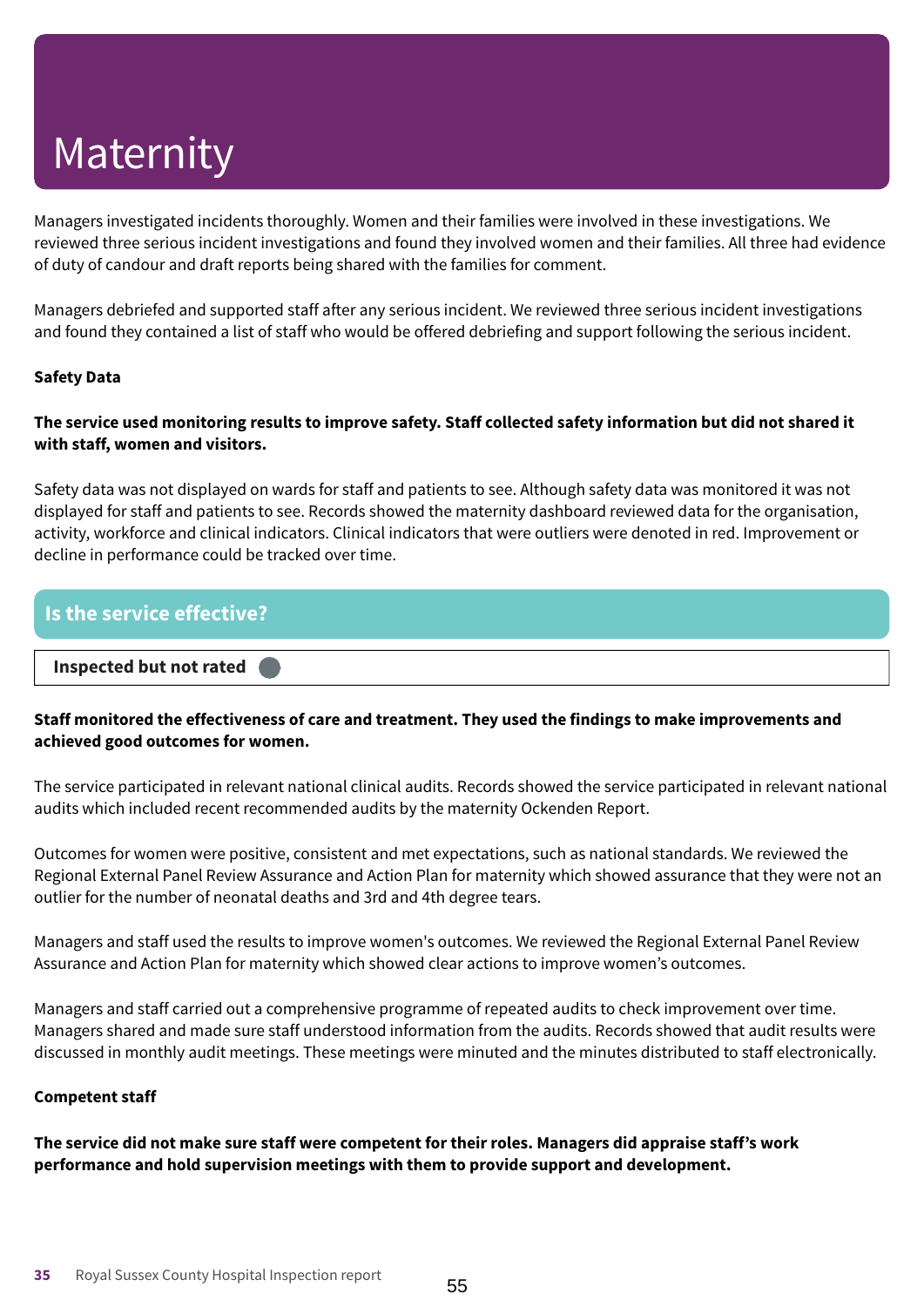Managers investigated incidents thoroughly. Women and their families were involved in these investigations. We reviewed three serious incident investigations and found they involved women and their families. All three had evidence of duty of candour and draft reports being shared with the families for comment.

Managers debriefed and supported staff after any serious incident. We reviewed three serious incident investigations and found they contained a list of staff who would be offered debriefing and support following the serious incident.

### **Safety Data**

### The service used monitoring results to improve safety. Staff collected safety information but did not shared it **with staff, women and visitors.**

Safety data was not displayed on wards for staff and patients to see. Although safety data was monitored it was not displayed for staff and patients to see. Records showed the maternity dashboard reviewed data for the organisation, activity, workforce and clinical indicators. Clinical indicators that were outliers were denoted in red. Improvement or decline in performance could be tracked over time.

# **Is the service effective? Inspected but not rated –––**

### **Staff monitored the effectiveness of care and treatment. They used the findings to make improvements and achieved good outcomes for women.**

The service participated in relevant national clinical audits. Records showed the service participated in relevant national audits which included recent recommended audits by the maternity Ockenden Report.

Outcomes for women were positive, consistent and met expectations, such as national standards. We reviewed the Regional External Panel Review Assurance and Action Plan for maternity which showed assurance that they were not an outlier for the number of neonatal deaths and 3rd and 4th degree tears.

Managers and staff used the results to improve women's outcomes. We reviewed the Regional External Panel Review Assurance and Action Plan for maternity which showed clear actions to improve women's outcomes.

Managers and staff carried out a comprehensive programme of repeated audits to check improvement over time. Managers shared and made sure staff understood information from the audits. Records showed that audit results were discussed in monthly audit meetings. These meetings were minuted and the minutes distributed to staff electronically.

### **Competent staff**

**The service did not make sure staff were competent for their roles. Managers did appraise staff's work performance and hold supervision meetings with them to provide support and development.**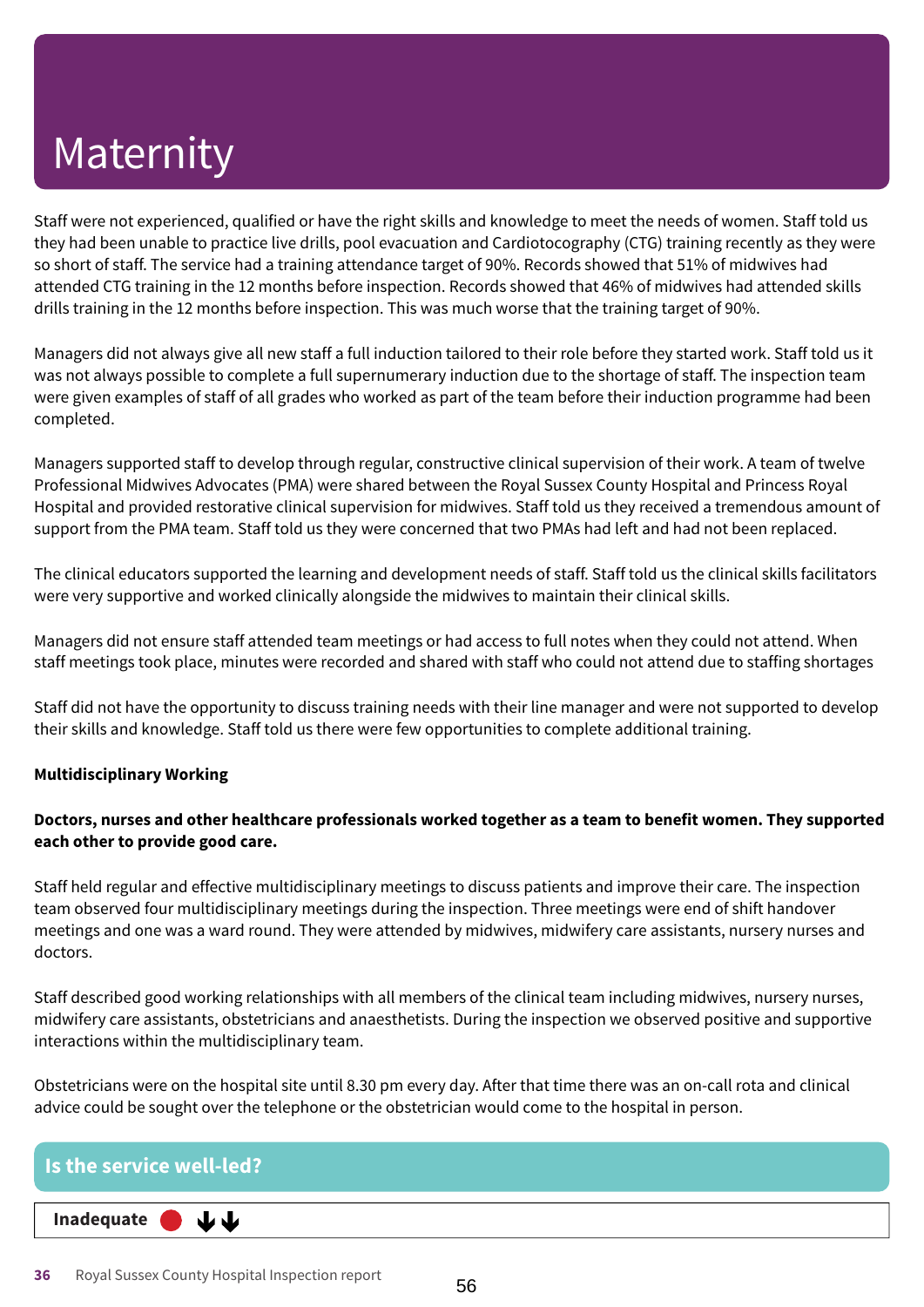Staff were not experienced, qualified or have the right skills and knowledge to meet the needs of women. Staff told us they had been unable to practice live drills, pool evacuation and Cardiotocography (CTG) training recently as they were so short of staff. The service had a training attendance target of 90%. Records showed that 51% of midwives had attended CTG training in the 12 months before inspection. Records showed that 46% of midwives had attended skills drills training in the 12 months before inspection. This was much worse that the training target of 90%.

Managers did not always give all new staff a full induction tailored to their role before they started work. Staff told us it was not always possible to complete a full supernumerary induction due to the shortage of staff. The inspection team were given examples of staff of all grades who worked as part of the team before their induction programme had been completed.

Managers supported staff to develop through regular, constructive clinical supervision of their work. A team of twelve Professional Midwives Advocates (PMA) were shared between the Royal Sussex County Hospital and Princess Royal Hospital and provided restorative clinical supervision for midwives. Staff told us they received a tremendous amount of support from the PMA team. Staff told us they were concerned that two PMAs had left and had not been replaced.

The clinical educators supported the learning and development needs of staff. Staff told us the clinical skills facilitators were very supportive and worked clinically alongside the midwives to maintain their clinical skills.

Managers did not ensure staff attended team meetings or had access to full notes when they could not attend. When staff meetings took place, minutes were recorded and shared with staff who could not attend due to staffing shortages

Staff did not have the opportunity to discuss training needs with their line manager and were not supported to develop their skills and knowledge. Staff told us there were few opportunities to complete additional training.

### **Multidisciplinary Working**

### **Doctors, nurses and other healthcare professionals worked together as a team to benefit women. They supported each other to provide good care.**

Staff held regular and effective multidisciplinary meetings to discuss patients and improve their care. The inspection team observed four multidisciplinary meetings during the inspection. Three meetings were end of shift handover meetings and one was a ward round. They were attended by midwives, midwifery care assistants, nursery nurses and doctors.

Staff described good working relationships with all members of the clinical team including midwives, nursery nurses, midwifery care assistants, obstetricians and anaesthetists. During the inspection we observed positive and supportive interactions within the multidisciplinary team.

Obstetricians were on the hospital site until 8.30 pm every day. After that time there was an on-call rota and clinical advice could be sought over the telephone or the obstetrician would come to the hospital in person.

| $\blacksquare$ Is the service well-led? $\blacksquare$ |  |
|--------------------------------------------------------|--|
| Inadequate $\bigcup$ $\bigcup$                         |  |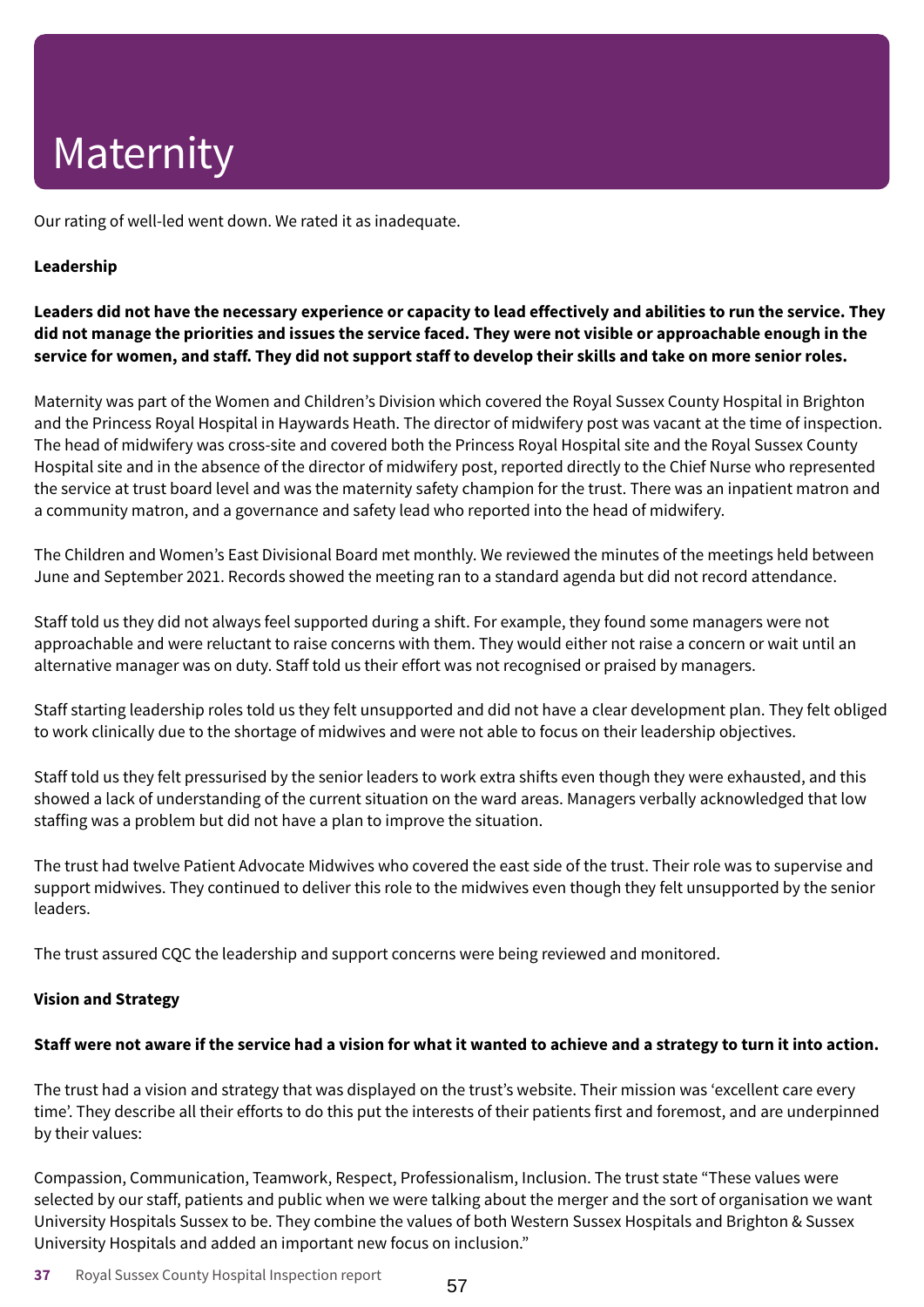Our rating of well-led went down. We rated it as inadequate.

### **Leadership**

Leaders did not have the necessary experience or capacity to lead effectively and abilities to run the service. They did not manage the priorities and issues the service faced. They were not visible or approachable enough in the service for women, and staff. They did not support staff to develop their skills and take on more senior roles.

Maternity was part of the Women and Children's Division which covered the Royal Sussex County Hospital in Brighton and the Princess Royal Hospital in Haywards Heath. The director of midwifery post was vacant at the time of inspection. The head of midwifery was cross-site and covered both the Princess Royal Hospital site and the Royal Sussex County Hospital site and in the absence of the director of midwifery post, reported directly to the Chief Nurse who represented the service at trust board level and was the maternity safety champion for the trust. There was an inpatient matron and a community matron, and a governance and safety lead who reported into the head of midwifery.

The Children and Women's East Divisional Board met monthly. We reviewed the minutes of the meetings held between June and September 2021. Records showed the meeting ran to a standard agenda but did not record attendance.

Staff told us they did not always feel supported during a shift. For example, they found some managers were not approachable and were reluctant to raise concerns with them. They would either not raise a concern or wait until an alternative manager was on duty. Staff told us their effort was not recognised or praised by managers.

Staff starting leadership roles told us they felt unsupported and did not have a clear development plan. They felt obliged to work clinically due to the shortage of midwives and were not able to focus on their leadership objectives.

Staff told us they felt pressurised by the senior leaders to work extra shifts even though they were exhausted, and this showed a lack of understanding of the current situation on the ward areas. Managers verbally acknowledged that low staffing was a problem but did not have a plan to improve the situation.

The trust had twelve Patient Advocate Midwives who covered the east side of the trust. Their role was to supervise and support midwives. They continued to deliver this role to the midwives even though they felt unsupported by the senior leaders.

The trust assured CQC the leadership and support concerns were being reviewed and monitored.

### **Vision and Strategy**

### Staff were not aware if the service had a vision for what it wanted to achieve and a strategy to turn it into action.

The trust had a vision and strategy that was displayed on the trust's website. Their mission was 'excellent care every time'. They describe all their efforts to do this put the interests of their patients first and foremost, and are underpinned by their values:

Compassion, Communication, Teamwork, Respect, Professionalism, Inclusion. The trust state "These values were selected by our staff, patients and public when we were talking about the merger and the sort of organisation we want University Hospitals Sussex to be. They combine the values of both Western Sussex Hospitals and Brighton & Sussex University Hospitals and added an important new focus on inclusion."

**37** Royal Sussex County Hospital Inspection report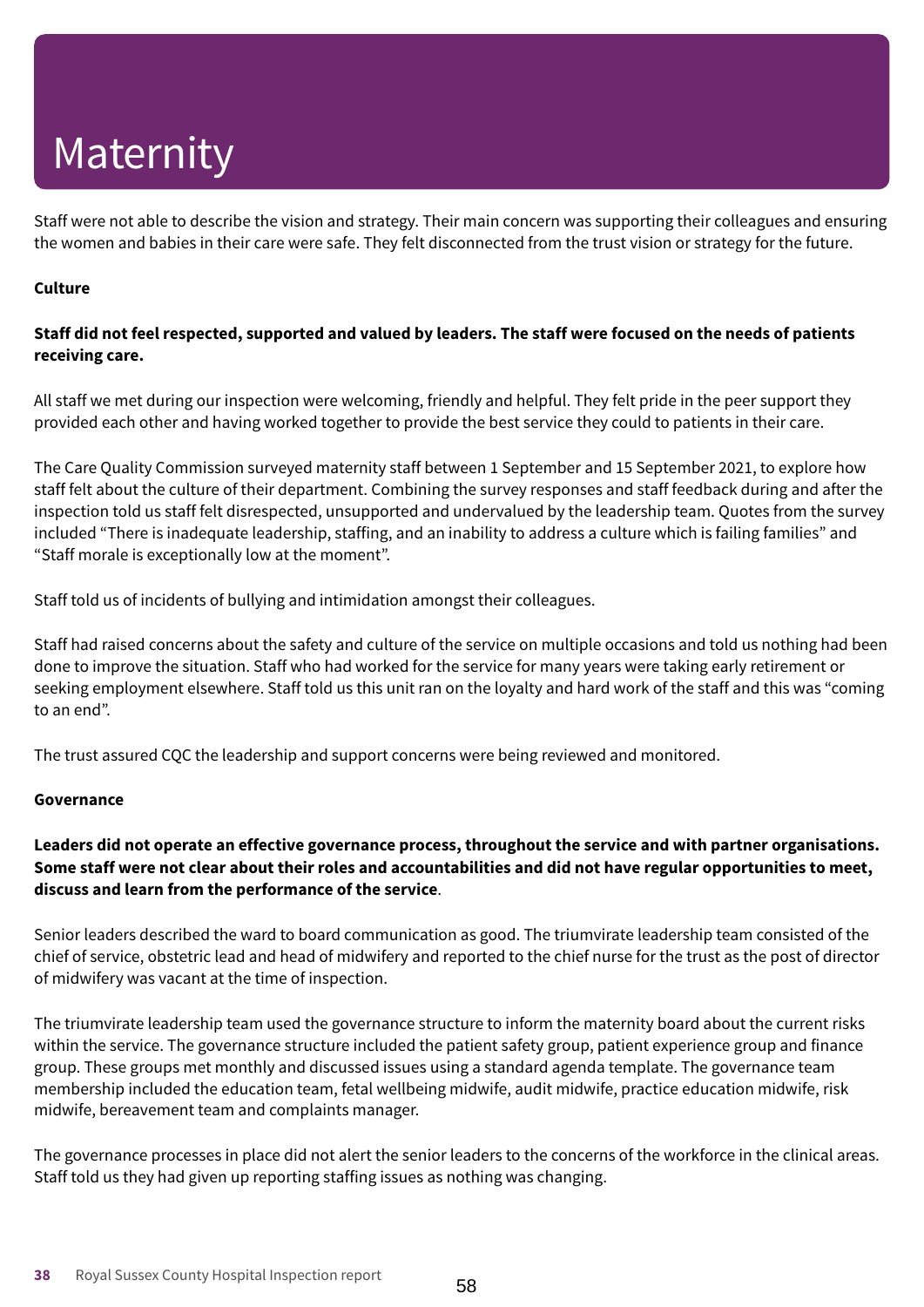Staff were not able to describe the vision and strategy. Their main concern was supporting their colleagues and ensuring the women and babies in their care were safe. They felt disconnected from the trust vision or strategy for the future.

### **Culture**

### Staff did not feel respected, supported and valued by leaders. The staff were focused on the needs of patients **receiving care.**

All staff we met during our inspection were welcoming, friendly and helpful. They felt pride in the peer support they provided each other and having worked together to provide the best service they could to patients in their care.

The Care Quality Commission surveyed maternity staff between 1 September and 15 September 2021, to explore how staff felt about the culture of their department. Combining the survey responses and staff feedback during and after the inspection told us staff felt disrespected, unsupported and undervalued by the leadership team. Quotes from the survey included "There is inadequate leadership, staffing, and an inability to address a culture which is failing families" and "Staff morale is exceptionally low at the moment".

Staff told us of incidents of bullying and intimidation amongst their colleagues.

Staff had raised concerns about the safety and culture of the service on multiple occasions and told us nothing had been done to improve the situation. Staff who had worked for the service for many years were taking early retirement or seeking employment elsewhere. Staff told us this unit ran on the loyalty and hard work of the staff and this was "coming to an end".

The trust assured CQC the leadership and support concerns were being reviewed and monitored.

### **Governance**

### **Leaders did not operate an effective governance process, throughout the service and with partner organisations.** Some staff were not clear about their roles and accountabilities and did not have regular opportunities to meet, **discuss and learn from the performance of the service**.

Senior leaders described the ward to board communication as good. The triumvirate leadership team consisted of the chief of service, obstetric lead and head of midwifery and reported to the chief nurse for the trust as the post of director of midwifery was vacant at the time of inspection.

The triumvirate leadership team used the governance structure to inform the maternity board about the current risks within the service. The governance structure included the patient safety group, patient experience group and finance group. These groups met monthly and discussed issues using a standard agenda template. The governance team membership included the education team, fetal wellbeing midwife, audit midwife, practice education midwife, risk midwife, bereavement team and complaints manager.

The governance processes in place did not alert the senior leaders to the concerns of the workforce in the clinical areas. Staff told us they had given up reporting staffing issues as nothing was changing.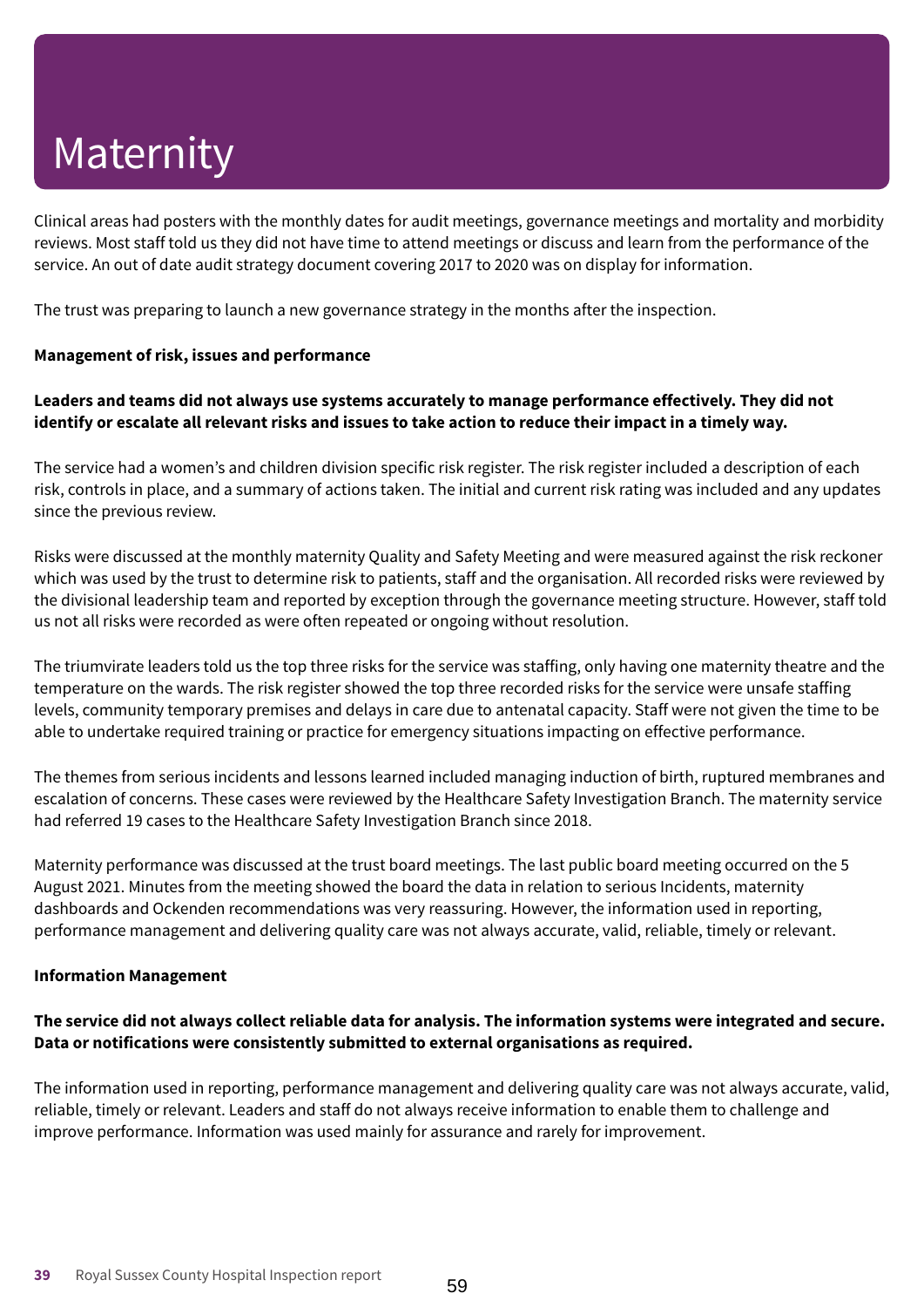Clinical areas had posters with the monthly dates for audit meetings, governance meetings and mortality and morbidity reviews. Most staff told us they did not have time to attend meetings or discuss and learn from the performance of the service. An out of date audit strategy document covering 2017 to 2020 was on display for information.

The trust was preparing to launch a new governance strategy in the months after the inspection.

### **Management of risk, issues and performance**

### **Leaders and teams did not always use systems accurately to manage performance effectively. They did not** identify or escalate all relevant risks and issues to take action to reduce their impact in a timely way.

The service had a women's and children division specific risk register. The risk register included a description of each risk, controls in place, and a summary of actions taken. The initial and current risk rating was included and any updates since the previous review.

Risks were discussed at the monthly maternity Quality and Safety Meeting and were measured against the risk reckoner which was used by the trust to determine risk to patients, staff and the organisation. All recorded risks were reviewed by the divisional leadership team and reported by exception through the governance meeting structure. However, staff told us not all risks were recorded as were often repeated or ongoing without resolution.

The triumvirate leaders told us the top three risks for the service was staffing, only having one maternity theatre and the temperature on the wards. The risk register showed the top three recorded risks for the service were unsafe staffing levels, community temporary premises and delays in care due to antenatal capacity. Staff were not given the time to be able to undertake required training or practice for emergency situations impacting on effective performance.

The themes from serious incidents and lessons learned included managing induction of birth, ruptured membranes and escalation of concerns. These cases were reviewed by the Healthcare Safety Investigation Branch. The maternity service had referred 19 cases to the Healthcare Safety Investigation Branch since 2018.

Maternity performance was discussed at the trust board meetings. The last public board meeting occurred on the 5 August 2021. Minutes from the meeting showed the board the data in relation to serious Incidents, maternity dashboards and Ockenden recommendations was very reassuring. However, the information used in reporting, performance management and delivering quality care was not always accurate, valid, reliable, timely or relevant.

### **Information Management**

### The service did not always collect reliable data for analysis. The information systems were integrated and secure. **Data or notifications were consistently submitted to external organisations as required.**

The information used in reporting, performance management and delivering quality care was not always accurate, valid, reliable, timely or relevant. Leaders and staff do not always receive information to enable them to challenge and improve performance. Information was used mainly for assurance and rarely for improvement.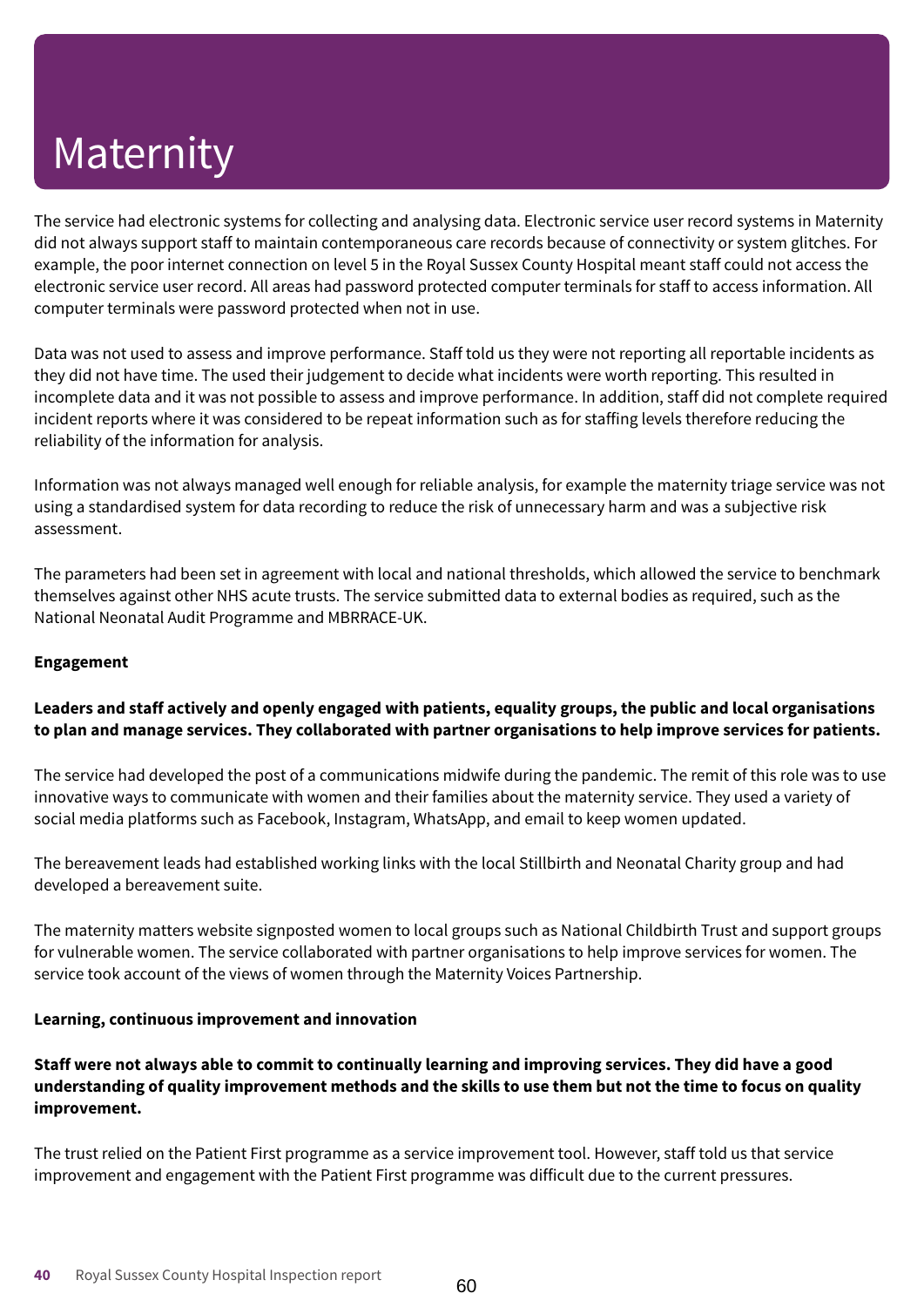The service had electronic systems for collecting and analysing data. Electronic service user record systems in Maternity did not always support staff to maintain contemporaneous care records because of connectivity or system glitches. For example, the poor internet connection on level 5 in the Royal Sussex County Hospital meant staff could not access the electronic service user record. All areas had password protected computer terminals for staff to access information. All computer terminals were password protected when not in use.

Data was not used to assess and improve performance. Staff told us they were not reporting all reportable incidents as they did not have time. The used their judgement to decide what incidents were worth reporting. This resulted in incomplete data and it was not possible to assess and improve performance. In addition, staff did not complete required incident reports where it was considered to be repeat information such as for staffing levels therefore reducing the reliability of the information for analysis.

Information was not always managed well enough for reliable analysis, for example the maternity triage service was not using a standardised system for data recording to reduce the risk of unnecessary harm and was a subjective risk assessment.

The parameters had been set in agreement with local and national thresholds, which allowed the service to benchmark themselves against other NHS acute trusts. The service submitted data to external bodies as required, such as the National Neonatal Audit Programme and MBRRACE-UK.

### **Engagement**

### **Leaders and staff actively and openly engaged with patients, equality groups, the public and local organisations to plan and manage services. They collaborated with partner organisations to help improve services for patients.**

The service had developed the post of a communications midwife during the pandemic. The remit of this role was to use innovative ways to communicate with women and their families about the maternity service. They used a variety of social media platforms such as Facebook, Instagram, WhatsApp, and email to keep women updated.

The bereavement leads had established working links with the local Stillbirth and Neonatal Charity group and had developed a bereavement suite.

The maternity matters website signposted women to local groups such as National Childbirth Trust and support groups for vulnerable women. The service collaborated with partner organisations to help improve services for women. The service took account of the views of women through the Maternity Voices Partnership.

### **Learning, continuous improvement and innovation**

Staff were not always able to commit to continually learning and improving services. They did have a good understanding of quality improvement methods and the skills to use them but not the time to focus on quality **improvement.**

The trust relied on the Patient First programme as a service improvement tool. However, staff told us that service improvement and engagement with the Patient First programme was difficult due to the current pressures.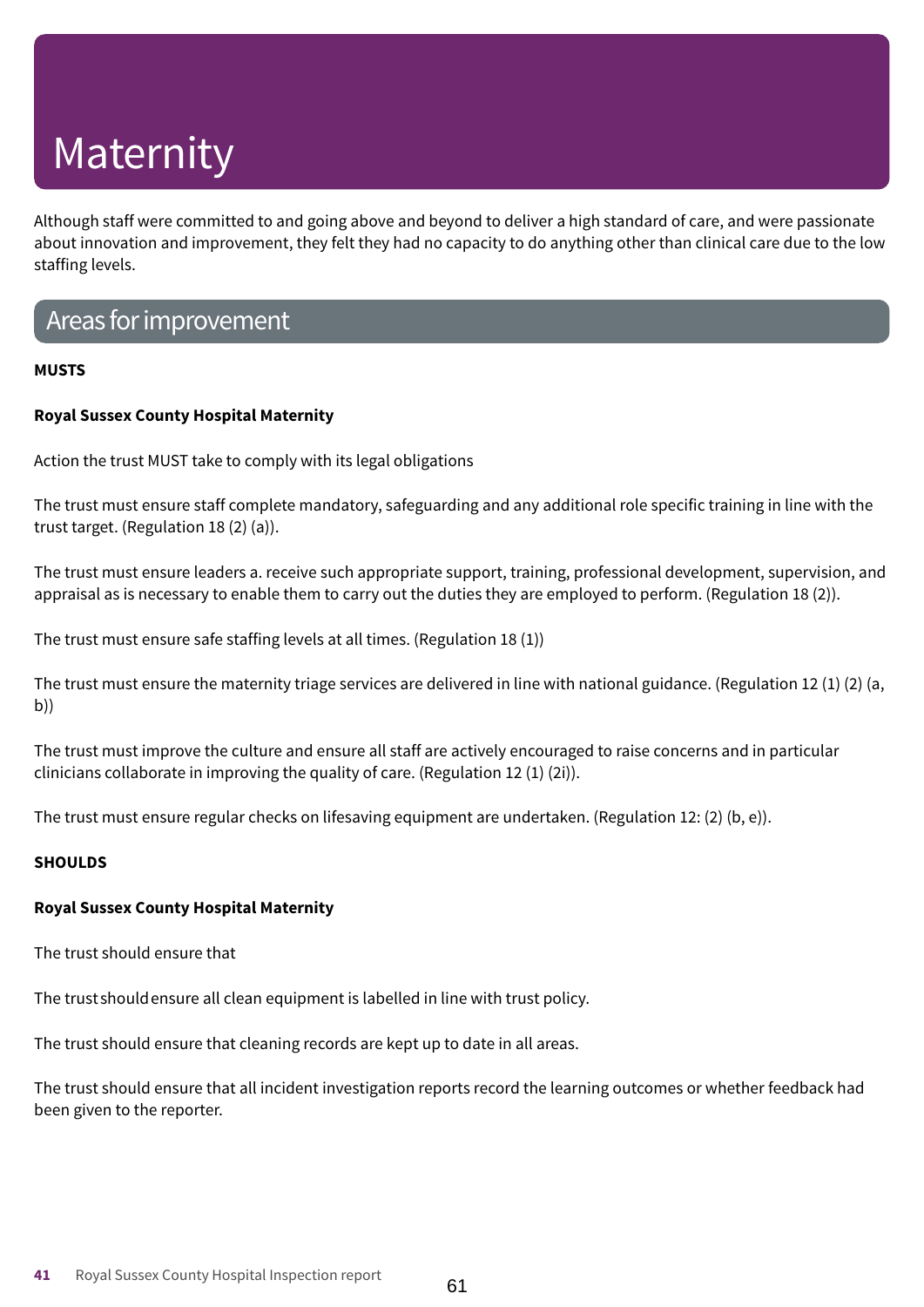Although staff were committed to and going above and beyond to deliver a high standard of care, and were passionate about innovation and improvement, they felt they had no capacity to do anything other than clinical care due to the low staffing levels.

### Areas for improvement

### **MUSTS**

### **Royal Sussex County Hospital Maternity**

Action the trust MUST take to comply with its legal obligations

The trust must ensure staff complete mandatory, safeguarding and any additional role specific training in line with the trust target. (Regulation 18 (2) (a)).

The trust must ensure leaders a. receive such appropriate support, training, professional development, supervision, and appraisal as is necessary to enable them to carry out the duties they are employed to perform. (Regulation 18 (2)).

The trust must ensure safe staffing levels at all times. (Regulation 18 (1))

The trust must ensure the maternity triage services are delivered in line with national guidance. (Regulation 12 (1) (2) (a, b))

The trust must improve the culture and ensure all staff are actively encouraged to raise concerns and in particular clinicians collaborate in improving the quality of care. (Regulation 12 (1) (2i)).

The trust must ensure regular checks on lifesaving equipment are undertaken. (Regulation 12: (2) (b, e)).

### **SHOULDS**

### **Royal Sussex County Hospital Maternity**

The trust should ensure that

The trustshouldensure all clean equipment is labelled in line with trust policy.

The trust should ensure that cleaning records are kept up to date in all areas.

The trust should ensure that all incident investigation reports record the learning outcomes or whether feedback had been given to the reporter.